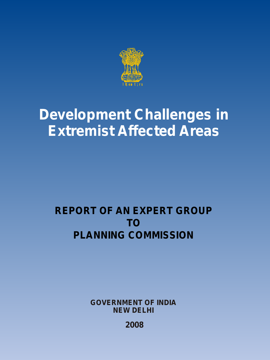

# **Development Challenges in Extremist Affected Areas**

# **REPORT OF AN EXPERT GROUP TO PLANNING COMMISSION**

**GOVERNMENT OF INDIA NEW DELHI**

**2008**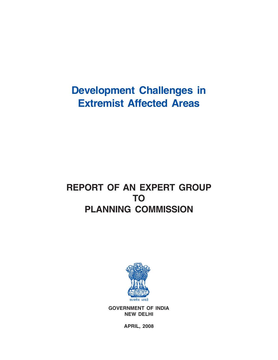## **Development Challenges in Extremist Affected Areas**

### **REPORT OF AN EXPERT GROUP TO PLANNING COMMISSION**



**GOVERNMENT OF INDIA NEW DELHI**

**APRIL, 2008**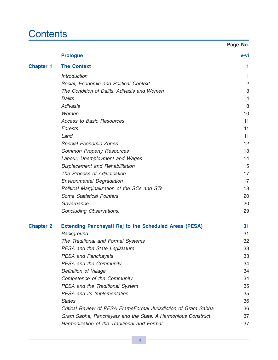### **Contents**

|                  | <b>Prologue</b>                                                | v-vi           |
|------------------|----------------------------------------------------------------|----------------|
| <b>Chapter 1</b> | <b>The Context</b>                                             | 1              |
|                  | <b>Introduction</b>                                            | 1              |
|                  | Social, Economic and Political Context                         | $\overline{c}$ |
|                  | The Condition of Dalits, Adivasis and Women                    | 3              |
|                  | <b>Dalits</b>                                                  | 4              |
|                  | <b>Adivasis</b>                                                | 8              |
|                  | Women                                                          | 10             |
|                  | <b>Access to Basic Resources</b>                               | 11             |
|                  | Forests                                                        | 11             |
|                  | Land                                                           | 11             |
|                  | Special Economic Zones                                         | 12             |
|                  | <b>Common Property Resources</b>                               | 13             |
|                  | Labour, Unemployment and Wages                                 | 14             |
|                  | Displacement and Rehabilitation                                | 15             |
|                  | The Process of Adjudication                                    | 17             |
|                  | <b>Environmental Degradation</b>                               | 17             |
|                  | Political Marginalization of the SCs and STs                   | 18             |
|                  | <b>Some Statistical Pointers</b>                               | 20             |
|                  | Governance                                                     | 20             |
|                  | Concluding Observations.                                       | 29             |
| <b>Chapter 2</b> | <b>Extending Panchayati Raj to the Scheduled Areas (PESA)</b>  | 31             |
|                  | Background                                                     | 31             |
|                  | The Traditional and Formal Systems                             | 32             |
|                  | PESA and the State Legislature                                 | 33             |
|                  | <b>PESA and Panchayats</b>                                     | 33             |
|                  | <b>PESA</b> and the Community                                  | 34             |
|                  | Definition of Village                                          | 34             |
|                  | Competence of the Community                                    | 34             |
|                  | PESA and the Traditional System                                | 35             |
|                  | PESA and its Implementation                                    | 35             |
|                  | <b>States</b>                                                  | 36             |
|                  | Critical Review of PESA FrameFormal Jurisdiction of Gram Sabha | 36             |
|                  | Gram Sabha, Panchayats and the State: A Harmonious Construct   | 37             |
|                  | Harmonization of the Traditional and Formal                    | 37             |

**Page No.**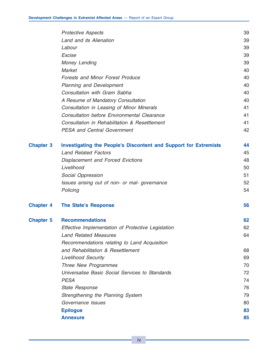|                  | <b>Protective Aspects</b>                                               | 39 |
|------------------|-------------------------------------------------------------------------|----|
|                  | Land and its Alienation                                                 | 39 |
|                  | Labour                                                                  | 39 |
|                  | Excise                                                                  | 39 |
|                  | <b>Money Lending</b>                                                    | 39 |
|                  | <b>Market</b>                                                           | 40 |
|                  | <b>Forests and Minor Forest Produce</b>                                 | 40 |
|                  | <b>Planning and Development</b>                                         | 40 |
|                  | Consultation with Gram Sabha                                            | 40 |
|                  | A Resume of Mandatory Consultation                                      | 40 |
|                  | Consultation in Leasing of Minor Minerals                               | 41 |
|                  | <b>Consultation before Environmental Clearance</b>                      | 41 |
|                  | Consultation in Rehabilitation & Resettlement                           | 41 |
|                  | <b>PESA and Central Government</b>                                      | 42 |
| <b>Chapter 3</b> | <b>Investigating the People's Discontent and Support for Extremists</b> | 44 |
|                  | <b>Land Related Factors</b>                                             | 45 |
|                  | <b>Displacement and Forced Evictions</b>                                | 48 |
|                  | Livelihood                                                              | 50 |
|                  | Social Oppression                                                       | 51 |
|                  | Issues arising out of non- or mal- governance                           | 52 |
|                  | Policing                                                                | 54 |
| <b>Chapter 4</b> | <b>The State's Response</b>                                             | 56 |
| <b>Chapter 5</b> | <b>Recommendations</b>                                                  | 62 |
|                  | Effective Implementation of Protective Legislation                      | 62 |
|                  | <b>Land Related Measures</b>                                            | 64 |
|                  | Recommendations relating to Land Acquisition                            |    |
|                  | and Rehabilitation & Resettlement                                       | 68 |
|                  | <b>Livelihood Security</b>                                              | 69 |
|                  | Three New Programmes                                                    | 70 |
|                  | Universalise Basic Social Services to Standards                         | 72 |
|                  | <b>PESA</b>                                                             | 74 |
|                  | <b>State Response</b>                                                   | 76 |
|                  | Strengthening the Planning System                                       | 79 |
|                  | Governance Issues                                                       | 80 |
|                  | <b>Epilogue</b>                                                         | 83 |
|                  | <b>Annexure</b>                                                         | 85 |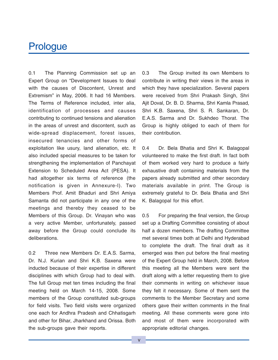### **Prologue**

0.1 The Planning Commission set up an Expert Group on "Development Issues to deal with the causes of Discontent, Unrest and Extremism" in May, 2006. It had 16 Members. The Terms of Reference included, inter alia, identification of processes and causes contributing to continued tensions and alienation in the areas of unrest and discontent, such as wide-spread displacement, forest issues, insecured tenancies and other forms of exploitation like usury, land alienation, etc. It also included special measures to be taken for strengthening the implementation of Panchayat Extension to Scheduled Area Act (PESA). It had altogether six terms of reference (the notification is given in Annexure-I). Two Members Prof. Amit Bhaduri and Shri Amiya Samanta did not participate in any one of the meetings and thereby they ceased to be Members of this Group. Dr. Vinayan who was a very active Member, unfortunately, passed away before the Group could conclude its deliberations.

0.2 Three new Members Dr. E.A.S. Sarma, Dr. N.J. Kurian and Shri K.B. Saxena were inducted because of their expertise in different disciplines with which Group had to deal with. The full Group met ten times including the final meeting held on March 14-15, 2008. Some members of the Group constituted sub-groups for field visits. Two field visits were organized one each for Andhra Pradesh and Chhatisgarh and other for Bihar, Jharkhand and Orissa. Both the sub-groups gave their reports.

0.3 The Group invited its own Members to contribute in writing their views in the areas in which they have specialization. Several papers were received from Shri Prakash Singh, Shri Ajit Doval, Dr. B. D. Sharma, Shri Kamla Prasad, Shri K.B. Saxena, Shri S. R. Sankaran, Dr. E.A.S. Sarma and Dr. Sukhdeo Thorat. The Group is highly obliged to each of them for their contribution.

0.4 Dr. Bela Bhatia and Shri K. Balagopal volunteered to make the first draft. In fact both of them worked very hard to produce a fairly exhaustive draft containing materials from the papers already submitted and other secondary materials available in print. The Group is extremely grateful to Dr. Bela Bhatia and Shri K. Balagopal for this effort.

0.5 For preparing the final version, the Group set up a Drafting Committee consisting of about half a dozen members. The drafting Committee met several times both at Delhi and Hyderabad to complete the draft. The final draft as it emerged was then put before the final meeting of the Expert Group held in March, 2008. Before this meeting all the Members were sent the draft along with a letter requesting them to give their comments in writing on whichever issue they felt it necessary. Some of them sent the comments to the Member Secretary and some others gave their written comments in the final meeting. All these comments were gone into and most of them were incorporated with appropriate editorial changes.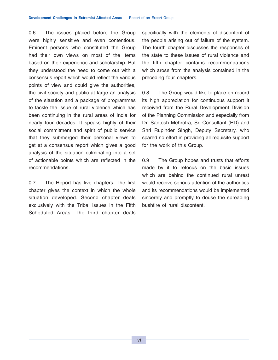0.6 The issues placed before the Group were highly sensitive and even contentious. Eminent persons who constituted the Group had their own views on most of the items based on their experience and scholarship. But they understood the need to come out with a consensus report which would reflect the various points of view and could give the authorities, the civil society and public at large an analysis of the situation and a package of programmes to tackle the issue of rural violence which has been continuing in the rural areas of India for nearly four decades. It speaks highly of their social commitment and spirit of public service that they submerged their personal views to get at a consensus report which gives a good analysis of the situation culminating into a set of actionable points which are reflected in the recommendations.

0.7 The Report has five chapters. The first chapter gives the context in which the whole situation developed. Second chapter deals exclusively with the Tribal issues in the Fifth Scheduled Areas. The third chapter deals specifically with the elements of discontent of the people arising out of failure of the system. The fourth chapter discusses the responses of the state to these issues of rural violence and the fifth chapter contains recommendations which arose from the analysis contained in the preceding four chapters.

0.8 The Group would like to place on record its high appreciation for continuous support it received from the Rural Development Division of the Planning Commission and especially from Dr. Santosh Mehrotra, Sr. Consultant (RD) and Shri Rupinder Singh, Deputy Secretary, who spared no effort in providing all requisite support for the work of this Group.

0.9 The Group hopes and trusts that efforts made by it to refocus on the basic issues which are behind the continued rural unrest would receive serious attention of the authorities and its recommendations would be implemented sincerely and promptly to douse the spreading bushfire of rural discontent.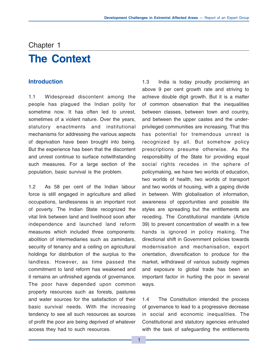#### Chapter 1

### **The Context**

#### **Introduction**

1.1 Widespread discontent among the people has plagued the Indian polity for sometime now. It has often led to unrest, sometimes of a violent nature. Over the years, statutory enactments and institutional mechanisms for addressing the various aspects of deprivation have been brought into being. But the experience has been that the discontent and unrest continue to surface notwithstanding such measures. For a large section of the population, basic survival is the problem.

1.2 As 58 per cent of the Indian labour force is still engaged in agriculture and allied occupations, landlessness is an important root of poverty. The Indian State recognized the vital link between land and livelihood soon after independence and launched land reform measures which included three components: abolition of intermediaries such as zamindars, security of tenancy and a ceiling on agricultural holdings for distribution of the surplus to the landless. However, as time passed the commitment to land reform has weakened and it remains an unfinished agenda of governance. The poor have depended upon common property resources such as forests, pastures and water sources for the satisfaction of their basic survival needs. With the increasing tendency to see all such resources as sources of profit the poor are being deprived of whatever access they had to such resources.

1.3 India is today proudly proclaiming an above 9 per cent growth rate and striving to achieve double digit growth. But it is a matter of common observation that the inequalities between classes, between town and country, and between the upper castes and the underprivileged communities are increasing. That this has potential for tremendous unrest is recognized by all. But somehow policy prescriptions presume otherwise. As the responsibility of the State for providing equal social rights recedes in the sphere of policymaking, we have two worlds of education, two worlds of health, two worlds of transport and two worlds of housing, with a gaping divide in between. With globalisation of information, awareness of opportunities and possible life styles are spreading but the entitlements are receding. The Constitutional mandate (Article 39) to prevent concentration of wealth in a few hands is ignored in policy making. The directional shift in Government policies towards modernisation and mechanisation, export orientation, diversification to produce for the market, withdrawal of various subsidy regimes and exposure to global trade has been an important factor in hurting the poor in several ways.

1.4 The Constitution intended the process of governance to lead to a progressive decrease in social and economic inequalities. The Constitutional and statutory agencies entrusted with the task of safeguarding the entitlements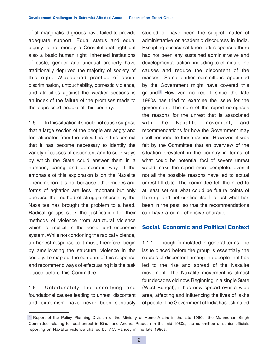of all marginalised groups have failed to provide adequate support. Equal status and equal dignity is not merely a Constitutional right but also a basic human right. Inherited institutions of caste, gender and unequal property have traditionally deprived the majority of society of this right. Widespread practice of social discrimination, untouchability, domestic violence, and atrocities against the weaker sections is an index of the failure of the promises made to the oppressed people of this country.

1.5 In this situation it should not cause surprise that a large section of the people are angry and feel alienated from the polity. It is in this context that it has become necessary to identify the variety of causes of discontent and to seek ways by which the State could answer them in a humane, caring and democratic way. If the emphasis of this exploration is on the Naxalite phenomenon it is not because other modes and forms of agitation are less important but only because the method of struggle chosen by the Naxalites has brought the problem to a head. Radical groups seek the justification for their methods of violence from structural violence which is implicit in the social and economic system. While not condoning the radical violence, an honest response to it must, therefore, begin by ameliorating the structural violence in the society. To map out the contours of this response and recommend ways of effectuating it is the task placed before this Committee.

1.6 Unfortunately the underlying and foundational causes leading to unrest, discontent and extremism have never been seriously studied or have been the subject matter of administrative or academic discourses in India. Excepting occasional knee jerk responses there had not been any sustained administrative and developmental action, including to eliminate the causes and reduce the discontent of the masses. Some earlier committees appointed by the Government might have covered this ground.1 However, no report since the late 1980s has tried to examine the issue for the government. The core of the report comprises the reasons for the unrest that is associated with the Naxalite movement, and recommendations for how the Government may itself respond to these issues. However, it was felt by the Committee that an overview of the situation prevalent in the country in terms of what could be potential foci of severe unrest would make the report more complete, even if not all the possible reasons have led to actual unrest till date. The committee felt the need to at least set out what could be future points of flare up and not confine itself to just what has been in the past, so that the recommendations can have a comprehensive character.

#### **Social, Economic and Political Context**

1.1.1 Though formulated in general terms, the issue placed before the group is essentially the causes of discontent among the people that has led to the rise and spread of the Naxalite movement. The Naxalite movement is almost four decades old now. Beginning in a single State (West Bengal), it has now spread over a wide area, affecting and influencing the lives of lakhs of people. The Government of India has estimated

<sup>1</sup> Report of the Policy Planning Division of the Ministry of Home Affairs in the late 1960s; the Manmohan Singh Committee relating to rural unrest in Bihar and Andhra Pradesh in the mid 1980s; the committee of senior officials reporting on Naxalite violence chaired by V.C. Pandey in the late 1980s.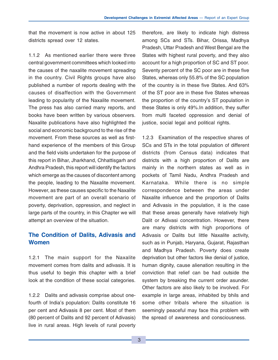that the movement is now active in about 125 districts spread over 12 states.

1.1.2 As mentioned earlier there were three central government committees which looked into the causes of the naxalite movement spreading in the country. Civil Rights groups have also published a number of reports dealing with the causes of disaffection with the Government leading to popularity of the Naxalite movement. The press has also carried many reports, and books have been written by various observers. Naxalite publications have also highlighted the social and economic background to the rise of the movement. From these sources as well as firsthand experience of the members of this Group and the field visits undertaken for the purpose of this report in Bihar, Jharkhand, Chhattisgarh and Andhra Pradesh, this report will identify the factors which emerge as the causes of discontent among the people, leading to the Naxalite movement. However, as these causes specific to the Naxalite movement are part of an overall scenario of poverty, deprivation, oppression, and neglect in large parts of the country, in this Chapter we will attempt an overview of the situation.

#### **The Condition of Dalits, Adivasis and Women**

1.2.1 The main support for the Naxalite movement comes from dalits and adivasis. It is thus useful to begin this chapter with a brief look at the condition of these social categories.

1.2.2 Dalits and adivasis comprise about onefourth of India's population: Dalits constitute 16 per cent and Adivasis 8 per cent. Most of them (80 percent of Dalits and 92 percent of Adivasis) live in rural areas. High levels of rural poverty

therefore, are likely to indicate high distress among SCs and STs. Bihar, Orissa, Madhya Pradesh, Uttar Pradesh and West Bengal are the States with highest rural poverty, and they also account for a high proportion of SC and ST poor. Seventy percent of the SC poor are in these five States, whereas only 55.8% of the SC population of the country is in these five States. And 63% of the ST poor are in these five States whereas the proportion of the country's ST population in these States is only 49%.In addition, they suffer from multi faceted oppression and denial of justice, social legal and political rights.

1.2.3 Examination of the respective shares of SCs and STs in the total population of different districts (from Census data) indicates that districts with a high proportion of Dalits are mainly in the northern states as well as in pockets of Tamil Nadu, Andhra Pradesh and Karnataka. While there is no simple correspondence between the areas under Naxalite influence and the proportion of Dalits and Adivasis in the population, it is the case that these areas generally have relatively high Dalit or Adivasi concentration. However, there are many districts with high proportions of Adivasis or Dalits but little Naxalite activity, such as in Punjab, Haryana, Gujarat, Rajasthan and Madhya Pradesh. Poverty does create deprivation but other factors like denial of justice, human dignity, cause alienation resulting in the conviction that relief can be had outside the system by breaking the current order asunder. Other factors are also likely to be involved. For example in large areas, inhabited by bhils and some other tribals where the situation is seemingly peaceful may face this problem with the spread of awareness and consciousness.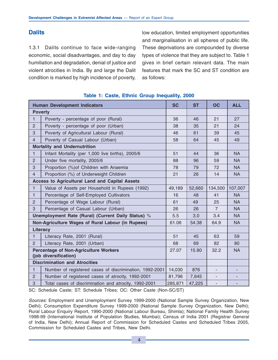#### **Dalits**

1.3.1 Dalits continue to face wide-ranging economic, social disadvantages, and day to day humiliation and degradation, denial of justice and violent atrocities in India. By and large the Dalit condition is marked by high incidence of poverty, low education, limited employment opportunities and marginalisation in all spheres of public life. These deprivations are compounded by diverse types of violence that they are subject to. Table 1 gives in brief certain relevant data. The main features that mark the SC and ST condition are as follows:

|                | <b>Human Development Indicators</b>                                   | <b>SC</b> | <b>ST</b> | <b>OC</b>                | <b>ALL</b>               |
|----------------|-----------------------------------------------------------------------|-----------|-----------|--------------------------|--------------------------|
|                | <b>Poverty</b>                                                        |           |           |                          |                          |
| $\mathbf{1}$   | Poverty - percentage of poor (Rural)                                  | 36        | 46        | 21                       | 27                       |
| $\overline{2}$ | Poverty - percentage of poor (Urban)                                  | 38        | 35        | 21                       | 24                       |
| 3              | Poverty of Agricultural Labour (Rural)                                | 46        | 61        | 39                       | 45                       |
| $\overline{4}$ | Poverty of Casual Labour (Urban)                                      | 58        | 64        | 45                       | 49                       |
|                | <b>Mortality and Undernutrition</b>                                   |           |           |                          |                          |
| $\mathbf{1}$   | Infant Mortality (per 1,000 live births), 2005/6                      | 51        | 44        | 36                       | <b>NA</b>                |
| $\overline{2}$ | Under five mortality, 2005/6                                          | 88        | 96        | 59                       | <b>NA</b>                |
| 3              | Proportion (%) of Children with Anaemia                               | 78        | 79        | 72                       | <b>NA</b>                |
| $\overline{4}$ | Proportion (%) of Underweight Children                                | 21        | 26        | 14                       | <b>NA</b>                |
|                | <b>Access to Agricultural Land and Capital Assets</b>                 |           |           |                          |                          |
| $\mathbf{1}$   | Value of Assets per Household in Rupees (1992)                        | 49,189    | 52,660    | 134,500                  | 107,007                  |
| $\mathbf{1}$   | Percentage of Self-Employed Cultivators                               | 16        | 48        | 41                       | <b>NA</b>                |
| $\overline{2}$ | Percentage of Wage Labour (Rural)                                     | 61        | 49        | 25                       | <b>NA</b>                |
| 3              | Percentage of Casual Labour (Urban)                                   | 26        | 26        | $\overline{7}$           | <b>NA</b>                |
|                | Unemployment Rate (Rural) (Current Daily Status) %                    | 5.5       | 3.0       | 3.4                      | <b>NA</b>                |
|                | Non-Agriculture Wages of Rural Labour (in Rupees)                     | 61.06     | 54.38     | 64.9                     | <b>NA</b>                |
|                | Literacy                                                              |           |           |                          |                          |
| $\mathbf{1}$   | Literacy Rate, 2001 (Rural)                                           | 51        | 45        | 63                       | 59                       |
| $\overline{2}$ | Literacy Rate, 2001 (Urban)                                           | 68        | 69        | 82                       | 80                       |
|                | <b>Percentage of Non-Agriculture Workers</b><br>(job diversification) | 27.07     | 15.80     | 32.2                     | <b>NA</b>                |
|                | <b>Discrimination and Atrocities</b>                                  |           |           |                          |                          |
| $\mathbf{1}$   | Number of registered cases of discrimination, 1992-2001               | 14,030    | 876       |                          |                          |
| $\overline{2}$ | Number of registered cases of atrocity, 1992-2001                     | 81,796    | 7,645     |                          | $\overline{\phantom{a}}$ |
| 3              | Total cases of discrimination and atrocity, 1992-2001                 | 285,871   | 47,225    | $\overline{\phantom{a}}$ | $\overline{\phantom{a}}$ |

#### **Table 1: Caste, Ethnic Group Inequality, 2000**

SC: Schedule Caste; ST: Schedule Tribes; OC: Other Caste (Non-SC/ST)

Sources: Employment and Unemployment Survey 1999-2000 (National Sample Survey Organization, New Delhi); Consumption Expenditure Survey 1999-2000 (National Sample Survey Organization, New Delhi); Rural Labour Enquiry Report, 1990-2000 (National Labour Bureau, Shimla); National Family Health Survey 1998-99 (International Institute of Population Studies, Mumbai); Census of India 2001 (Registrar General of India, New Delhi); Annual Report of Commission for Scheduled Castes and Scheduled Tribes 2005, Commission for Scheduled Castes and Tribes, New Delhi.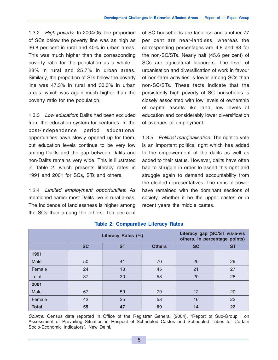1.3.2 High poverty: In 2004/05, the proportion of SCs below the poverty line was as high as 36.8 per cent in rural and 40% in urban areas. This was much higher than the corresponding poverty ratio for the population as a whole – 28% in rural and 25.7% in urban areas. Similarly, the proportion of STs below the poverty line was 47.3% in rural and 33.3% in urban areas, which was again much higher than the poverty ratio for the population.

1.3.3 Low education: Dalits had been excluded from the education system for centuries. In the post-independence period educational opportunities have slowly opened up for them, but education levels continue to be very low among Dalits and the gap between Dalits and non-Dalits remains very wide. This is illustrated in Table 2, which presents literacy rates in 1991 and 2001 for SCs, STs and others.

1.3.4 Limited employment opportunities: As mentioned earlier most Dalits live in rural areas. The incidence of landlessness is higher among the SCs than among the others. Ten per cent of SC households are landless and another 77 per cent are near-landless, whereas the corresponding percentages are 4.8 and 63 for the non-SC/STs. Nearly half (45.6 per cent) of SCs are agricultural labourers. The level of urbanisation and diversification of work in favour of non-farm activities is lower among SCs than non-SC/STs. These facts indicate that the persistently high poverty of SC households is closely associated with low levels of ownership of capital assets like land, low levels of education and considerably lower diversification of avenues of employment.

1.3.5 Political marginalisation: The right to vote is an important political right which has added to the empowerment of the dalits as well as added to their status. However, dalits have often had to struggle in order to assert this right and struggle again to demand accountability from the elected representatives. The reins of power have remained with the dominant sections of society, whether it be the upper castes or in recent years the middle castes.

|              |           | Literacy Rates (%) |               | Literacy gap (SC/ST vis-a-vis<br>others, in percentage points) |           |
|--------------|-----------|--------------------|---------------|----------------------------------------------------------------|-----------|
|              | <b>SC</b> | <b>ST</b>          | <b>Others</b> | <b>SC</b>                                                      | <b>ST</b> |
| 1991         |           |                    |               |                                                                |           |
| Male         | 50        | 41                 | 70            | 20                                                             | 29        |
| Female       | 24        | 18                 | 45            | 21                                                             | 27        |
| Total        | 37        | 30                 | 58            | 20                                                             | 28        |
| 2001         |           |                    |               |                                                                |           |
| Male         | 67        | 59                 | 79            | 12                                                             | 20        |
| Female       | 42        | 35                 | 58            | 16                                                             | 23        |
| <b>Total</b> | 55        | 47                 | 69            | 14                                                             | 22        |

#### **Table 2: Comparative Literacy Rates**

Source: Census data reported in Office of the Registrar General (2004), "Report of Sub-Group I on Assessment of Prevailing Situation in Respect of Scheduled Castes and Scheduled Tribes for Certain Socio-Economic Indicators", New Delhi.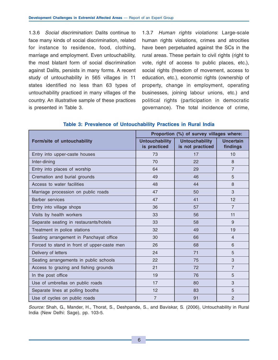1.3.6 Social discrimination: Dalits continue to face many kinds of social discrimination, related for instance to residence, food, clothing, marriage and employment. Even untouchability, the most blatant form of social discrimination against Dalits, persists in many forms. A recent study of untouchability in 565 villages in 11 states identified no less than 63 types of untouchability practiced in many villages of the country. An illustrative sample of these practices is presented in Table 3.

1.3.7 Human rights violations: Large-scale human rights violations, crimes and atrocities have been perpetuated against the SCs in the rural areas. These pertain to civil rights (right to vote, right of access to public places, etc.), social rights (freedom of movement, access to education, etc.), economic rights (ownership of property, change in employment, operating businesses, joining labour unions, etc.) and political rights (participation in democratic governance). The total incidence of crime,

|                                             | Proportion (%) of survey villages where: |                                           |                              |  |
|---------------------------------------------|------------------------------------------|-------------------------------------------|------------------------------|--|
| Form/site of untouchability                 | <b>Untouchability</b><br>is practiced    | <b>Untouchability</b><br>is not practiced | <b>Uncertain</b><br>findings |  |
| Entry into upper-caste houses               | 73                                       | 17                                        | 10                           |  |
| Inter-dining                                | 70                                       | 22                                        | 8                            |  |
| Entry into places of worship                | 64                                       | 29                                        | $\overline{7}$               |  |
| Cremation and burial grounds                | 49                                       | 46                                        | 5                            |  |
| Access to water facilities                  | 48                                       | 44                                        | 8                            |  |
| Marriage procession on public roads         | 47                                       | 50                                        | 3                            |  |
| <b>Barber services</b>                      | 47                                       | 41                                        | 12                           |  |
| Entry into village shops                    | 36                                       | 57                                        | $\overline{7}$               |  |
| Visits by health workers                    | 33                                       | 56                                        | 11                           |  |
| Separate seating in restaurants/hotels      | 33                                       | 58                                        | 9                            |  |
| Treatment in police stations                | 32                                       | 49                                        | 19                           |  |
| Seating arrangement in Panchayat office     | 30                                       | 66                                        | $\overline{4}$               |  |
| Forced to stand in front of upper-caste men | 26                                       | 68                                        | 6                            |  |
| Delivery of letters                         | 24                                       | 71                                        | 5                            |  |
| Seating arrangements in public schools      | 22                                       | 75                                        | 3                            |  |
| Access to grazing and fishing grounds       | 21                                       | 72                                        | $\overline{7}$               |  |
| In the post office                          | 19                                       | 76                                        | 5                            |  |
| Use of umbrellas on public roads            | 17                                       | 80                                        | 3                            |  |
| Separate lines at polling booths            | 12                                       | 83                                        | 5                            |  |
| Use of cycles on public roads               | $\overline{7}$                           | 91                                        | $\overline{2}$               |  |

#### **Table 3: Prevalence of Untouchability Practices in Rural India**

Source: Shah, G., Mander, H., Thorat, S., Deshpande, S., and Baviskar, S. (2006), Untouchability in Rural India (New Delhi: Sage), pp. 103-5.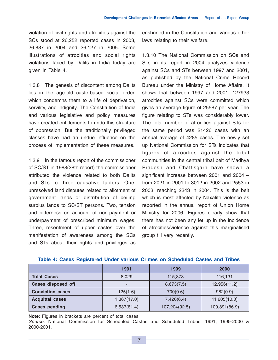violation of civil rights and atrocities against the SCs stood at 26,252 reported cases in 2003, 26,887 in 2004 and 26,127 in 2005. Some illustrations of atrocities and social rights violations faced by Dalits in India today are given in Table 4.

1.3.8 The genesis of discontent among Dalits lies in the age-old caste-based social order, which condemns them to a life of deprivation, servility, and indignity. The Constitution of India and various legislative and policy measures have created entitlements to undo this structure of oppression. But the traditionally privileged classes have had an undue influence on the process of implementation of these measures.

1.3.9 In the famous report of the commissioner of SC/ST in 1988(28th report) the commissioner attributed the violence related to both Dalits and STs to three causative factors. One, unresolved land disputes related to allotment of government lands or distribution of ceiling surplus lands to SC/ST persons. Two, tension and bitterness on account of non-payment or underpayment of prescribed minimum wages. Three, resentment of upper castes over the manifestation of awareness among the SCs and STs about their rights and privileges as enshrined in the Constitution and various other laws relating to their welfare.

1.3.10 The National Commission on SCs and STs in its report in 2004 analyzes violence against SCs and STs between 1997 and 2001, as published by the National Crime Record Bureau under the Ministry of Home Affairs. It shows that between 1997 and 2001, 127933 atrocities against SCs were committed which gives an average figure of 25587 per year. The figure relating to STs was considerably lower. The total number of atrocities against STs for the same period was 21426 cases with an annual average of 4285 cases. The newly set up National Commission for STs indicates that figures of atrocities against the tribal communities in the central tribal belt of Madhya Pradesh and Chattisgarh have shown a significant increase between 2001 and 2004 – from 2021 in 2001 to 3012 in 2002 and 2553 in 2003, reaching 2343 in 2004. This is the belt which is most affected by Naxalite violence as reported in the annual report of Union Home Ministry for 2006. Figures clearly show that there has not been any let up in the incidence of atrocities/violence against this marginalised group till very recently.

|                           | 1991                     | 1999          | 2000          |
|---------------------------|--------------------------|---------------|---------------|
| <b>Total Cases</b>        | 8,029                    | 115,878       | 116,131       |
| <b>Cases disposed off</b> | $\overline{\phantom{a}}$ | 8,673(7.5)    | 12,956(11.2)  |
| <b>Conviction cases</b>   | 125(1.6)                 | 700(0.6)      | 982(0.9)      |
| <b>Acquittal cases</b>    | 1,367(17.0)              | 7,420(6.4)    | 11,605(10.0)  |
| <b>Cases pending</b>      | 6,537(81.4)              | 107,204(92.5) | 100,891(86.9) |

#### **Table 4: Cases Registered Under various Crimes on Scheduled Castes and Tribes**

**Note**: Figures in brackets are percent of total cases.

Source: National Commission for Scheduled Castes and Scheduled Tribes, 1991, 1999-2000 & 2000-2001.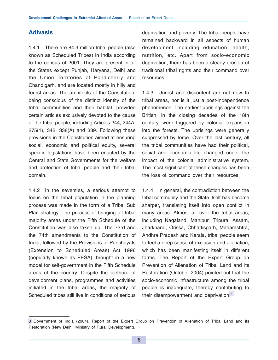#### **Adivasis**

1.4.1 There are 84.3 million tribal people (also known as Scheduled Tribes) in India according to the census of 2001. They are present in all the States except Punjab, Haryana, Delhi and the Union Territories of Pondicherry and Chandigarh, and are located mostly in hilly and forest areas. The architects of the Constitution, being conscious of the distinct identity of the tribal communities and their habitat, provided certain articles exclusively devoted to the cause of the tribal people, including Articles 244, 244A, 275(1), 342, 338(A) and 339. Following these provisions in the Constitution aimed at ensuring social, economic and political equity, several specific legislations have been enacted by the Central and State Governments for the welfare and protection of tribal people and their tribal domain.

1.4.2 In the seventies, a serious attempt to focus on the tribal population in the planning process was made in the form of a Tribal Sub Plan strategy. The process of bringing all tribal majority areas under the Fifth Schedule of the Constitution was also taken up. The 73rd and the 74th amendments to the Constitution of India, followed by the Provisions of Panchayats (Extension to Scheduled Areas) Act 1996 (popularly known as PESA), brought in a new model for self-government in the Fifth Schedule areas of the country. Despite the plethora of development plans, programmes and activities initiated in the tribal areas, the majority of Scheduled tribes still live in conditions of serious

deprivation and poverty. The tribal people have remained backward in all aspects of human development including education, health, nutrition, etc. Apart from socio-economic deprivation, there has been a steady erosion of traditional tribal rights and their command over resources.

1.4.3 Unrest and discontent are not new to tribal areas, nor is it just a post-independence phenomenon. The earliest uprisings against the British, in the closing decades of the 18th century, were triggered by colonial expansion into the forests. The uprisings were generally suppressed by force. Over the last century, all the tribal communities have had their political, social and economic life changed under the impact of the colonial administrative system. The most significant of these changes has been the loss of command over their resources.

1.4.4 In general, the contradiction between the tribal community and the State itself has become sharper, translating itself into open conflict in many areas. Almost all over the tribal areas, including Nagaland, Manipur, Tripura, Assam, Jharkhand, Orissa, Chhattisgarh, Maharashtra, Andhra Pradesh and Kerala, tribal people seem to feel a deep sense of exclusion and alienation, which has been manifesting itself in different forms. The Report of the Expert Group on Prevention of Alienation of Tribal Land and its Restoration (October 2004) pointed out that the socio-economic infrastructure among the tribal people is inadequate, thereby contributing to their disempowerment and deprivation.3

<sup>3</sup> Government of India (2004), Report of the Expert Group on Prevention of Alienation of Tribal Land and its Restoration (New Delhi: Ministry of Rural Development).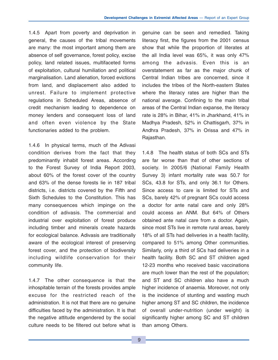1.4.5 Apart from poverty and deprivation in general, the causes of the tribal movements are many: the most important among them are absence of self governance, forest policy, excise policy, land related issues, multifaceted forms of exploitation, cultural humiliation and political marginalisation. Land alienation, forced evictions from land, and displacement also added to unrest. Failure to implement protective regulations in Scheduled Areas, absence of credit mechanism leading to dependence on money lenders and consequent loss of land and often even violence by the State functionaries added to the problem.

1.4.6 In physical terms, much of the Adivasi condition derives from the fact that they predominantly inhabit forest areas. According to the Forest Survey of India Report 2003, about 60% of the forest cover of the country and 63% of the dense forests lie in 187 tribal districts, i.e. districts covered by the Fifth and Sixth Schedules to the Constitution. This has many consequences which impinge on the condition of adivasis. The commercial and industrial over exploitation of forest produce including timber and minerals create hazards for ecological balance. Adivasis are traditionally aware of the ecological interest of preserving forest cover, and the protection of biodiversity including wildlife conservation for their community life.

1.4.7 The other consequence is that the inhospitable terrain of the forests provides ample excuse for the restricted reach of the administration. It is not that there are no genuine difficulties faced by the administration. It is that the negative attitude engendered by the social culture needs to be filtered out before what is genuine can be seen and remedied. Taking literacy first, the figures from the 2001 census show that while the proportion of literates at the all India level was 65%, it was only 47% among the advasis. Even this is an overstatement as far as the major chunk of Central Indian tribes are concerned, since it includes the tribes of the North-eastern States where the literacy rates are higher than the national average. Confining to the main tribal areas of the Central Indian expanse, the literacy rate is 28% in Bihar, 41% in Jharkhand, 41% in Madhya Pradesh, 52% in Chattisgarh, 37% in Andhra Pradesh, 37% in Orissa and 47% in Rajasthan.

1.4.8 The health status of both SCs and STs are far worse than that of other sections of society. In 2005/6 (National Family Health Survey 3) infant mortality rate was 50.7 for SCs, 43.8 for STs, and only 36.1 for Others. Since access to care is limited for STs and SCs, barely 42% of pregnant SCs could access a doctor for ante natal care and only 28% could access an ANM. But 64% of Others obtained ante natal care from a doctor. Again, since most STs live in remote rural areas, barely 18% of all STs had deliveries in a health facility, compared to 51% among Other communities. Similarly, only a third of SCs had deliveries in a health facility. Both SC and ST children aged 12-23 months who received basic vaccinations are much lower than the rest of the population; and ST and SC children also have a much higher incidence of anaemia. Moreover, not only is the incidence of stunting and wasting much higher among ST and SC children, the incidence of overall under-nutrition (under weight) is significantly higher among SC and ST children than among Others.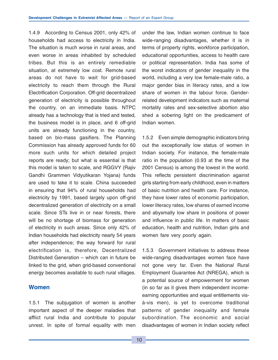1.4.9 According to Census 2001, only 42% of households had access to electricity in India. The situation is much worse in rural areas, and even worse in areas inhabited by scheduled tribes. But this is an entirely remediable situation, at extremely low cost. Remote rural areas do not have to wait for grid-based electricity to reach them through the Rural Electrification Corporation. Off-grid decentralized generation of electricity is possible throughout the country, on an immediate basis. NTPC already has a technology that is tried and tested, the business model is in place, and 6 off-grid units are already functioning in the country, based on bio-mass gasifiers. The Planning Commission has already approved funds for 60 more such units for which detailed project reports are ready; but what is essential is that this model is taken to scale, and RGGVY (Rajiv Gandhi Grammen Vidyutikaran Yojana) funds are used to take it to scale. China succeeded in ensuring that 94% of rural households had electricity by 1991, based largely upon off-grid decentralized generation of electricity on a small scale. Since STs live in or near forests, there will be no shortage of biomass for generation of electricity in such areas. Since only 42% of Indian households had electricity nearly 54 years after independence; the way forward for rural electrification is, therefore, Decentralized Distributed Generation – which can in future be linked to the grid, when grid-based conventional energy becomes available to such rural villages.

#### **Women**

1.5.1 The subjugation of women is another important aspect of the deeper maladies that afflict rural India and contribute to popular unrest. In spite of formal equality with men under the law, Indian women continue to face wide-ranging disadvantages, whether it is in terms of property rights, workforce participation, educational opportunities, access to health care or political representation. India has some of the worst indicators of gender inequality in the world, including a very low female-male ratio, a major gender bias in literacy rates, and a low share of women in the labour force. Genderrelated development indicators such as maternal mortality rates and sex-selective abortion also shed a sobering light on the predicament of Indian women.

1.5.2 Even simple demographic indicators bring out the exceptionally low status of women in Indian society. For instance, the female-male ratio in the population (0.93 at the time of the 2001 Census) is among the lowest in the world. This reflects persistent discrimination against girls starting from early childhood, even in matters of basic nutrition and health care. For instance, they have lower rates of economic participation, lower literacy rates, low shares of earned income and abysmally low share in positions of power and influence in public life. In matters of basic education, health and nutrition, Indian girls and women fare very poorly again.

1.5.3 Government initiatives to address these wide-ranging disadvantages women face have not gone very far. Even the National Rural Employment Guarantee Act (NREGA), which is a potential source of empowerment for women (in so far as it gives them independent incomeearning opportunities and equal entitlements visà-vis men), is yet to overcome traditional patterns of gender inequality and female subordination. The economic and social disadvantages of women in Indian society reflect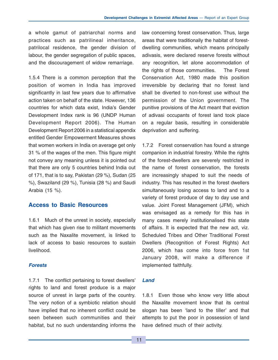a whole gamut of patriarchal norms and practices such as patrilineal inheritance, patrilocal residence, the gender division of labour, the gender segregation of public spaces, and the discouragement of widow remarriage.

1.5.4 There is a common perception that the position of women in India has improved significantly in last few years due to affirmative action taken on behalf of the state. However, 136 countries for which data exist, India's Gender Development Index rank is 96 (UNDP Human Development Report 2006). The Human Development Report 2006 in a statistical appendix entitled Gender Empowerment Measures shows that women workers in India on average get only 31 % of the wages of the men. This figure might not convey any meaning unless it is pointed out that there are only 5 countries behind India out of 171, that is to say, Pakistan (29 %), Sudan (25 %), Swaziland (29 %), Tunisia (28 %) and Saudi Arabia (15 %).

#### **Access to Basic Resources**

1.6.1 Much of the unrest in society, especially that which has given rise to militant movements such as the Naxalite movement, is linked to lack of access to basic resources to sustain livelihood.

#### **Forests**

1.7.1 The conflict pertaining to forest dwellers' rights to land and forest produce is a major source of unrest in large parts of the country. The very notion of a symbiotic relation should have implied that no inherent conflict could be seen between such communities and their habitat, but no such understanding informs the law concerning forest conservation. Thus, large areas that were traditionally the habitat of forestdwelling communities, which means principally adivasis, were declared reserve forests without any recognition, let alone accommodation of the rights of those communities. The Forest Conservation Act, 1980 made this position irreversible by declaring that no forest land shall be diverted to non-forest use without the permission of the Union government. The punitive provisions of the Act meant that eviction of adivasi occupants of forest land took place on a regular basis, resulting in considerable deprivation and suffering.

1.7.2 Forest conservation has found a strange companion in industrial forestry. While the rights of the forest-dwellers are severely restricted in the name of forest conservation, the forests are increasingly shaped to suit the needs of industry. This has resulted in the forest dwellers simultaneously losing access to land and to a variety of forest produce of day to day use and value. Joint Forest Management (JFM), which was envisaged as a remedy for this has in many cases merely institutionalised this state of affairs. It is expected that the new act, viz. Scheduled Tribes and Other Traditional Forest Dwellers (Recognition of Forest Rights) Act 2006, which has come into force from 1st January 2008, will make a difference if implemented faithfully.

#### **Land**

1.8.1 Even those who know very little about the Naxalite movement know that its central slogan has been 'land to the tiller' and that attempts to put the poor in possession of land have defined much of their activity.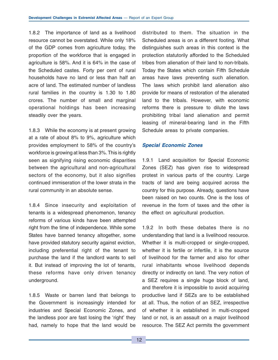1.8.2 The importance of land as a livelihood resource cannot be overstated. While only 18% of the GDP comes from agriculture today, the proportion of the workforce that is engaged in agriculture is 58%. And it is 64% in the case of the Scheduled castes. Forty per cent of rural households have no land or less than half an acre of land. The estimated number of landless rural families in the country is 1.30 to 1.80 crores. The number of small and marginal operational holdings has been increasing steadily over the years.

1.8.3 While the economy is at present growing at a rate of about 8% to 9%, agriculture which provides employment to 58% of the country's workforce is growing at less than 3%. This is rightly seen as signifying rising economic disparities between the agricultural and non-agricultural sectors of the economy, but it also signifies continued immiseration of the lower strata in the rural community in an absolute sense.

1.8.4 Since insecurity and exploitation of tenants is a widespread phenomenon, tenancy reforms of various kinds have been attempted right from the time of independence. While some States have banned tenancy altogether, some have provided statutory security against eviction, including preferential right of the tenant to purchase the land if the landlord wants to sell it. But instead of improving the lot of tenants, these reforms have only driven tenancy underground.

1.8.5 Waste or barren land that belongs to the Government is increasingly intended for industries and Special Economic Zones, and the landless poor are fast losing the 'right' they had, namely to hope that the land would be distributed to them. The situation in the Scheduled areas is on a different footing. What distinguishes such areas in this context is the protection statutorily afforded to the Scheduled tribes from alienation of their land to non-tribals. Today the States which contain Fifth Schedule areas have laws preventing such alienation. The laws which prohibit land alienation also provide for means of restoration of the alienated land to the tribals. However, with economic reforms there is pressure to dilute the laws prohibiting tribal land alienation and permit leasing of mineral-bearing land in the Fifth Schedule areas to private companies.

#### **Special Economic Zones**

1.9.1 Land acquisition for Special Economic Zones (SEZ) has given rise to widespread protest in various parts of the country. Large tracts of land are being acquired across the country for this purpose. Already, questions have been raised on two counts. One is the loss of revenue in the form of taxes and the other is the effect on agricultural production.

1.9.2 In both these debates there is no understanding that land is a livelihood resource. Whether it is multi-cropped or single-cropped, whether it is fertile or infertile, it is the source of livelihood for the farmer and also for other rural inhabitants whose livelihood depends directly or indirectly on land. The very notion of a SEZ requires a single huge block of land, and therefore it is impossible to avoid acquiring productive land if SEZs are to be established at all. Thus, the notion of an SEZ, irrespective of whether it is established in multi-cropped land or not, is an assault on a major livelihood resource. The SEZ Act permits the government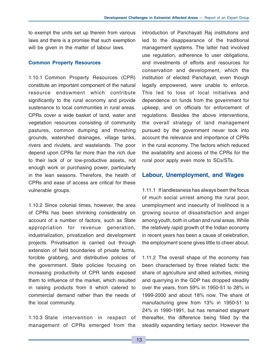to exempt the units set up therein from various laws and there is a promise that such exemption will be given in the matter of labour laws.

#### **Common Property Resources**

1.10.1 Common Property Resources (CPR) constitute an important component of the natural resource endowment which contribute significantly to the rural economy and provide sustenance to local communities in rural areas. CPRs cover a wide basket of land, water and vegetation resources consisting of community pastures, common dumping and threshing grounds, watershed drainages, village tanks, rivers and rivulets, and wastelands. The poor depend upon CPRs far more than the rich due to their lack of or low-productive assets, not enough work or purchasing power, particularly in the lean seasons. Therefore, the health of CPRs and ease of access are critical for these vulnerable groups.

1.10.2 Since colonial times, however, the area of CPRs has been shrinking considerably on account of a number of factors, such as State appropriation for revenue generation, industrialization, privatization and development projects. Privatisation is carried out through extension of field boundaries of private farms, forcible grabbing, and distributive policies of the government. State policies focusing on increasing productivity of CPR lands exposed them to influence of the market, which resulted in raising products from it which catered to commercial demand rather than the needs of the local community.

1.10.3 State intervention in respect of management of CPRs emerged from the introduction of Panchayati Raj institutions and led to the disappearance of the traditional management systems. The latter had involved use regulation, adherence to user obligations, and investments of efforts and resources for conservation and development, which the institution of elected Panchayat, even though legally empowered, were unable to enforce. This led to loss of local initiatives and dependence on funds from the government for upkeep, and on officials for enforcement of regulations. Besides the above interventions, the overall strategy of land management pursued by the government never took into account the relevance and importance of CPRs in the rural economy. The factors which reduced the availability and access of the CPRs for the rural poor apply even more to SCs/STs.

#### **Labour, Unemployment, and Wages**

1.11.1 If landlessness has always been the focus of much social unrest among the rural poor, unemployment and insecurity of livelihood is a growing source of dissatisfaction and anger among youth, both in urban and rural areas. While the relatively rapid growth of the Indian economy in recent years has been a cause of celebration, the employment scene gives little to cheer about.

1.11.2 The overall shape of the economy has been characterised by three related facts: the share of agriculture and allied activities, mining and quarrying in the GDP has dropped steadily over the years, from 59% in 1950-51 to 28% in 1999-2000 and about 18% now. The share of manufacturing grew from 13% in 1950-51 to 24% in 1990-1991, but has remained stagnant thereafter, the difference being filled by the steadily expanding tertiary sector. However the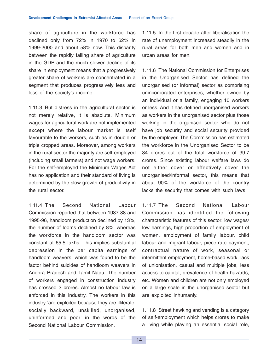share of agriculture in the workforce has declined only from 72% in 1970 to 62% in 1999-2000 and about 58% now. This disparity between the rapidly falling share of agriculture in the GDP and the much slower decline of its share in employment means that a progressively greater share of workers are concentrated in a segment that produces progressively less and less of the society's income.

1.11.3 But distress in the agricultural sector is not merely relative, it is absolute. Minimum wages for agricultural work are not implemented except where the labour market is itself favourable to the workers, such as in double or triple cropped areas. Moreover, among workers in the rural sector the majority are self-employed (including small farmers) and not wage workers. For the self-employed the Minimum Wages Act has no application and their standard of living is determined by the slow growth of productivity in the rural sector.

1.11.4 The Second National Labour Commission reported that between 1987-88 and 1995-96, handloom production declined by 13%, the number of looms declined by 8%, whereas the workforce in the handloom sector was constant at 65.5 lakhs. This implies substantial depression in the per capita earnings of handloom weavers, which was found to be the factor behind suicides of handloom weavers in Andhra Pradesh and Tamil Nadu. The number of workers engaged in construction industry has crossed 3 crores. Almost no labour law is enforced in this industry. The workers in this industry 'are exploited because they are illiterate, socially backward, unskilled, unorganised, uninformed and poor' in the words of the Second National Labour Commission.

1.11.5 In the first decade after liberalisation the rate of unemployment increased steadily in the rural areas for both men and women and in urban areas for men.

1.11.6 The National Commission for Enterprises in the Unorganised Sector has defined the unorganised (or informal) sector as comprising unincorporated enterprises, whether owned by an individual or a family, engaging 10 workers or less. And it has defined unorganised workers as workers in the unorganised sector plus those working in the organised sector who do not have job security and social security provided by the employer. The Commission has estimated the workforce in the Unorganised Sector to be 34 crores out of the total workforce of 39.7 crores. Since existing labour welfare laws do not either cover or effectively cover the unorganised/informal sector, this means that about 90% of the workforce of the country lacks the security that comes with such laws.

1.11.7 The Second National Labour Commission has identified the following characteristic features of this sector: low wages/ low earnings, high proportion of employment of women, employment of family labour, child labour and migrant labour, piece-rate payment, contractual nature of work, seasonal or intermittent employment, home-based work, lack of unionisation, casual and multiple jobs, less access to capital, prevalence of health hazards, etc. Women and children are not only employed on a large scale in the unorganised sector but are exploited inhumanly.

1.11.8 Street hawking and vending is a category of self-employment which helps crores to make a living while playing an essential social role,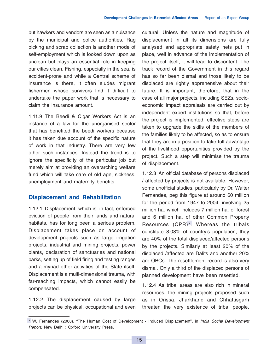but hawkers and vendors are seen as a nuisance by the municipal and police authorities. Rag picking and scrap collection is another mode of self-employment which is looked down upon as unclean but plays an essential role in keeping our cities clean. Fishing, especially in the sea, is accident-prone and while a Central scheme of insurance is there, it often eludes migrant fishermen whose survivors find it difficult to undertake the paper work that is necessary to claim the insurance amount.

1.11.9 The Beedi & Cigar Workers Act is an instance of a law for the unorganised sector that has benefited the beedi workers because it has taken due account of the specific nature of work in that industry. There are very few other such instances. Instead the trend is to ignore the specificity of the particular job but merely aim at providing an overarching welfare fund which will take care of old age, sickness, unemployment and maternity benefits.

#### **Displacement and Rehabilitation**

1.12.1 Displacement, which is, in fact, enforced eviction of people from their lands and natural habitats, has for long been a serious problem. Displacement takes place on account of development projects such as large irrigation projects, industrial and mining projects, power plants, declaration of sanctuaries and national parks, setting up of field firing and testing ranges and a myriad other activities of the State itself. Displacement is a multi-dimensional trauma, with far-reaching impacts, which cannot easily be compensated.

1.12.2 The displacement caused by large projects can be physical, occupational and even cultural. Unless the nature and magnitude of displacement in all its dimensions are fully analysed and appropriate safety nets put in place, well in advance of the implementation of the project itself, it will lead to discontent. The track record of the Government in this regard has so far been dismal and those likely to be displaced are rightly apprehensive about their future. It is important, therefore, that in the case of all major projects, including SEZs, socioeconomic impact appraisals are carried out by independent expert institutions so that, before the project is implemented, effective steps are taken to upgrade the skills of the members of the families likely to be affected, so as to ensure that they are in a position to take full advantage of the livelihood opportunities provided by the project. Such a step will minimise the trauma of displacement.

1.12.3 An official database of persons displaced / affected by projects is not available. However, some unofficial studies, particularly by Dr. Walter Fernandes, peg this figure at around 60 million for the period from 1947 to 2004, involving 25 million ha. which includes 7 million ha. of forest and 6 million ha. of other Common Property Resources (CPR)\*. Whereas the tribals constitute 8.08% of country's population, they are 40% of the total displaced/affected persons by the projects. Similarly at least 20% of the displaced /affected are Dalits and another 20% are OBCs. The resettlement record is also very dismal. Only a third of the displaced persons of planned development have been resettled.

1.12.4 As tribal areas are also rich in mineral resources, the mining projects proposed such as in Orissa, Jharkhand and Chhattisgarh threaten the very existence of tribal people.

<sup>\*</sup> W. Fernandes (2008), "The Human Cost of Development - Induced Displacement", in India Social Development Report, New Delhi : Oxford University Press.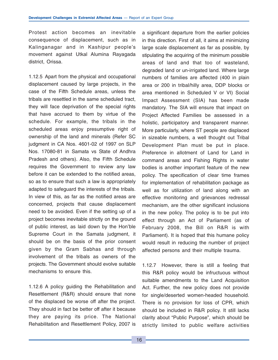Protest action becomes an inevitable consequence of displacement, such as in Kalinganagar and in Kashipur people's movement against Utkal Alumina Rayagada district, Orissa.

1.12.5 Apart from the physical and occupational displacement caused by large projects, in the case of the Fifth Schedule areas, unless the tribals are resettled in the same scheduled tract, they will face deprivation of the special rights that have accrued to them by virtue of the schedule. For example, the tribals in the scheduled areas enjoy presumptive right of ownership of the land and minerals (Refer SC judgment in CA Nos. 4601-02 of 1997 on SLP Nos. 17080-81 in Samata vs State of Andhra Pradesh and others). Also, the Fifth Schedule requires the Government to review any law before it can be extended to the notified areas, so as to ensure that such a law is appropriately adapted to safeguard the interests of the tribals. In view of this, as far as the notified areas are concerned, projects that cause displacement need to be avoided. Even if the setting up of a project becomes inevitable strictly on the ground of public interest, as laid down by the Hon'ble Supreme Court in the Samata judgment, it should be on the basis of the prior consent given by the Gram Sabhas and through involvement of the tribals as owners of the projects. The Government should evolve suitable mechanisms to ensure this.

1.12.6 A policy guiding the Rehabilitation and Resettlement (R&R) should ensure that none of the displaced be worse off after the project. They should in fact be better off after it because they are paying its price. The National Rehabilitation and Resettlement Policy, 2007 is

a significant departure from the earlier policies in this direction. First of all, it aims at minimizing large scale displacement as far as possible, by stipulating the acquiring of the minimum possible areas of land and that too of wasteland, degraded land or un-irrigated land. Where large numbers of families are affected (400 in plain area or 200 in tribal/hilly area, DDP blocks or area mentioned in Scheduled V or VI) Social Impact Assessment (SIA) has been made mandatory. The SIA will ensure that impact on Project Affected Families be assessed in a holistic, participatory and transparent manner. More particularly, where ST people are displaced in sizeable numbers, a well thought out Tribal Development Plan must be put in place. Preference in allotment of Land for Land in command areas and Fishing Rights in water bodies is another important feature of the new policy. The specification of clear time frames for implementation of rehabilitation package as well as for utilization of land along with an effective monitoring and grievances redressal mechanism, are the other significant inclusions in the new policy. The policy is to be put into effect through an Act of Parliament (as of February 2008, the Bill on R&R is with Parliament). It is hoped that this humane policy would result in reducing the number of project affected persons and their multiple trauma.

1.12.7 However, there is still a feeling that this R&R policy would be infructuous without suitable amendments to the Land Acquisition Act. Further, the new policy does not provide for single/deserted women-headed household. There is no provision for loss of CPR, which should be included in R&R policy. It still lacks clarity about "Public Purpose", which should be strictly limited to public welfare activities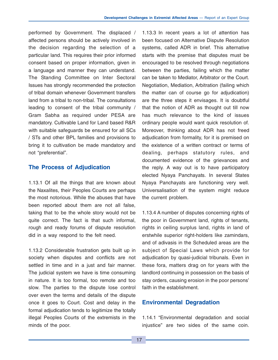performed by Government. The displaced / affected persons should be actively involved in the decision regarding the selection of a particular land. This requires their prior informed consent based on proper information, given in a language and manner they can understand. The Standing Committee on Inter Sectoral Issues has strongly recommended the protection of tribal domain whenever Government transfers land from a tribal to non-tribal. The consultations leading to consent of the tribal community / Gram Sabha as required under PESA are mandatory. Cultivable Land for Land based R&R with suitable safeguards be ensured for all SCs / STs and other BPL families and provisions to bring it to cultivation be made mandatory and not "preferential".

#### **The Process of Adjudication**

1.13.1 Of all the things that are known about the Naxalites, their Peoples Courts are perhaps the most notorious. While the abuses that have been reported about them are not all false, taking that to be the whole story would not be quite correct. The fact is that such informal, rough and ready forums of dispute resolution did in a way respond to the felt need.

1.13.2 Considerable frustration gets built up in society when disputes and conflicts are not settled in time and in a just and fair manner. The judicial system we have is time consuming in nature. It is too formal, too remote and too slow. The parties to the dispute lose control over even the terms and details of the dispute once it goes to Court. Cost and delay in the formal adjudication tends to legitimize the totally illegal Peoples Courts of the extremists in the minds of the poor.

1.13.3 In recent years a lot of attention has been focused on Alternative Dispute Resolution systems, called ADR in brief. This alternative starts with the premise that disputes must be encouraged to be resolved through negotiations between the parties, failing which the matter can be taken to Mediator, Arbitrator or the Court. Negotiation, Mediation, Arbitration (failing which the matter can of course go for adjudication) are the three steps it envisages. It is doubtful that the notion of ADR as thought out till now has much relevance to the kind of issues ordinary people would want quick resolution of. Moreover, thinking about ADR has not freed adjudication from formality, for it is premised on the existence of a written contract or terms of dealing, perhaps statutory rules, and documented evidence of the grievances and the reply. A way out is to have participatory elected Nyaya Panchayats. In several States Nyaya Panchayats are functioning very well. Universalisation of the system might reduce the current problem.

1.13.4 A number of disputes concerning rights of the poor in Government land, rights of tenants, rights in ceiling surplus land, rights in land of erstwhile superior right-holders like zamindars, and of adivasis in the Scheduled areas are the subject of Special Laws which provide for adjudication by quasi-judicial tribunals. Even in these fora, matters drag on for years with the landlord continuing in possession on the basis of stay orders, causing erosion in the poor persons' faith in the establishment.

#### **Environmental Degradation**

1.14.1 "Environmental degradation and social injustice" are two sides of the same coin.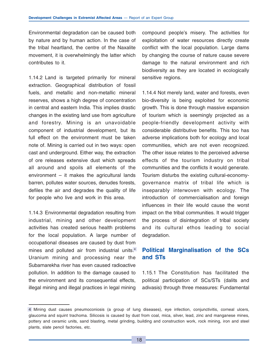Environmental degradation can be caused both by nature and by human action. In the case of the tribal heartland, the centre of the Naxalite movement, it is overwhelmingly the latter which contributes to it.

1.14.2 Land is targeted primarily for mineral extraction. Geographical distribution of fossil fuels, and metallic and non-metallic mineral reserves, shows a high degree of concentration in central and eastern India. This implies drastic changes in the existing land use from agriculture and forestry. Mining is an unavoidable component of industrial development, but its full effect on the environment must be taken note of. Mining is carried out in two ways: open cast and underground. Either way, the extraction of ore releases extensive dust which spreads all around and spoils all elements of the environment – it makes the agricultural lands barren, pollutes water sources, denudes forests, defiles the air and degrades the quality of life for people who live and work in this area.

1.14.3 Environmental degradation resulting from industrial, mining and other development activities has created serious health problems for the local population. A large number of occupational diseases are caused by dust from mines and polluted air from industrial units.<sup>4</sup> Uranium mining and processing near the Subarnarekha river has even caused radioactive pollution. In addition to the damage caused to the environment and its consequential effects, illegal mining and illegal practices in legal mining

compound people's misery. The activities for exploitation of water resources directly create conflict with the local population. Large dams by changing the course of nature cause severe damage to the natural environment and rich biodiversity as they are located in ecologically sensitive regions.

1.14.4 Not merely land, water and forests, even bio-diversity is being exploited for economic growth. This is done through massive expansion of tourism which is seemingly projected as a people-friendly development activity with considerable distributive benefits. This too has adverse implications both for ecology and local communities, which are not even recognized. The other issue relates to the perceived adverse effects of the tourism industry on tribal communities and the conflicts it would generate. Tourism disturbs the existing cultural-economygovernance matrix of tribal life which is inseparably interwoven with ecology. The introduction of commercialisation and foreign influences in their life would cause the worst impact on the tribal communities. It would trigger the process of disintegration of tribal society and its cultural ethos leading to social degradation.

#### **Political Marginalisation of the SCs and STs**

1.15.1 The Constitution has facilitated the political participation of SCs/STs (dalits and adivasis) through three measures: Fundamental

<sup>4</sup> Mining dust causes pneumoconiosis (a group of lung diseases), eye infection, conjunctivitis, corneal ulcers, glaucoma and squint trachoma. Silicosis is caused by dust from coal, mica, silver, lead, zinc and manganese mines, pottery and ceramic units, sand blasting, metal grinding, building and construction work, rock mining, iron and steel plants, slate pencil factories, etc.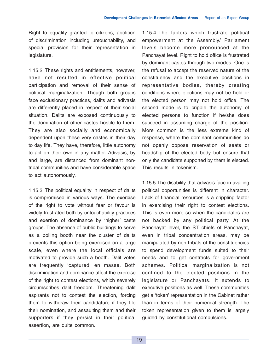Right to equality granted to citizens, abolition of discrimination including untouchability, and special provision for their representation in legislature.

1.15.2 These rights and entitlements, however, have not resulted in effective political participation and removal of their sense of political marginalization. Though both groups face exclusionary practices, dalits and adivasis are differently placed in respect of their social situation. Dalits are exposed continuously to the domination of other castes hostile to them. They are also socially and economically dependent upon these very castes in their day to day life. They have, therefore, little autonomy to act on their own in any matter. Adivasis, by and large, are distanced from dominant nontribal communities and have considerable space to act autonomously.

1.15.3 The political equality in respect of dalits is compromised in various ways. The exercise of the right to vote without fear or favour is widely frustrated both by untouchability practices and exertion of dominance by 'higher' caste groups. The absence of public buildings to serve as a polling booth near the cluster of dalits prevents this option being exercised on a large scale, even where the local officials are motivated to provide such a booth. Dalit votes are frequently 'captured' en masse. Both discrimination and dominance affect the exercise of the right to contest elections, which severely circumscribes dalit freedom. Threatening dalit aspirants not to contest the election, forcing them to withdraw their candidature if they file their nomination, and assaulting them and their supporters if they persist in their political assertion, are quite common.

1.15.4 The factors which frustrate political empowerment at the Assembly/ Parliament levels become more pronounced at the Panchayat level. Right to hold office is frustrated by dominant castes through two modes. One is the refusal to accept the reserved nature of the constituency and the executive positions in representative bodies, thereby creating conditions where elections may not be held or the elected person may not hold office. The second mode is to cripple the autonomy of elected persons to function if he/she does succeed in assuming charge of the position. More common is the less extreme kind of response, where the dominant communities do not openly oppose reservation of seats or headship of the elected body but ensure that only the candidate supported by them is elected. This results in tokenism.

1.15.5 The disability that adivasis face in availing political opportunities is different in character. Lack of financial resources is a crippling factor in exercising their right to contest elections. This is even more so when the candidates are not backed by any political party. At the Panchayat level, the ST chiefs of Panchayat, even in tribal concentration areas, may be manipulated by non-tribals of the constituencies to spend development funds suited to their needs and to get contracts for government schemes. Political marginalization is not confined to the elected positions in the legislature or Panchayats. It extends to executive positions as well. These communities get a 'token' representation in the Cabinet rather than in terms of their numerical strength. The token representation given to them is largely guided by constitutional compulsions.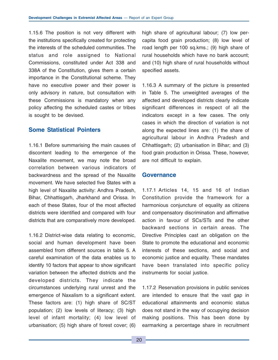1.15.6 The position is not very different with the institutions specifically created for protecting the interests of the scheduled communities. The status and role assigned to National Commissions, constituted under Act 338 and 338A of the Constitution, gives them a certain importance in the Constitutional scheme. They have no executive power and their power is only advisory in nature, but consultation with these Commissions is mandatory when any policy affecting the scheduled castes or tribes is sought to be devised.

#### **Some Statistical Pointers**

1.16.1 Before summarising the main causes of discontent leading to the emergence of the Naxalite movement, we may note the broad correlation between various indicators of backwardness and the spread of the Naxalite movement. We have selected five States with a high level of Naxalite activity: Andhra Pradesh, Bihar, Chhattisgarh, Jharkhand and Orissa. In each of these States, four of the most affected districts were identified and compared with four districts that are comparatively more developed.

1.16.2 District-wise data relating to economic, social and human development have been assembled from different sources in table 5. A careful examination of the data enables us to identify 10 factors that appear to show significant variation between the affected districts and the developed districts. They indicate the circumstances underlying rural unrest and the emergence of Naxalism to a significant extent. These factors are: (1) high share of SC/ST population; (2) low levels of literacy; (3) high level of infant mortality; (4) low level of urbanisation; (5) high share of forest cover; (6) high share of agricultural labour; (7) low percapita food grain production; (8) low level of road length per 100 sq.kms.; (9) high share of rural households which have no bank account; and (10) high share of rural households without specified assets.

1.16.3 A summary of the picture is presented in Table 5. The unweighted averages of the affected and developed districts clearly indicate significant differences in respect of all the indicators except in a few cases. The only cases in which the direction of variation is not along the expected lines are: (1) the share of agricultural labour in Andhra Pradesh and Chhattisgarh; (2) urbanisation in Bihar; and (3) food grain production in Orissa. These, however, are not difficult to explain.

#### **Governance**

1.17.1 Articles 14, 15 and 16 of Indian Constitution provide the framework for a harmonious conjuncture of equality as citizens and compensatory discrimination and affirmative action in favour of SCs/STs and the other backward sections in certain areas. The Directive Principles cast an obligation on the State to promote the educational and economic interests of these sections, and social and economic justice and equality. These mandates have been translated into specific policy instruments for social justice.

1.17.2 Reservation provisions in public services are intended to ensure that the vast gap in educational attainments and economic status does not stand in the way of occupying decision making positions. This has been done by earmarking a percentage share in recruitment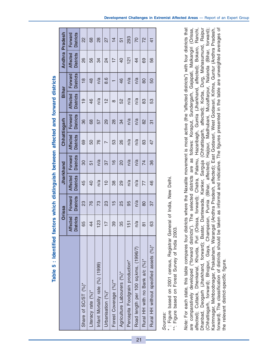|                                        |                                     | <b>Orissa</b>               | Jharkhand                           |                             | Chhattisgarh                        |                             | <b>Bihar</b>                        |                             |                                     | Andhra Pradesh              |
|----------------------------------------|-------------------------------------|-----------------------------|-------------------------------------|-----------------------------|-------------------------------------|-----------------------------|-------------------------------------|-----------------------------|-------------------------------------|-----------------------------|
|                                        | <b>Affected</b><br><b>Districts</b> | <b>Districts</b><br>Forward | <b>Affected</b><br><b>Districts</b> | <b>Districts</b><br>Forward | <b>Affected</b><br><b>Districts</b> | <b>Districts</b><br>Forward | <b>Affected</b><br><b>Districts</b> | <b>Districts</b><br>Forward | <b>Affected</b><br><b>Districts</b> | <b>Districts</b><br>Forward |
| Share of SC/ST (%)*                    | 65                                  | 23                          | 45                                  | 80                          | 69                                  | 36                          | $\frac{1}{2}$                       | $\frac{8}{1}$               | 88                                  | 22                          |
| Literacy rate $(%)^*$                  | $\frac{4}{4}$                       | 76                          | $\overline{6}$                      | 51                          | 50                                  | 89                          | 46                                  | $\frac{8}{4}$               | 56                                  | 89                          |
| Infant Mortality rate (%) (1999)       | 123                                 | 73                          | n/a                                 | n/a                         | 76                                  | 57                          | n/a                                 | n/a                         | 34                                  | 82                          |
| Urbanisation (%)*                      | $\overline{1}$                      | 23                          | $\overline{C}$                      | 22                          | $\overline{\phantom{0}}$            | 29                          | 으                                   | 8.6                         | 24                                  | 27                          |
| Forest Coverage (%)**                  | 39                                  | $\frac{5}{1}$               | 38                                  | $\frac{6}{1}$               | 53                                  | 82                          | $\infty$                            |                             | $\overline{1}$                      | $\overline{4}$              |
| Agriculture Labourers (%)*             | 35                                  | 25                          | 29                                  | 20                          | 26                                  | 34                          | 52                                  | 46                          | $\overline{4}$                      | 51                          |
| Percapita Foodgrain production*        | 151                                 | 95                          | n/a                                 | n/a                         | n/a                                 | n/a                         | n/a                                 | n/a                         | $\frac{1}{2}$                       | 293                         |
| Road length per 100 sq.kms, (1996/7)   | $\overline{\Omega}$                 | $\overline{\Omega}$         | n/a                                 | $\overline{n}/a$            | $\overline{\Omega}$                 | $\overline{\Omega}$         | n/a                                 | $\overline{n}/a$            | $\overline{4}$                      | 20                          |
| Rural HH with no Bank a/c (%)*         | $\overline{\infty}$                 | 80                          | 77                                  | 74                          | 83                                  | 82                          | 83                                  | $\frac{8}{2}$               | 69                                  | 72                          |
| Rural HH without specified assets (%)* | 63                                  | 37                          | 46                                  | 36                          | 47                                  | 51                          | 53                                  | 50                          | 56                                  | $\frac{4}{1}$               |

Table 5: I dentified factors which distinguish between affected and forward districts **Table 5 : Identified factors which distinguish between affected and forward districts**

> Sources: Sources:

\*: Figure based on 2001 census, Registrar General of India, New Delhi. \* : Figure based on 2001 census, Registrar General of India, New Delhi.

\*\*: Figure based on Forest Survey of India 2003. \*\*: Figure based on Forest Survey of India 2003. Note: For each state, this table compares four districts where the Naxalite movement is most active (the "affected districts") with four districts that Note: For each state, this table compares four districts where the Naxalite movement is most active (the "affected districts") with four districts that are comparatively developed ("forward districts"). The selected districts are as follows: Koraput, Sundergarh, Gajapati, Malkangiri (Orissa, Dhanbad, Deogarh (Jharkhand, forward); Bastar, Dantewada, Kanker, Sarguja (Chhattisgarh, affected); Korba, Durg, Mahasumund, Raipur Dhanbad, Deogarh (Jharkhand, forward); Bastar, Dantewada, Kanker, Sarguja (Chhattisgarh, affected); Korba, Durg, Mahasumund, Raipur forward). The classification of districts should be taken as informal and indicative. The figures presented in the table are unweighted averages of forward). The classification of districts should be taken as informal and indicative. The figures presented in the table are unweighted averages of are comparatively developed ("forward districts"). The selected districts are as follows: Koraput, Sundergarh, Gajapati, Malkangiri (Orissa, affected); Cuttack, Dhenkanal, Khurda, Puri (Orissa, forward); Chatra, Palamu, Hazaribagh, Gumla (Jharkhand, affected); Bokaro, Ranchi, affected); Cuttack, Dhenkanal, Khurda, Puri (Orissa, forward); Chatra, Palamu, Hazaribagh, Gumla (Jharkhand, affected); Bokaro, Ranchi, Champaran, Purnia (Bihar, affected); Hajipur, Madhubani, Muzaffarpur, Nalanda (Bihar, forward); (Chhattisgarh, forward); Bhojpur, Gaya, Champaran, Purnia (Bihar, affected); Hajipur, Madhubani, Muzaffarpur, Nalanda (Bihar, forward); Karimnagar, Mehboobnagar, Prakasham, Warangal (Andhra Pradesh, affected); East Godavari, West Godavari, Krihna, Guntur (Andhra Pradesh, Karimnagar, Mehboobnagar, Prakasham, Warangal (Andhra Pradesh, affected); East Godavari, West Godavari, Krihna, Guntur (Andhra Pradesh, (Chhattisgarh, forward); Bhojpur, Gaya, the relevant district-specific figure. the relevant district-specific figure.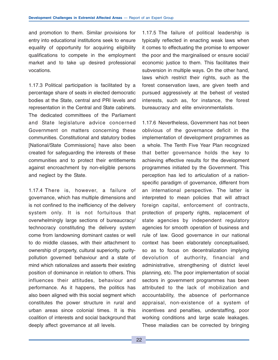and promotion to them. Similar provisions for entry into educational institutions seek to ensure equality of opportunity for acquiring eligibility qualifications to compete in the employment market and to take up desired professional vocations.

1.17.3 Political participation is facilitated by a percentage share of seats in elected democratic bodies at the State, central and PRI levels and representation in the Central and State cabinets. The dedicated committees of the Parliament and State legislature advice concerned Government on matters concerning these communities. Constitutional and statutory bodies [National/State Commissions] have also been created for safeguarding the interests of these communities and to protect their entitlements against encroachment by non-eligible persons and neglect by the State.

1.17.4 There is, however, a failure of governance, which has multiple dimensions and is not confined to the inefficiency of the delivery system only. It is not fortuitous that overwhelmingly large sections of bureaucracy/ technocracy constituting the delivery system come from landowning dominant castes or well to do middle classes, with their attachment to ownership of property, cultural superiority, puritypollution governed behaviour and a state of mind which rationalizes and asserts their existing position of dominance in relation to others. This influences their attitudes, behaviour and performance. As it happens, the politics has also been aligned with this social segment which constitutes the power structure in rural and urban areas since colonial times. It is this coalition of interests and social background that deeply affect governance at all levels.

1.17.5 The failure of political leadership is typically reflected in enacting weak laws when it comes to effectuating the promise to empower the poor and the marginalised or ensure social/ economic justice to them. This facilitates their subversion in multiple ways. On the other hand, laws which restrict their rights, such as the forest conservation laws, are given teeth and pursued aggressively at the behest of vested interests, such as, for instance, the forest bureaucracy and elite environmentalists.

1.17.6 Nevertheless, Government has not been oblivious of the governance deficit in the implementation of development programmes as a whole. The Tenth Five Year Plan recognized that better governance holds the key to achieving effective results for the development programmes initiated by the Government. This perception has led to articulation of a nationspecific paradigm of governance, different from an international perspective. The latter is interpreted to mean policies that will attract foreign capital, enforcement of contracts, protection of property rights, replacement of state agencies by independent regulatory agencies for smooth operation of business and rule of law. Good governance in our national context has been elaborately conceptualised, so as to focus on decentralization implying devolution of authority, financial and administrative, strengthening of district level planning, etc. The poor implementation of social sectors in government programmes has been attributed to the lack of mobilization and accountability, the absence of performance appraisal, non-existence of a system of incentives and penalties, understaffing, poor working conditions and large scale leakages. These maladies can be corrected by bringing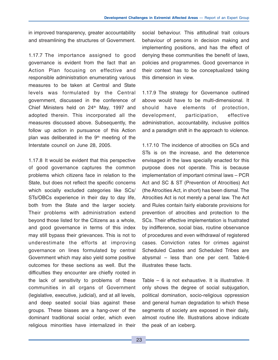in improved transparency, greater accountability and streamlining the structures of Government.

1.17.7 The importance assigned to good governance is evident from the fact that an Action Plan focusing on effective and responsible administration enumerating various measures to be taken at Central and State levels was formulated by the Central government, discussed in the conference of Chief Ministers held on  $24<sup>th</sup>$  May, 1997 and adopted therein. This incorporated all the measures discussed above. Subsequently, the follow up action in pursuance of this Action plan was deliberated in the  $9<sup>th</sup>$  meeting of the Interstate council on June 28, 2005.

1.17.8 It would be evident that this perspective of good governance captures the common problems which citizens face in relation to the State, but does not reflect the specific concerns which socially excluded categories like SCs/ STs/OBCs experience in their day to day life, both from the State and the larger society. Their problems with administration extend beyond those listed for the Citizens as a whole, and good governance in terms of this index may still bypass their grievances. This is not to underestimate the efforts at improving governance on lines formulated by central Government which may also yield some positive outcomes for these sections as well. But the difficulties they encounter are chiefly rooted in the lack of sensitivity to problems of these communities in all organs of Government (legislative, executive, judicial), and at all levels, and deep seated social bias against these groups. These biases are a hang-over of the dominant traditional social order, which even religious minorities have internalized in their

social behaviour. This attitudinal trait colours behaviour of persons in decision making and implementing positions, and has the effect of denying these communities the benefit of laws, policies and programmes. Good governance in their context has to be conceptualized taking this dimension in view.

1.17.9 The strategy for Governance outlined above would have to be multi-dimensional. It should have elements of protection, development, participation, effective administration, accountability, inclusive politics and a paradigm shift in the approach to violence.

1.17.10 The incidence of atrocities on SCs and STs is on the increase, and the deterrence envisaged in the laws specially enacted for this purpose does not operate. This is because implementation of important criminal laws – PCR Act and SC & ST (Prevention of Atrocities) Act (the Atrocities Act, in short) has been dismal. The Atrocities Act is not merely a penal law. The Act and Rules contain fairly elaborate provisions for prevention of atrocities and protection to the SCs. Their effective implementation is frustrated by indifference, social bias, routine observance of procedures and even withdrawal of registered cases. Conviction rates for crimes against Scheduled Castes and Scheduled Tribes are abysmal – less than one per cent. Table-6 illustrates these facts.

Table – 6 is not exhaustive. It is illustrative. It only shows the degree of social subjugation, political domination, socio-religious oppression and general human degradation to which these segments of society are exposed in their daily, almost routine life. Illustrations above indicate the peak of an iceberg.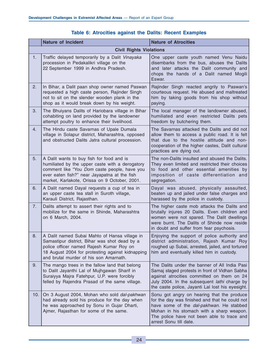|     | <b>Nature of Incident</b>                                                                                                                                                                                                                     | <b>Nature of Atrocities</b>                                                                                                                                                                                                                                   |
|-----|-----------------------------------------------------------------------------------------------------------------------------------------------------------------------------------------------------------------------------------------------|---------------------------------------------------------------------------------------------------------------------------------------------------------------------------------------------------------------------------------------------------------------|
|     | <b>Civil Rights Violations</b>                                                                                                                                                                                                                |                                                                                                                                                                                                                                                               |
| 1.  | Traffic delayed temporarily by a Dalit Vinayaka<br>procession in Pedakalikri village on the<br>22 September 1999 in Andhra Pradesh.                                                                                                           | One upper caste youth named Venu Naidu<br>disembarks from the bus, abuses the Dalits<br>and later attacks the Dalit community and<br>chops the hands of a Dalit named Mogili<br>Eswar.                                                                        |
| 2.  | In Bihar, a Dalit paan shop owner named Paswan<br>requested a high caste person, Rajinder Singh<br>not to sit on the slender wooden plank in the<br>shop as it would break down by his weight.                                                | Rajinder Singh reacted angrily to Paswan's<br>courteous request. He abused and maltreated<br>him by taking goods from his shop without<br>paying.                                                                                                             |
| 3.  | The Bhuiyans Dalits of Hariobara village in Bihar<br>cohabiting on land provided by the landowner<br>attempt poultry to enhance their livelihood.                                                                                             | The local manager of the landowner abused,<br>humiliated and even restricted Dalits pets<br>freedom by butchering them.                                                                                                                                       |
| 4.  | The Hindu caste Savarnas of Upale Dumala<br>village in Solapur district, Maharashtra, opposed<br>and obstructed Dalits Jatra cultural procession.                                                                                             | The Savarnas attacked the Dalits and did not<br>allow them to access a public road. It is felt<br>that due to the hostile attitude and non-<br>cooperation of the higher castes, Dalit cultural<br>practices are dying out.                                   |
| 5.  | A Dalit wants to buy fish for food and is<br>humiliated by the upper caste with a derogatory<br>comment like "You Dom caste people, have you<br>ever eaten fish?" near Jayapatna at the fish<br>market, Karlakote, Orissa on 9 October, 2001. | The non-Dalits insulted and abused the Dalits.<br>They even limited and restricted their choices<br>to food and other essential amenities by<br>imposition of caste differentiation and<br>segregation.                                                       |
| 6.  | A Dalit named Dayal requests a cup of tea in<br>an upper caste tea stall in Suroth village,<br>Karauli District, Rajasthan.                                                                                                                   | Dayal was abused, physically assaulted,<br>beaten up and jailed under false charges and<br>harassed by the police in custody.                                                                                                                                 |
| 7.  | Dalits attempt to assert their rights and to<br>mobilize for the same in Shinde, Maharashtra<br>on 6 March, 2004.                                                                                                                             | The higher caste mob attacks the Dalits and<br>brutally injures 20 Dalits. Even children and<br>women were not spared. The Dalit dwellings<br>were burnt. The Dalits of Shinde now reside<br>in doubt and suffer from fear psychosis.                         |
| 8.  | A Dalit named Subai Mahto of Hansa village in<br>Samastipur district, Bihar was shot dead by a<br>police officer named Rajesh Kumar Roy on<br>18 August 2004 for protesting against kidnapping<br>and brutal murder of his son Amarnath.      | Enjoying the support of police authority and<br>district administration, Rajesh Kumar Roy<br>roughed up Subai, arrested, jailed, and tortured<br>him and eventually killed him in custody.                                                                    |
| 9.  | The mango trees in the fallow land that belong<br>to Dalit Jayanthi Lal of Mujhgawan Sharif in<br>Suraiyya Majra Fatehpur, U.P. were forcibly<br>felled by Rajendra Prasad of the same village.                                               | The Dalits under the banner of All India Pasi<br>Samaj staged protests in front of Vidhan Sabha<br>against atrocities committed on them on 24<br>July 2004. In the subsequent lathi charge by<br>the caste police, Jayanti Lal lost his eyesight.             |
| 10. | On 3 August 2004, Mohan who sold dal-pakhwan<br>had already sold his produce for the day when<br>he was approached by Sonu in Gujar Dharti,<br>Ajmer, Rajasthan for some of the same.                                                         | Sonu got angry on hearing that the produce<br>for the day was finished and that he could not<br>have some of the dal-pakhwan. He stabbed<br>Mohan in his stomach with a sharp weapon.<br>The police have not been able to trace and<br>arrest Sonu till date. |

#### **Table 6: Atrocities against the Dalits: Recent Examples**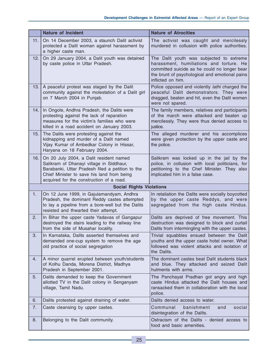|     | <b>Nature of Incident</b>                                                                                                                                                                                                         | <b>Nature of Atrocities</b>                                                                                                                                                                                 |
|-----|-----------------------------------------------------------------------------------------------------------------------------------------------------------------------------------------------------------------------------------|-------------------------------------------------------------------------------------------------------------------------------------------------------------------------------------------------------------|
| 11. | On 14 December 2003, a staunch Dalit activist<br>protected a Dalit woman against harassment by<br>a higher caste man.                                                                                                             | The activist was caught and mercilessly<br>murdered in collusion with police authorities.                                                                                                                   |
| 12. | On 29 January 2004, a Dalit youth was detained<br>by caste police in Uttar Pradesh.                                                                                                                                               | The Dalit youth was subjected to extreme<br>harassment, humiliations and torture. He<br>committed suicide as he could no longer bear<br>the brunt of psychological and emotional pains<br>inflicted on him. |
| 13. | A peaceful protest was staged by the Dalit<br>community against the molestation of a Dalit girl<br>on 7 March 2004 in Punjab.                                                                                                     | Police opposed and violently lathi charged the<br>peaceful Dalit demonstrators. They were<br>dragged, beaten and hit, even the Dalit women<br>were not spared.                                              |
| 14. | In Ongole, Andhra Pradesh, the Dalits were<br>protesting against the lack of reparation<br>measures for the victim's families who were<br>killed in a road accident on January 2003.                                              | The family members, relatives and participants<br>of the march were attacked and beaten up<br>mercilessly. They were thus denied access to<br>justice.                                                      |
| 15. | The Dalits were protesting against the<br>kidnapping and murder of a Dalit named<br>Vijay Kumar of Ambedkar Colony in Hissar,<br>Haryana on 18 February 2004.                                                                     | The alleged murderer and his accomplices<br>were given protection by the upper caste and<br>the police.                                                                                                     |
| 16. | On 20 July 2004, a Dalit resident named<br>Salikram of Dhanayi village in Siddhaur,<br>Barabanki, Uttar Pradesh filed a petition to the<br>Chief Minister to save his land from being<br>acquired for the construction of a road. | Salikram was locked up in the jail by the<br>police, in collusion with local politicians, for<br>petitioning to the Chef Minister. They also<br>implicated him in a false case.                             |
|     | <b>Social Rights Violations</b>                                                                                                                                                                                                   |                                                                                                                                                                                                             |
| 1.  | On 12 June 1999, in Gajulamandyam, Andhra<br>Pradesh, the dominant Reddy castes attempted<br>to lay a pipeline from a bore-well but the Dalits<br>resisted and thwarted their attempt.                                            | In retaliation the Dalits were socially boycotted<br>by the upper caste Reddys, and were<br>segregated from the high caste Hindus.                                                                          |
| 2.  | In Bihar the upper caste Yadavas of Gangapur<br>destroyed the stairs leading to the railway line<br>from the side of Musahar locality.                                                                                            | Dalits are deprived of free movement. This<br>destruction was designed to block and curtail<br>Dalits from intermingling with the upper castes.                                                             |
| 3.  | In Karnataka, Dalits asserted themselves and<br>demanded one-cup system to remove the age<br>old practice of social segregation                                                                                                   | Trivial squabbles ensued between the Dalit<br>youths and the upper caste hotel owner. What<br>followed was violent attacks and isolation of<br>the Dalits.                                                  |
| 4.  | A minor quarrel erupted between youth/students<br>of Kolhu Danda, Morena District, Madhya<br>Pradesh in September 2001.                                                                                                           | The dominant castes beat Dalit students black<br>and blue. They attacked and seized Dalit<br>hutments with arms.                                                                                            |
| 5.  | Dalits demanded to keep the Government<br>allotted TV in the Dalit colony in Senganyam<br>village, Tamil Nadu.                                                                                                                    | The Panchayat Pradhan got angry and high<br>caste Hindus attacked the Dalit houses and<br>ransacked them in collaboration with the local<br>police.                                                         |
| 6.  | Dalits protested against draining of water.                                                                                                                                                                                       | Dalits denied access to water.                                                                                                                                                                              |
| 7.  | Caste cleansing by upper castes.                                                                                                                                                                                                  | banishment<br>Communal<br>and<br>social<br>disintegration of the Dalits.                                                                                                                                    |
| 8.  | Belonging to the Dalit community.                                                                                                                                                                                                 | Ostracism of the Dalits - denied access to<br>food and basic amenities.                                                                                                                                     |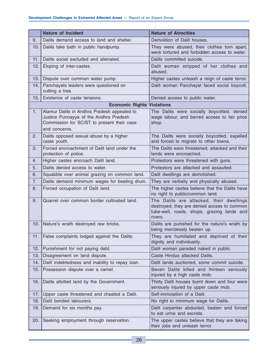|     | <b>Nature of Incident</b>                                                                                                                            | <b>Nature of Atrocities</b>                                                                                                                      |
|-----|------------------------------------------------------------------------------------------------------------------------------------------------------|--------------------------------------------------------------------------------------------------------------------------------------------------|
| 9.  | Dalits demand access to land and shelter.                                                                                                            | Demolition of Dalit houses.                                                                                                                      |
| 10. | Dalits take bath in public handpump.                                                                                                                 | They were abused, their clothes torn apart,<br>were tortured and forbidden access to water.                                                      |
| 11. | Dalits social excluded and alienated.                                                                                                                | Dalits committed suicide.                                                                                                                        |
| 12. | Eloping of inter-castes.                                                                                                                             | Dalit woman stripped of her clothes and<br>abused.                                                                                               |
| 13. | Dispute over common water pump.                                                                                                                      | Higher castes unleash a reign of caste terror.                                                                                                   |
| 14. | Panchayats leaders were questioned on<br>cutting a tree.                                                                                             | Dalit woman Panchayat faced social boycott.                                                                                                      |
| 15. | Existence of caste tensions.                                                                                                                         | Denied access to public water.                                                                                                                   |
|     | <b>Economic Rights Violations</b>                                                                                                                    |                                                                                                                                                  |
| 1.  | Alamur Dalits in Andhra Pradesh appealed to<br>Justice Punnayya of the Andhra Pradesh<br>Commission for SC/ST to present their case<br>and concerns. | The Dalits were socially boycotted, denied<br>wage labour, and barred access to fair price<br>shop.                                              |
| 2.  | Dalits opposed sexual abuse by a higher<br>caste youth.                                                                                              | The Dalits were socially boycotted, expelled<br>and forced to migrate to other towns.                                                            |
| 3.  | Forced encroachment of Dalit land under the<br>protection of police.                                                                                 | The Dalits were threatened, attacked and their<br>lands were encroached.                                                                         |
| 4.  | Higher castes encroach Dalit land.                                                                                                                   | Protestors were threatened with guns.                                                                                                            |
| 5.  | Dalits denied access to water.                                                                                                                       | Protestors are attacked and assaulted.                                                                                                           |
| 6.  | Squabble over animal grazing on common land.                                                                                                         | Dalit dwellings are demolished.                                                                                                                  |
| 7.  | Dalits demand minimum wages for beating drum.                                                                                                        | They are verbally and physically abused.                                                                                                         |
| 8.  | Forced occupation of Dalit land.                                                                                                                     | The higher castes believe that the Dalits have<br>no right to public/common land.                                                                |
| 9.  | Quarrel over common border cultivated land.                                                                                                          | The Dalits are attacked, their dwellings<br>destroyed, they are denied access to common<br>tube-well, roads, shops, grazing lands and<br>rivers. |
| 10. | Nature's wrath destroyed raw bricks.                                                                                                                 | Dalits are punished for the nature's wrath by<br>being mercilessly beaten up.                                                                    |
| 11. | False complaints lodged against the Dalits.                                                                                                          | They are humiliated and deprived of their<br>dignity and individuality.                                                                          |
| 12. | Punishment for not paying debt.                                                                                                                      | Dalit woman paraded naked in public.                                                                                                             |
| 13. | Disagreement on land dispute.                                                                                                                        | Caste Hindus attacked Dalits.                                                                                                                    |
| 14. | Dalit indebtedness and inability to repay loan.                                                                                                      | Dalit lands auctioned, some commit suicide.                                                                                                      |
| 15. | Possession dispute over a camel.                                                                                                                     | Seven Dalits killed and thirteen seriously<br>injured by a high caste mob.                                                                       |
| 16. | Dalits allotted land by the Government.                                                                                                              | Thirty Dalit houses burnt down and four were<br>seriously injured by upper caste mob.                                                            |
| 17. | Upper caste threatened and cheated a Dalit.                                                                                                          | Self-immolation of a Dalit.                                                                                                                      |
| 18. | Dalit bonded labourers.                                                                                                                              | No right to minimum wage for Dalits.                                                                                                             |
| 19. | Demand for six months pay.                                                                                                                           | Dalit carpenter abducted, beaten and forced<br>to eat urine and excreta.                                                                         |
| 20. | Seeking employment through reservation.                                                                                                              | The upper castes believe that they are taking<br>their jobs and unleash terror.                                                                  |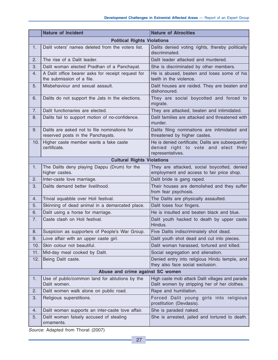|     | <b>Nature of Incident</b>                                                         | <b>Nature of Atrocities</b>                                                                                   |
|-----|-----------------------------------------------------------------------------------|---------------------------------------------------------------------------------------------------------------|
|     | <b>Political Rights Violations</b>                                                |                                                                                                               |
| 1.  | Dalit voters' names deleted from the voters list.                                 | Dalits denied voting rights, thereby politically<br>discriminated.                                            |
| 2.  | The rise of a Dalit leader.                                                       | Dalit leader attacked and murdered.                                                                           |
| 3.  | Dalit woman elected Pradhan of a Panchayat.                                       | She is discriminated by other members.                                                                        |
| 4.  | A Dalit office bearer asks for receipt request for<br>the submission of a file.   | He is abused, beaten and loses some of his<br>teeth in the violence.                                          |
| 5.  | Misbehaviour and sexual assault.                                                  | Dalit houses are raided. They are beaten and<br>dishonoured.                                                  |
| 6.  | Dalits do not support the Jats in the elections.                                  | They are social boycotted and forced to<br>migrate.                                                           |
| 7.  | Dalit functionaries are elected.                                                  | They are attacked, beaten and intimidated.                                                                    |
| 8.  | Dalits fail to support motion of no-confidence.                                   | Dalit families are attacked and threatened with<br>murder.                                                    |
| 9.  | Dalits are asked not to file nominations for<br>reserved posts in the Panchayats. | Dalits filing nominations are intimidated and<br>threatened by higher castes.                                 |
| 10. | Higher caste member wants a fake caste<br>certificate.                            | He is denied certificate; Dalits are subsequently<br>denied right to vote and elect their<br>representatives. |
|     | <b>Cultural Rights Violations</b>                                                 |                                                                                                               |
| 1.  | The Dalits deny playing Dappu (Drum) for the<br>higher castes.                    | They are attacked, social boycotted, denied<br>employment and access to fair price shop.                      |
| 2.  | Inter-caste love marriage.                                                        | Dalit bride is gang raped.                                                                                    |
| 3.  | Dalits demand better livelihood.                                                  | Their houses are demolished and they suffer<br>from fear psychosis.                                           |
| 4.  | Trivial squabble over Holi festival.                                              | The Dalits are physically assaulted.                                                                          |
| 5.  | Skinning of dead animal in a demarcated place.                                    | Dalit loses four fingers.                                                                                     |
| 6.  | Dalit using a horse for marriage.                                                 | He is insulted and beaten black and blue.                                                                     |
| 7.  | Caste clash on Holi festival.                                                     | Dalit youth hacked to death by upper caste<br>Hindus.                                                         |
| 8.  | Suspicion as supporters of People's War Group                                     | Five Dalits indiscriminately shot dead.                                                                       |
| 9.  | Love affair with an upper caste girl.                                             | Dalit youth shot dead and cut into pieces.                                                                    |
| 10. | Skin colour not beautiful.                                                        | Dalit woman harassed, tortured and killed.                                                                    |
| 11. | Mid-day meal cooked by Dalit.                                                     | Social segregation and alienation.                                                                            |
| 12. | Being Dalit caste.                                                                | Denied entry into religious Hindu temple, and<br>they also face social exclusion.                             |
|     | Abuse and crime against SC women                                                  |                                                                                                               |
| 1.  | Use of public/common land for ablutions by the<br>Dalit women.                    | High caste mob attack Dalit villages and parade<br>Dalit women by stripping her of her clothes.               |
| 2.  | Dalit women walk alone on public road.                                            | Rape and humiliation.                                                                                         |
| 3.  | Religious superstitions.                                                          | Forced Dalit young girls into religious<br>prostitution (Devdasis).                                           |
| 4.  | Dalit woman supports an inter-caste love affair.                                  | She is paraded naked.                                                                                         |
| 5.  | Dalit woman falsely accused of stealing<br>ornaments.                             | She is arrested, jailed and tortured to death.                                                                |
|     |                                                                                   |                                                                                                               |

Source: Adapted from Thorat (2007)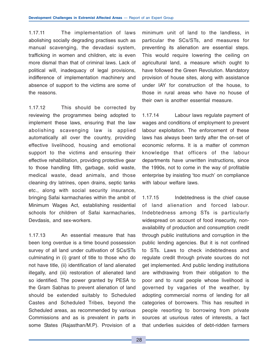1.17.11 The implementation of laws abolishing socially degrading practises such as manual scavenging, the devadasi system, trafficking in women and children, etc is even more dismal than that of criminal laws. Lack of political will, inadequacy of legal provisions, indifference of implementation machinery and absence of support to the victims are some of the reasons.

1.17.12 This should be corrected by reviewing the programmes being adopted to implement these laws, ensuring that the law abolishing scavenging law is applied automatically all over the country, providing effective livelihood, housing and emotional support to the victims and ensuring their effective rehabilitation, providing protective gear to those handling filth, garbage, solid waste, medical waste, dead animals, and those cleaning dry latrines, open drains, septic tanks etc., along with social security insurance, bringing Safai karmacharies within the ambit of Minimum Wages Act, establishing residential schools for children of Safai karmacharies, Devdasis, and sex-workers.

1.17.13 An essential measure that has been long overdue is a time bound possession survey of all land under cultivation of SCs/STs culminating in (i) grant of title to those who do not have title, (ii) identification of land alienated illegally, and (iii) restoration of alienated land so identified. The power granted by PESA to the Gram Sabhas to prevent alienation of land should be extended suitably to Scheduled Castes and Scheduled Tribes, beyond the Scheduled areas, as recommended by various Commissions and as is prevalent in parts in some States (Rajasthan/M.P). Provision of a

minimum unit of land to the landless, in particular the SCs/STs, and measures for preventing its alienation are essential steps. This would require lowering the ceiling on agricultural land, a measure which ought to have followed the Green Revolution. Mandatory provision of house sites, along with assistance under IAY for construction of the house, to those in rural areas who have no house of their own is another essential measure.

1.17.14 Labour laws regulate payment of wages and conditions of employment to prevent labour exploitation. The enforcement of these laws has always been tardy after the on-set of economic reforms. It is a matter of common knowledge that officers of the labour departments have unwritten instructions, since the 1990s, not to come in the way of profitable enterprise by insisting 'too much' on compliance with labour welfare laws.

1.17.15 Indebtedness is the chief cause of land alienation and forced labour. Indebtedness among STs is particularly widespread on account of food insecurity, nonavailability of production and consumption credit through public institutions and corruption in the public lending agencies. But it is not confined to STs. Laws to check indebtedness and regulate credit through private sources do not get implemented. And public lending institutions are withdrawing from their obligation to the poor and to rural people whose livelihood is governed by vagaries of the weather, by adopting commercial norms of lending for all categories of borrowers. This has resulted in people resorting to borrowing from private sources at usurious rates of interests, a fact that underlies suicides of debt-ridden farmers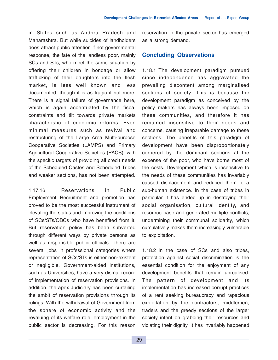in States such as Andhra Pradesh and Maharashtra. But while suicides of landholders does attract public attention if not governmental response, the fate of the landless poor, mainly SCs and STs, who meet the same situation by offering their children in bondage or allow trafficking of their daughters into the flesh market, is less well known and less documented, though it is as tragic if not more. There is a signal failure of governance here, which is again accentuated by the fiscal constraints and tilt towards private markets characteristic of economic reforms. Even minimal measures such as revival and restructuring of the Large Area Multi-purpose Cooperative Societies (LAMPS) and Primary Agricultural Cooperative Societies (PACS), with the specific targets of providing all credit needs of the Scheduled Castes and Scheduled Tribes and weaker sections, has not been attempted.

1.17.16 Reservations in Public Employment Recruitment and promotion has proved to be the most successful instrument of elevating the status and improving the conditions of SCs/STs/OBCs who have benefited from it. But reservation policy has been subverted through different ways by private persons as well as responsible public officials. There are several jobs in professional categories where representation of SCs/STs is either non-existent or negligible. Government-aided institutions, such as Universities, have a very dismal record of implementation of reservation provisions. In addition, the apex Judiciary has been curtailing the ambit of reservation provisions through its rulings. With the withdrawal of Government from the sphere of economic activity and the revaluing of its welfare role, employment in the public sector is decreasing. For this reason

reservation in the private sector has emerged as a strong demand.

#### **Concluding Observations**

1.18.1 The development paradigm pursued since independence has aggravated the prevailing discontent among marginalised sections of society. This is because the development paradigm as conceived by the policy makers has always been imposed on these communities, and therefore it has remained insensitive to their needs and concerns, causing irreparable damage to these sections. The benefits of this paradigm of development have been disproportionately cornered by the dominant sections at the expense of the poor, who have borne most of the costs. Development which is insensitive to the needs of these communities has invariably caused displacement and reduced them to a sub-human existence. In the case of tribes in particular it has ended up in destroying their social organisation, cultural identity, and resource base and generated multiple conflicts, undermining their communal solidarity, which cumulatively makes them increasingly vulnerable to exploitation.

1.18.2 In the case of SCs and also tribes, protection against social discrimination is the essential condition for the enjoyment of any development benefits that remain unrealised. The pattern of development and its implementation has increased corrupt practices of a rent seeking bureaucracy and rapacious exploitation by the contractors, middlemen, traders and the greedy sections of the larger society intent on grabbing their resources and violating their dignity. It has invariably happened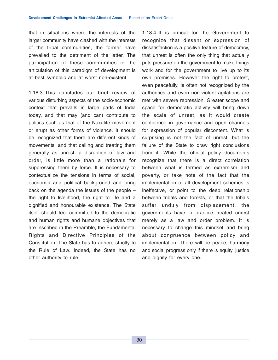that in situations where the interests of the larger community have clashed with the interests of the tribal communities, the former have prevailed to the detriment of the latter. The participation of these communities in the articulation of this paradigm of development is at best symbolic and at worst non-existent.

1.18.3 This concludes our brief review of various disturbing aspects of the socio-economic context that prevails in large parts of India today, and that may (and can) contribute to politics such as that of the Naxalite movement or erupt as other forms of violence. It should be recognized that there are different kinds of movements, and that calling and treating them generally as unrest, a disruption of law and order, is little more than a rationale for suppressing them by force. It is necessary to contextualize the tensions in terms of social, economic and political background and bring back on the agenda the issues of the people – the right to livelihood, the right to life and a dignified and honourable existence. The State itself should feel committed to the democratic and human rights and humane objectives that are inscribed in the Preamble, the Fundamental Rights and Directive Principles of the Constitution. The State has to adhere strictly to the Rule of Law. Indeed, the State has no other authority to rule.

1.18.4 It is critical for the Government to recognize that dissent or expression of dissatisfaction is a positive feature of democracy, that unrest is often the only thing that actually puts pressure on the government to make things work and for the government to live up to its own promises. However the right to protest, even peacefully, is often not recognized by the authorities and even non-violent agitations are met with severe repression. Greater scope and space for democratic activity will bring down the scale of unrest, as it would create confidence in governance and open channels for expression of popular discontent. What is surprising is not the fact of unrest, but the failure of the State to draw right conclusions from it. While the official policy documents recognize that there is a direct correlation between what is termed as extremism and poverty, or take note of the fact that the implementation of all development schemes is ineffective, or point to the deep relationship between tribals and forests, or that the tribals suffer unduly from displacement, the governments have in practice treated unrest merely as a law and order problem. It is necessary to change this mindset and bring about congruence between policy and implementation. There will be peace, harmony and social progress only if there is equity, justice and dignity for every one.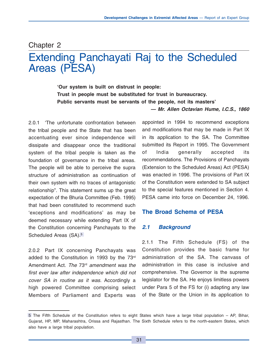# Chapter 2 Extending Panchayati Raj to the Scheduled Areas (PESA)

**'Our system is built on distrust in people: Trust in people must be substituted for trust in bureaucracy. Public servants must be servants of the people, not its masters' — Mr. Allen Octavian Hume, I.C.S., 1860**

2.0.1 'The unfortunate confrontation between the tribal people and the State that has been accentuating ever since independence will dissipate and disappear once the traditional system of the tribal people is taken as the foundation of governance in the tribal areas. The people will be able to perceive the supra structure of administration as continuation of their own system with no traces of antagonistic relationship". This statement sums up the great expectation of the Bhuria Committee (Feb. 1995) that had been constituted to recommend such 'exceptions and modifications' as may be deemed necessary while extending Part IX of the Constitution concerning Panchayats to the Scheduled Areas (SA).<sup>5</sup>

2.0.2 Part IX concerning Panchayats was added to the Constitution in 1993 by the 73rd Amendment Act. The 73<sup>rd</sup> amendment was the first ever law after independence which did not cover SA in routine as it was. Accordingly a high powered Committee comprising select Members of Parliament and Experts was

appointed in 1994 to recommend exceptions and modifications that may be made in Part IX in its application to the SA. The Committee submitted its Report in 1995. The Government of India generally accepted its recommendations. The Provisions of Panchayats (Extension to the Scheduled Areas) Act (PESA) was enacted in 1996. The provisions of Part IX of the Constitution were extended to SA subject to the special features mentioned in Section 4. PESA came into force on December 24, 1996.

# **The Broad Schema of PESA**

#### **2.1 Background**

2.1.1 The Fifth Schedule (FS) of the Constitution provides the basic frame for administration of the SA. The canvass of administration in this case is inclusive and comprehensive. The Governor is the supreme legislator for the SA. He enjoys limitless powers under Para 5 of the FS for (i) adapting any law of the State or the Union in its application to

<sup>5</sup> The Fifth Schedule of the Constitution refers to eight States which have a large tribal population – AP, Bihar, Gujarat, HP, MP, Maharashtra, Orissa and Rajasthan. The Sixth Schedule refers to the north-eastern States, which also have a large tribal population.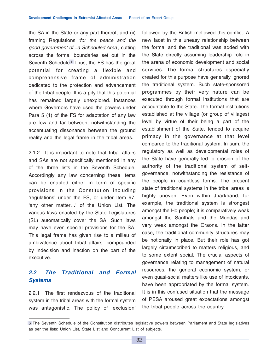the SA in the State or any part thereof, and (ii) framing Regulations 'for the peace and the good government of...a Scheduled Area', cutting across the formal boundaries set out in the Seventh Schedule.<sup>6</sup> Thus, the FS has the great potential for creating a flexible and comprehensive frame of administration dedicated to the protection and advancement of the tribal people. It is a pity that this potential has remained largely unexplored. Instances where Governors have used the powers under Para 5 (1) of the FS for adaptation of any law are few and far between, notwithstanding the accentuating dissonance between the ground reality and the legal frame in the tribal areas.

2.1.2 It is important to note that tribal affairs and SAs are not specifically mentioned in any of the three lists in the Seventh Schedule. Accordingly any law concerning these items can be enacted either in term of specific provisions in the Constitution including 'regulations' under the FS, or under Item 97, 'any other matter…' of the Union List. The various laws enacted by the State Legislatures (SL) automatically cover the SA. Such laws may have even special provisions for the SA. This legal frame has given rise to a milieu of ambivalence about tribal affairs, compounded by indecision and inaction on the part of the executive.

# **2.2 The Traditional and Formal Systems**

2.2.1 The first rendezvous of the traditional system in the tribal areas with the formal system was antagonistic. The policy of 'exclusion' followed by the British mellowed this conflict. A new facet in this uneasy relationship between the formal and the traditional was added with the State directly assuming leadership role in the arena of economic development and social services. The formal structures especially created for this purpose have generally ignored the traditional system. Such state-sponsored programmes by their very nature can be executed through formal institutions that are accountable to the State. The formal institutions established at the village (or group of villages) level by virtue of their being a part of the establishment of the State, tended to acquire primacy in the governance at that level compared to the traditional system. In sum, the regulatory as well as developmental roles of the State have generally led to erosion of the authority of the traditional system of selfgovernance, notwithstanding the resistance of the people in countless forms. The present state of traditional systems in the tribal areas is highly uneven. Even within Jharkhand, for example, the traditional system is strongest amongst the Ho people; it is comparatively weak amongst the Santhals and the Mundas and very weak amongst the Oraons. In the latter case, the traditional community structures may be notionally in place. But their role has got largely circumscribed to matters religious, and to some extent social. The crucial aspects of governance relating to management of natural resources, the general economic system, or even quasi-social matters like use of intoxicants, have been appropriated by the formal system. It is in this confused situation that the message of PESA aroused great expectations amongst the tribal people across the country.

<sup>6</sup> The Seventh Schedule of the Constitution distributes legislative powers between Parliament and State legislatives as per the lists: Union List, State List and Concurrent List of subjects.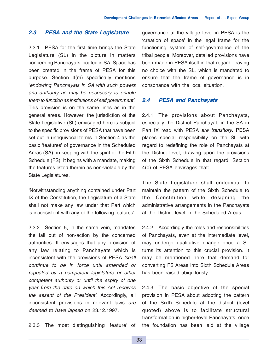#### **2.3 PESA and the State Legislature**

2.3.1 PESA for the first time brings the State Legislature (SL) in the picture in matters concerning Panchayats located in SA. Space has been created in the frame of PESA for this purpose. Section 4(m) specifically mentions 'endowing Panchayats in SA with such powers and authority as may be necessary to enable them to function as institutions of self government'. This provision is on the same lines as in the general areas. However, the jurisdiction of the State Legislative (SL) envisaged here is subject to the specific provisions of PESA that have been set out in unequivocal terms in Section 4 as the basic 'features' of governance in the Scheduled Areas (SA), in keeping with the spirit of the Fifth Schedule (FS). It begins with a mandate, making the features listed therein as non-violable by the State Legislatures.

'Notwithstanding anything contained under Part IX of the Constitution, the Legislature of a State shall not make any law under that Part which is inconsistent with any of the following features'.

2.3.2 Section 5, in the same vein, mandates the fall out of non-action by the concerned authorities. It envisages that any provision of any law relating to Panchayats which is inconsistent with the provisions of PESA 'shall continue to be in force until amended or repealed by a competent legislature or other competent authority or until the expiry of one year from the date on which this Act receives the assent of the President'. Accordingly, all inconsistent provisions in relevant laws are deemed to have lapsed on 23.12.1997.

2.3.3 The most distinguishing 'feature' of

governance at the village level in PESA is the 'creation of space' in the legal frame for the functioning system of self-governance of the tribal people. Moreover, detailed provisions have been made in PESA itself in that regard, leaving no choice with the SL, which is mandated to ensure that the frame of governance is in consonance with the local situation.

#### **2.4 PESA and Panchayats**

2.4.1 The provisions about Panchayats, especially the District Panchayat, in the SA in Part IX read with PESA are transitory. PESA places special responsibility on the SL with regard to redefining the role of Panchayats at the District level, drawing upon the provisions of the Sixth Schedule in that regard. Section 4(o) of PESA envisages that:

The State Legislature shall endeavour to maintain the pattern of the Sixth Schedule to the Constitution while designing the administrative arrangements in the Panchayats at the District level in the Scheduled Areas.

2.4.2 Accordingly the roles and responsibilities of Panchayats, even at the intermediate level, may undergo qualitative change once a SL turns its attention to this crucial provision. It may be mentioned here that demand for converting FS Areas into Sixth Schedule Areas has been raised ubiquitously.

2.4.3 The basic objective of the special provision in PESA about adopting the pattern of the Sixth Schedule at the district (level quoted) above is to facilitate structural transformation in higher-level Panchayats, once the foundation has been laid at the village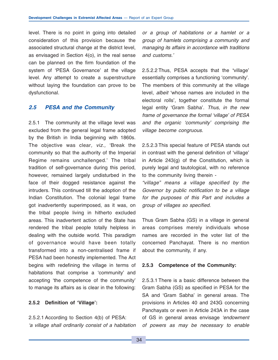level. There is no point in going into detailed consideration of this provision because the associated structural change at the district level, as envisaged in Section 4(o), in the real sense can be planned on the firm foundation of the system of 'PESA Governance' at the village level. Any attempt to create a superstructure without laying the foundation can prove to be dysfunctional.

#### **2.5 PESA and the Community**

2.5.1 The community at the village level was excluded from the general legal frame adopted by the British in India beginning with 1860s. The objective was clear, viz., 'Break the community so that the authority of the Imperial Regime remains unchallenged.' The tribal tradition of self-governance during this period, however, remained largely undisturbed in the face of their dogged resistance against the intruders. This continued till the adoption of the Indian Constitution. The colonial legal frame got inadvertently superimposed, as it was, on the tribal people living in hitherto excluded areas. This inadvertent action of the State has rendered the tribal people totally helpless in dealing with the outside world. This paradigm of governance would have been totally transformed into a non-centralised frame if PESA had been honestly implemented. The Act begins with redefining the village in terms of habitations that comprise a 'community' and accepting 'the competence of the community' to manage its affairs as is clear in the following:

#### **2.5.2 Definition of 'Village':**

2.5.2.1 According to Section 4(b) of PESA: 'a village shall ordinarily consist of a habitation or a group of habitations or a hamlet or a group of hamlets comprising a community and managing its affairs in accordance with traditions and customs.'

2.5.2.2 Thus, PESA accepts that the **'**village' essentially comprises a functioning 'community'. The members of this community at the village level, albeit 'whose names are included in the electoral rolls', together constitute the formal legal entity 'Gram Sabha'. Thus, in the new frame of governance the formal 'village' of PESA and the organic 'community' comprising the village become congruous.

2.5.2.3 This special feature of PESA stands out in contrast with the general definition of 'village' in Article 243(g) of the Constitution, which is purely legal and tautological, with no reference to the community living therein -

"village" means a village specified by the Governor by public notification to be a village for the purposes of this Part and includes a group of villages so specified.

Thus Gram Sabha (GS) in a village in general areas comprises merely individuals whose names are recorded in the voter list of the concerned Panchayat. There is no mention about the community, if any.

#### **2.5.3 Competence of the Community:**

2.5.3.1 There is a basic difference between the Gram Sabha (GS) as specified in PESA for the SA and 'Gram Sabha' in general areas. The provisions in Articles 40 and 243G concerning Panchayats or even in Article 243A in the case of GS in general areas envisage 'endowment of powers as may be necessary to enable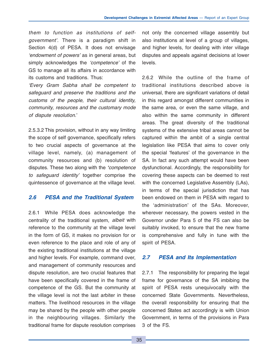them to function as institutions of selfgovernment'. There is a paradigm shift in Section 4(d) of PESA. It does not envisage 'endowment of powers' as in general areas, but simply acknowledges the 'competence' of the GS to manage all its affairs in accordance with its customs and traditions. Thus:

'Every Gram Sabha shall be competent to safeguard and preserve the traditions and the customs of the people, their cultural identity, community, resources and the customary mode of dispute resolution.'

2.5.3.2 This provision, without in any way limiting the scope of self governance, specifically refers to two crucial aspects of governance at the village level, namely, (a) management of community resources and (b) resolution of disputes. These two along with the **'**competence to safeguard identity' together comprise the quintessence of governance at the village level.

#### **2.6 PESA and the Traditional System**

2.6.1 While PESA does acknowledge the centrality of the traditional system, albeit with reference to the community at the village level in the form of GS, it makes no provision for or even reference to the place and role of any of the existing traditional institutions at the village and higher levels. For example, command over, and management of community resources and dispute resolution, are two crucial features that have been specifically covered in the frame of competence of the GS. But the community at the village level is not the last arbiter in these matters. The livelihood resources in the village may be shared by the people with other people in the neighbouring villages. Similarly the traditional frame for dispute resolution comprises

not only the concerned village assembly but also institutions at level of a group of villages, and higher levels, for dealing with inter village disputes and appeals against decisions at lower levels.

2.6.2 While the outline of the frame of traditional institutions described above is universal, there are significant variations of detail in this regard amongst different communities in the same area, or even the same village, and also within the same community in different areas. The great diversity of the traditional systems of the extensive tribal areas cannot be captured within the ambit of a single central legislation like PESA that aims to cover only the special 'features' of the governance in the SA. In fact any such attempt would have been dysfunctional. Accordingly, the responsibility for covering these aspects can be deemed to rest with the concerned Legislative Assembly (LAs), in terms of the special jurisdiction that has been endowed on them in PESA with regard to the 'administration' of the SAs. Moreover, wherever necessary, the powers vested in the Governor under Para 5 of the FS can also be suitably invoked, to ensure that the new frame is comprehensive and fully in tune with the spirit of PESA.

#### **2.7 PESA and Its Implementation**

2.7.1 The responsibility for preparing the legal frame for governance of the SA imbibing the spirit of PESA rests unequivocally with the concerned State Governments. Nevertheless, the overall responsibility for ensuring that the concerned States act accordingly is with Union Government, in terms of the provisions in Para 3 of the FS.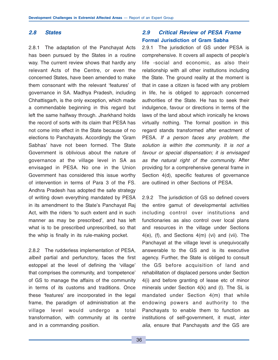#### **2.8 States**

2.8.1 The adaptation of the Panchayat Acts has been pursued by the States in a routine way. The current review shows that hardly any relevant Acts of the Centre, or even the concerned States, have been amended to make them consonant with the relevant 'features' of governance in SA. Madhya Pradesh, including Chhattisgarh, is the only exception, which made a commendable beginning in this regard but left the same halfway through. Jharkhand holds the record of sorts with its claim that PESA has not come into effect in the State because of no elections to Panchayats. Accordingly the 'Gram Sabhas' have not been formed. The State Government is oblivious about the nature of governance at the village level in SA as envisaged in PESA. No one in the Union Government has considered this issue worthy of intervention in terms of Para 3 of the FS. Andhra Pradesh has adopted the safe strategy of writing down everything mandated by PESA in its amendment to the State's Panchayat Raj Act, with the riders 'to such extent and in such manner as may be prescribed', and has left what is to be prescribed unprescribed, so that the whip is finally in its rule-making pocket.

2.8.2 The rudderless implementation of PESA, albeit partial and perfunctory, faces the first estoppel at the level of defining the 'village' that comprises the community, and 'competence' of GS to manage the affairs of the community in terms of its customs and traditions. Once these 'features' are incorporated in the legal frame, the paradigm of administration at the village level would undergo a total transformation, with community at its centre and in a commanding position.

### **2.9 Critical Review of PESA Frame Formal Jurisdiction of Gram Sabha**

2.9.1 The jurisdiction of GS under PESA is comprehensive. It covers all aspects of people's life -social and economic, as also their relationship with all other institutions including the State. The ground reality at the moment is that in case a citizen is faced with any problem in life, he is obliged to approach concerned authorities of the State. He has to seek their indulgence, favour or directions in terms of the laws of the land about which ironically he knows virtually nothing. The formal position in this regard stands transformed after enactment of PESA. If a person faces any problem, the solution is within the community. It is not a favour or special dispensation; it is envisaged as the natural right of the community. After providing for a comprehensive general frame in Section 4(d), specific features of governance are outlined in other Sections of PESA.

2.9.2 The jurisdiction of GS so defined covers the entire gamut of developmental activities including control over institutions and functionaries as also control over local plans and resources in the village under Sections 4(e), (f), and Sections 4(m) (vi) and (vii). The Panchayat at the village level is unequivocally answerable to the GS and is its executive agency. Further, the State is obliged to consult the GS before acquisition of land and rehabilitation of displaced persons under Section 4(i) and before granting of lease etc of minor minerals under Section 4(k) and (l). The SL is mandated under Section 4(m) that while endowing powers and authority to the Panchayats to enable them to function as institutions of self-government, it must, inter alia, ensure that Panchayats and the GS are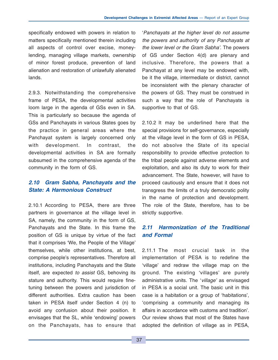specifically endowed with powers in relation to matters specifically mentioned therein including all aspects of control over excise, moneylending, managing village markets, ownership of minor forest produce, prevention of land alienation and restoration of unlawfully alienated lands.

2.9.3. Notwithstanding the comprehensive frame of PESA, the developmental activities loom large in the agenda of GSs even in SA. This is particularly so because the agenda of GSs and Panchayats in various States goes by the practice in general areas where the Panchayat system is largely concerned only with development. In contrast, the developmental activities in SA are formally subsumed in the comprehensive agenda of the community in the form of GS.

# **2.10 Gram Sabha, Panchayats and the State: A Harmonious Construct**

2.10.1 According to PESA, there are three partners in governance at the village level in SA, namely, the community in the form of GS, Panchayats and the State. In this frame the position of GS is unique by virtue of the fact that it comprises 'We, the People of the Village' themselves, while other institutions, at best, comprise people's representatives. Therefore all institutions, including Panchayats and the State itself, are expected to assist GS, behoving its stature and authority. This would require finetuning between the powers and jurisdiction of different authorities. Extra caution has been taken in PESA itself under Section 4 (n) to avoid any confusion about their position. It envisages that the SL, while 'endowing' powers on the Panchayats, has to ensure that 'Panchayats at the higher level do not assume the powers and authority of any Panchayats at the lower level or the Gram Sabha'. The powers of GS under Section 4(d) are plenary and inclusive. Therefore, the powers that a Panchayat at any level may be endowed with, be it the village, intermediate or district, cannot be inconsistent with the plenary character of the powers of GS. They must be construed in such a way that the role of Panchayats is supportive to that of GS.

2.10.2 It may be underlined here that the special provisions for self-governance, especially at the village level in the form of GS in PESA, do not absolve the State of its special responsibility to provide effective protection to the tribal people against adverse elements and exploitation, and also its duty to work for their advancement. The State, however, will have to proceed cautiously and ensure that it does not transgress the limits of a truly democratic polity in the name of protection and development. The role of the State, therefore, has to be strictly supportive.

# **2.11 Harmonization of the Traditional and Formal**

2.11.1 The most crucial task in the implementation of PESA is to redefine the 'village' and redraw the village map on the ground. The existing 'villages' are purely administrative units. The 'village' as envisaged in PESA is a social unit. The basic unit in this case is a habitation or a group of 'habitations', 'comprising a community and managing its affairs in accordance with customs and tradition'. Our review shows that most of the States have adopted the definition of village as in PESA,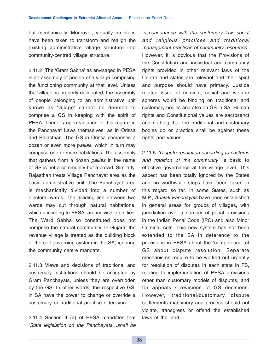but mechanically. Moreover, virtually no steps have been taken to transform and realign the existing administrative village structure into community-centred village structure.

2.11.2 The 'Gram Sabha' as envisaged in PESA is an assembly of people of a village comprising the functioning community at that level. Unless the 'village' is properly delineated, the assembly of people belonging to an administrative unit known as 'village' cannot be deemed to comprise a GS in keeping with the spirit of PESA. There is open violation in this regard in the Panchayat Laws themselves, as in Orissa and Rajasthan. The GS in Orissa comprises a dozen or even more pallies, which in turn may comprise one or more habitations. The assembly that gathers from a dozen pallies in the name of GS is not a community but a crowd. Similarly, Rajasthan treats Village Panchayat area as the basic administrative unit. The Panchayat area is mechanically divided into a number of electoral wards. The dividing line between two wards may cut through natural habitations, which according to PESA, are indivisible entities. The Ward Sabha so constituted does not comprise the natural community. In Gujarat the revenue village is treated as the building block of the self-governing system in the SA, ignoring the community centre mandate.

2.11.3 Views and decisions of traditional and customary institutions should be accepted by Gram Panchayats, unless they are overridden by the GS. In other words, the respective GS, in SA have the power to change or override a customary or traditional practice / decision.

2.11.4 Section 4 (a) of PESA mandates that 'State legislation on the Panchayats…shall be in consonance with the customary law, social and religious practices and traditional management practices of community resources'. However, it is obvious that the Provisions of the Constitution and individual and community rights provided in other relevant laws of the Centre and states are relevant and their spirit and purpose should have primacy. Justice related issue of criminal, social and welfare spheres would be binding on traditional and customary bodies and also on GS in SA. Human rights and Constitutional values are sacrosanct and nothing that the traditional and customary bodies do or practice shall be against these rights and values.

2.11.5 'Dispute resolution according to customs and tradition of the community' is basic to effective governance at the village level. This aspect has been totally ignored by the States and no worthwhile steps have been taken in this regard so far. In some States, such as M.P., Adalati Panchayats have been established in general areas for groups of villages, with jurisdiction over a number of penal provisions in the Indian Penal Code (IPC) and also Minor Criminal Acts. This new system has not been extended to the SA in deference to the provisions in PESA about the 'competence' of GS about dispute resolution. Separate mechanisms require to be worked out urgently for resolution of disputes in each state in FS, relating to implementation of PESA provisions other than customary models of disputes, and for appeals / revisions of GS decisions. However, traditional/customary dispute settlements machinery and process should not violate, transgress or offend the established laws of the land.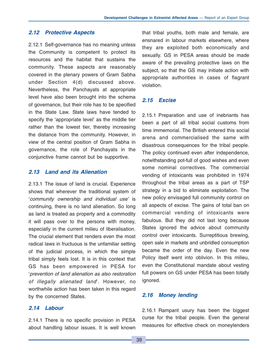#### **2.12 Protective Aspects**

2.12.1 Self-governance has no meaning unless the Community is competent to protect its resources and the habitat that sustains the community. These aspects are reasonably covered in the plenary powers of Gram Sabha under Section 4(d) discussed above. Nevertheless, the Panchayats at appropriate level have also been brought into the schema of governance, but their role has to be specified in the State Law. State laws have tended to specify the 'appropriate level' as the middle tier rather than the lowest tier, thereby increasing the distance from the community. However, in view of the central position of Gram Sabha in governance, the role of Panchayats in the conjunctive frame cannot but be supportive.

#### **2.13 Land and its Alienation**

2.13.1 The issue of land is crucial. Experience shows that wherever the traditional system of 'community ownership and individual use' is continuing, there is no land alienation. So long as land is treated as property and a commodity it will pass over to the persons with money, especially in the current milieu of liberalisation. The crucial element that renders even the most radical laws in fructuous is the unfamiliar setting of the judicial process, in which the simple tribal simply feels lost. It is in this context that GS has been empowered in PESA for 'prevention of land alienation as also restoration of illegally alienated land'. However, no worthwhile action has been taken in this regard by the concerned States.

#### **2.14 Labour**

2.14.1 There is no specific provision in PESA about handling labour issues. It is well known that tribal youths, both male and female, are ensnared in labour markets elsewhere, where they are exploited both economically and sexually. GS in PESA areas should be made aware of the prevailing protective laws on the subject, so that the GS may initiate action with appropriate authorities in cases of flagrant violation.

#### **2.15 Excise**

2.15.1 Preparation and use of inebriants has been a part of all tribal social customs from time immemorial. The British entered this social arena and commercialised the same with disastrous consequences for the tribal people. The policy continued even after independence, notwithstanding pot-full of good wishes and even some nominal correctives. The commercial vending of intoxicants was prohibited in 1974 throughout the tribal areas as a part of TSP strategy in a bid to eliminate exploitation. The new policy envisaged full community control on all aspects of excise. The gains of total ban on commercial vending of intoxicants were fabulous. But they did not last long because States ignored the advice about community control over intoxicants. Surreptitious brewing, open sale in markets and unbridled consumption became the order of the day. Even the new Policy itself went into oblivion. In this milieu, even the Constitutional mandate about vesting full powers on GS under PESA has been totally ignored.

#### **2.16 Money lending**

2.16.1 Rampant usury has been the biggest curse for the tribal people. Even the general measures for effective check on moneylenders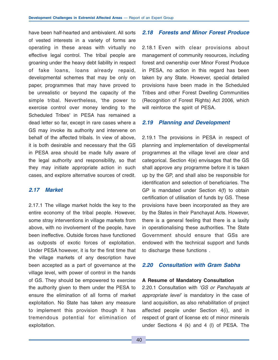have been half-hearted and ambivalent. All sorts of vested interests in a variety of forms are operating in these areas with virtually no effective legal control. The tribal people are groaning under the heavy debt liability in respect of fake loans, loans already repaid, developmental schemes that may be only on paper, programmes that may have proved to be unrealistic or beyond the capacity of the simple tribal. Nevertheless, 'the power to exercise control over money lending to the Scheduled Tribes' in PESA has remained a dead letter so far, except in rare cases where a GS may invoke its authority and intervene on behalf of the affected tribals. In view of above, it is both desirable and necessary that the GS in PESA area should be made fully aware of the legal authority and responsibility, so that they may initiate appropriate action in such cases, and explore alternative sources of credit.

#### **2.17 Market**

2.17.1 The village market holds the key to the entire economy of the tribal people. However, some stray interventions in village markets from above, with no involvement of the people, have been ineffective. Outside forces have functioned as outposts of exotic forces of exploitation. Under PESA however, it is for the first time that the village markets of any description have been accepted as a part of governance at the village level, with power of control in the hands of GS. They should be empowered to exercise the authority given to them under the PESA to ensure the elimination of all forms of market exploitation. No State has taken any measure to implement this provision though it has tremendous potential for elimination of exploitation.

#### **2.18 Forests and Minor Forest Produce**

2.18.1 Even with clear provisions about management of community resources, including forest and ownership over Minor Forest Produce in PESA, no action in this regard has been taken by any State. However, special detailed provisions have been made in the Scheduled Tribes and other Forest Dwelling Communities (Recognition of Forest Rights) Act 2006, which will reinforce the spirit of PESA.

#### **2.19 Planning and Development**

2.19.1 The provisions in PESA in respect of planning and implementation of developmental programmes at the village level are clear and categorical. Section 4(e) envisages that the GS shall approve any programme before it is taken up by the GP, and shall also be responsible for identification and selection of beneficiaries. The GP is mandated under Section 4(f) to obtain certification of utilisation of funds by GS. These provisions have been incorporated as they are by the States in their Panchayat Acts. However, there is a general feeling that there is a laxity in operationalising these authorities. The State Government should ensure that GSs are endowed with the technical support and funds to discharge these functions .

#### **2.20 Consultation with Gram Sabha**

#### **A Resume of Mandatory Consultation**

2.20.1 Consultation with 'GS or Panchayats at appropriate level' is mandatory in the case of land acquisition, as also rehabilitation of project affected people under Section 4(i), and in respect of grant of license etc of minor minerals under Sections 4 (k) and 4 (l) of PESA. The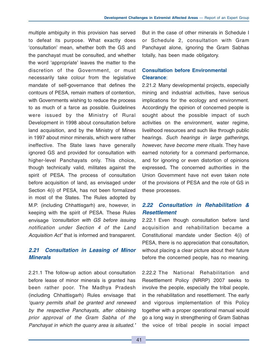multiple ambiguity in this provision has served to defeat its purpose. What exactly does 'consultation' mean, whether both the GS and the panchayat must be consulted, and whether the word 'appropriate' leaves the matter to the discretion of the Government, or must necessarily take colour from the legislative mandate of self-governance that defines the contours of PESA, remain matters of contention, with Governments wishing to reduce the process to as much of a farce as possible. Guidelines were issued by the Ministry of Rural Development in 1998 about consultation before land acquisition, and by the Ministry of Mines in 1997 about minor minerals, which were rather ineffective. The State laws have generally ignored GS and provided for consultation with higher-level Panchayats only. This choice, though technically valid, militates against the spirit of PESA. The process of consultation before acquisition of land, as envisaged under Section 4(i) of PESA, has not been formalized in most of the States. The Rules adopted by M.P. (including Chhattisgarh) are, however, in keeping with the spirit of PESA. These Rules envisage 'consultation with GS before issuing notification under Section 4 of the Land Acquisition Act**'** that is informed and transparent.

# **2.21 Consultation in Leasing of Minor Minerals**

2.21.1 The follow-up action about consultation before lease of minor minerals is granted has been rather poor. The Madhya Pradesh (including Chhattisgarh) Rules envisage that 'quarry permits shall be granted and renewed by the respective Panchayats, after obtaining prior approval of the Gram Sabha of the Panchayat in which the quarry area is situated.**'**

But in the case of other minerals in Schedule I or Schedule 2, consultation with Gram Panchayat alone, ignoring the Gram Sabhas totally, has been made obligatory.

# **Consultation before Environmental Clearance**:

2.21.2 Many developmental projects, especially mining and industrial activities, have serious implications for the ecology and environment. Accordingly the opinion of concerned people is sought about the possible impact of such activities on the environment, water regime, livelihood resources and such like through public hearings. Such hearings in large gatherings, however, have become mere rituals. They have earned notoriety for a command performance, and for ignoring or even distortion of opinions expressed**.** The concerned authorities in the Union Government have not even taken note of the provisions of PESA and the role of GS in these processes.

# **2.22 Consultation in Rehabilitation & Resettlement**

2.22.1 Even though consultation before land acquisition and rehabilitation became a Constitutional mandate under Section 4(i) of PESA, there is no appreciation that consultation, without placing a clear picture about their future before the concerned people, has no meaning.

2.22.2 The National Rehabilitation and Resettlement Policy (NRRP) 2007 seeks to involve the people, especially the tribal people, in the rehabilitation and resettlement. The early and vigorous implementation of this Policy together with a proper operational manual would go a long way in strengthening of Gram Sabhas the voice of tribal people in social impact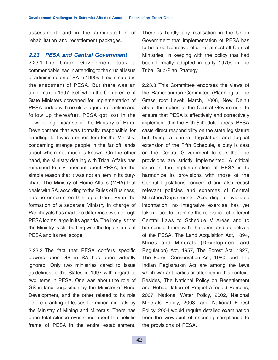assessment, and in the administration of rehabilitation and resettlement packages.

#### **2.23 PESA and Central Government**

2.23.1 The Union Government took a commendable lead in attending to the crucial issue of administration of SA in 1990s. It culminated in the enactment of PESA. But there was an anticlimax in 1997 itself when the Conference of State Ministers convened for implementation of PESA ended with no clear agenda of action and follow up thereafter. PESA got lost in the bewildering expanse of the Ministry of Rural Development that was formally responsible for handling it. It was a minor item for the Ministry, concerning strange people in the far off lands about whom not much is known. On the other hand, the Ministry dealing with Tribal Affairs has remained totally innocent about PESA, for the simple reason that it was not an item in its dutychart. The Ministry of Home Affairs (MHA) that deals with SA, according to the Rules of Business, has no concern on this legal front. Even the formation of a separate Ministry in charge of Panchayats has made no difference even though PESA looms large in its agenda. The irony is that the Ministry is still battling with the legal status of PESA and its real scope.

2.23.2 The fact that PESA confers specific powers upon GS in SA has been virtually ignored. Only two ministries cared to issue guidelines to the States in 1997 with regard to two items in PESA. One was about the role of GS in land acquisition by the Ministry of Rural Development, and the other related to its role before granting of leases for minor minerals by the Ministry of Mining and Minerals. There has been total silence ever since about the holistic frame of PESA in the entire establishment.

There is hardly any realisation in the Union Government that implementation of PESA has to be a collaborative effort of almost all Central Ministries, in keeping with the policy that had been formally adopted in early 1970s in the Tribal Sub-Plan Strategy.

2.23.3 This Committee endorses the views of the Ramchandran Committee (Planning at the Grass root Level: March, 2006, New Delhi) about the duties of the Central Government to ensure that PESA is effectively and correctively implemented in the Fifth Scheduled areas. PESA casts direct responsibility on the state legislature but being a central legislation and logical extension of the Fifth Schedule, a duty is cast on the Central Government to see that the provisions are strictly implemented. A critical issue in the implementation of PESA is to harmonize its provisions with those of the Central legislations concerned and also recast relevant policies and schemes of Central Ministries/Departments. According to available information, no integrative exercise has yet taken place to examine the relevance of different Central Laws to Schedule V Areas and to harmonize them with the aims and objectives of the PESA. The Land Acquisition Act, 1894, Mines and Minerals (Development and Regulation) Act, 1957, The Forest Act, 1927, The Forest Conservation Act, 1980, and The Indian Registration Act are among the laws which warrant particular attention in this context. Besides, The National Policy on Resettlement and Rehabilitation of Project Affected Persons, 2007, National Water Policy, 2002, National Minerals Policy, 2008, and National Forest Policy, 2004 would require detailed examination from the viewpoint of ensuring compliance to the provisions of PESA.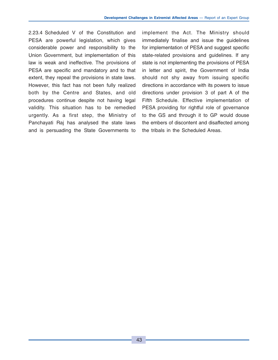2.23.4 Scheduled V of the Constitution and PESA are powerful legislation, which gives considerable power and responsibility to the Union Government, but implementation of this law is weak and ineffective. The provisions of PESA are specific and mandatory and to that extent, they repeal the provisions in state laws. However, this fact has not been fully realized both by the Centre and States, and old procedures continue despite not having legal validity. This situation has to be remedied urgently. As a first step, the Ministry of Panchayati Raj has analysed the state laws and is persuading the State Governments to

implement the Act. The Ministry should immediately finalise and issue the guidelines for implementation of PESA and suggest specific state-related provisions and guidelines. If any state is not implementing the provisions of PESA in letter and spirit, the Government of India should not shy away from issuing specific directions in accordance with its powers to issue directions under provision 3 of part A of the Fifth Schedule. Effective implementation of PESA providing for rightful role of governance to the GS and through it to GP would douse the embers of discontent and disaffected among the tribals in the Scheduled Areas.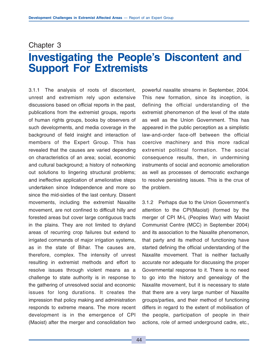# Chapter 3

# **Investigating the People's Discontent and Support For Extremists**

3.1.1 The analysis of roots of discontent, unrest and extremism rely upon extensive discussions based on official reports in the past, publications from the extremist groups, reports of human rights groups, books by observers of such developments, and media coverage in the background of field insight and interaction of members of the Expert Group. This has revealed that the causes are varied depending on characteristics of an area; social, economic and cultural background; a history of notworking out solutions to lingering structural problems; and ineffective application of ameliorative steps undertaken since Independence and more so since the mid-sixties of the last century. Dissent movements, including the extremist Naxalite movement, are not confined to difficult hilly and forested areas but cover large contiguous tracts in the plains. They are not limited to dryland areas of recurring crop failures but extend to irrigated commands of major irrigation systems, as in the state of Bihar. The causes are, therefore, complex. The intensity of unrest resulting in extremist methods and effort to resolve issues through violent means as a challenge to state authority is in response to the gathering of unresolved social and economic issues for long durations. It creates the impression that policy making and administration responds to extreme means. The more recent development is in the emergence of CPI (Maoist) after the merger and consolidation two

powerful naxalite streams in September, 2004. This new formation, since its inception, is defining the official understanding of the extremist phenomenon of the level of the state as well as the Union Government. This has appeared in the public perception as a simplistic law-and-order face-off between the official coercive machinery and this more radical extremist political formation. The social consequence results, then, in undermining instruments of social and economic amelioration as well as processes of democratic exchange to resolve persisting issues. This is the crux of the problem.

3.1.2 Perhaps due to the Union Government's attention to the CPI(Maoist) (formed by the merger of CPI M-L (Peoples War) with Maoist Communist Centre (MCC) in September 2004) and its association to the Naxalite phenomenon, that party and its method of functioning have started defining the official understanding of the Naxalite movement. That is neither factually accurate nor adequate for discussing the proper Governmental response to it. There is no need to go into the history and genealogy of the Naxalite movement, but it is necessary to state that there are a very large number of Naxalite groups/parties, and their method of functioning differs in regard to the extent of mobilisation of the people, participation of people in their actions, role of armed underground cadre, etc.,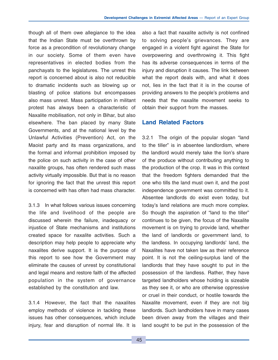though all of them owe allegiance to the idea that the Indian State must be overthrown by force as a precondition of revolutionary change in our society. Some of them even have representatives in elected bodies from the panchayats to the legislatures. The unrest this report is concerned about is also not reducible to dramatic incidents such as blowing up or blasting of police stations but encompasses also mass unrest. Mass participation in militant protest has always been a characteristic of Naxalite mobilisation, not only in Bihar, but also elsewhere. The ban placed by many State Governments, and at the national level by the Unlawful Activities (Prevention) Act, on the Maoist party and its mass organizations, and the formal and informal prohibition imposed by the police on such activity in the case of other naxalite groups, has often rendered such mass activity virtually impossible. But that is no reason for ignoring the fact that the unrest this report is concerned with has often had mass character.

3.1.3 In what follows various issues concerning the life and livelihood of the people are discussed wherein the failure, inadequacy or injustice of State mechanisms and institutions created space for naxalite activities. Such a description may help people to appreciate why naxalites derive support. It is the purpose of this report to see how the Government may eliminate the causes of unrest by constitutional and legal means and restore faith of the affected population in the system of governance established by the constitution and law.

3.1.4 However, the fact that the naxalites employ methods of violence in tackling these issues has other consequences, which include injury, fear and disruption of normal life. It is also a fact that naxalite activity is not confined to solving people's grievances. They are engaged in a violent fight against the State for overpowering and overthrowing it. This fight has its adverse consequences in terms of the injury and disruption it causes. The link between what the report deals with, and what it does not, lies in the fact that it is in the course of providing answers to the people's problems and needs that the naxalite movement seeks to obtain their support from the masses.

#### **Land Related Factors**

3.2.1 The origin of the popular slogan "land to the tiller" is in absentee landlordism, where the landlord would merely take the lion's share of the produce without contributing anything to the production of the crop. It was in this context that the freedom fighters demanded that the one who tills the land must own it, and the post independence government was committed to it. Absentee landlords do exist even today, but today's land relations are much more complex. So though the aspiration of "land to the tiller" continues to be given, the focus of the Naxalite movement is on trying to provide land, whether the land of landlords or government land, to the landless. In occupying landlords' land, the Naxalites have not taken law as their reference point. It is not the ceiling-surplus land of the landlords that they have sought to put in the possession of the landless. Rather, they have targeted landholders whose holding is sizeable as they see it, or who are otherwise oppressive or cruel in their conduct, or hostile towards the Naxalite movement, even if they are not big landlords. Such landholders have in many cases been driven away from the villages and their land sought to be put in the possession of the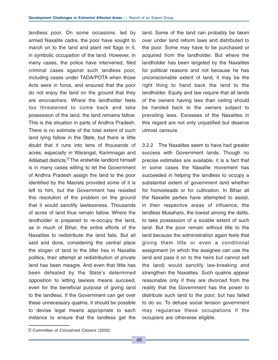landless poor. On some occasions, led by armed Naxalite cadre, the poor have sought to march on to the land and plant red flags in it, in symbolic occupation of the land. However, in many cases, the police have intervened, filed criminal cases against such landless poor, including cases under TADA/POTA when those Acts were in force, and ensured that the poor do not enjoy the land on the ground that they are encroachers. Where the landholder feels too threatened to come back and take possession of the land, the land remains fallow. This is the situation in parts of Andhra Pradesh. There is no estimate of the total extent of such land lying fallow in the State, but there is little doubt that it runs into tens of thousands of acres, especially in Warangal, Karimnagar and Adilabad districts.<sup>7</sup> The erstwhile landlord himself is in many cases willing to let the Government of Andhra Pradesh assign the land to the poor identified by the Maoists provided some of it is left to him, but the Government has resisted this resolution of the problem on the ground that it would sanctify lawlessness. Thousands of acres of land thus remain fallow. Where the landholder is prepared to re-occupy the land, as in much of Bihar, the entire efforts of the Naxalites to redistribute the land fails. But all said and done, considering the central place the slogan of land to the tiller has in Naxalite politics, their attempt at redistribution of private land has been meagre. And even that little has been defeated by the State's determined opposition to letting lawless means succeed, even for the beneficial purpose of giving land to the landless. If the Government can get over these unnecessary qualms, it should be possible to devise legal means appropriate to each instance to ensure that the landless get the

land. Some of the land can probably be taken over under land reform laws and distributed to the poor. Some may have to be purchased or acquired from the landholder. But where the landholder has been targeted by the Naxalites for political reasons and not because he has unconscionable extent of land, it may be the right thing to hand back the land to the landholder. Equity and law require that all lands of the owners having less than ceiling should be handed back to the owners subject to prevailing laws. Excesses of the Naxalites in this regard are not only unjustified but deserve utmost censure.

3.2.2 The Naxalites seem to have had greater success with Government lands. Though no precise estimates are available, it is a fact that in some cases the Naxalite movement has succeeded in helping the landless to occupy a substantial extent of government land whether for homesteads or for cultivation. In Bihar all the Naxalite parties have attempted to assist, in their respective areas of influence, the landless Musahars, the lowest among the dalits, to take possession of a sizable extent of such land. But the poor remain without title to the land because the administration again feels that giving them title or even a conditional assignment (in which the assignee can use the land and pass it on to the heirs but cannot sell the land) would sanctify law-breaking and strengthen the Naxalites. Such qualms appear reasonable only if they are divorced from the reality that the Government has the power to distribute such land to the poor, but has failed to do so. To defuse social tension government may regularise these occupations if the occupiers are otherwise eligible.

<sup>7</sup> Committee of Concerned Citizens (2002).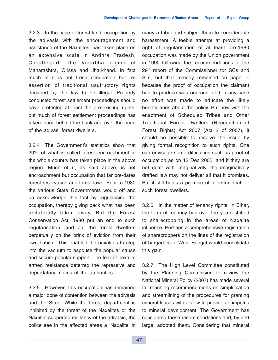3.2.3 In the case of forest land, occupation by the adivasis with the encouragement and assistance of the Naxalites, has taken place on an extensive scale in Andhra Pradesh, Chhattisgarh, the Vidarbha region of Maharashtra, Orissa and Jharkhand. In fact much of it is not fresh occupation but reassertion of traditional usufructory rights declared by the law to be illegal. Properly conducted forest settlement proceedings should have protected at least the pre-existing rights, but much of forest settlement proceedings has taken place behind the back and over the head of the adivasi forest dwellers.

3.2.4 The Government's statistics show that 39% of what is called forest encroachment in the whole country has taken place in the above region. Much of it, as said above, is not encroachment but occupation that far pre-dates forest reservation and forest laws. Prior to 1980 the various State Governments would off and on acknowledge this fact by regularising the occupation, thereby giving back what has been unilaterally taken away. But the Forest Conservation Act, 1980 put an end to such regularisation, and put the forest dwellers perpetually on the brink of eviction from their own habitat. This enabled the naxalites to step into the vacuum to espouse the popular cause and secure popular support. The fear of naxalite armed resistance deterred the repressive and depredatory moves of the authorities.

3.2.5 However, this occupation has remained a major bone of contention between the adivasis and the State. While the forest department is inhibited by the threat of the Naxalites or the Naxalite-supported militancy of the adivasis, the police see in the affected areas a 'Naxalite' in

many a tribal and subject them to considerable harassment. A feeble attempt at providing a right of regularisation of at least pre-1980 occupation was made by the Union government in 1990 following the recommendations of the 29<sup>th</sup> report of the Commissioner for SCs and STs, but that remedy remained on paper – because the proof of occupation the claimant had to produce was onerous, and in any case no effort was made to educate the likely beneficiaries about the policy. But now with the enactment of Scheduled Tribes and Other Traditional Forest Dwellers (Recognition of Forest Rights) Act 2007 (Act 2 of 2007), it should be possible to resolve the issue by giving formal recognition to such rights. One can envisage some difficulties such as proof of occupation as on 13 Dec 2005, and if they are not dealt with imaginatively, the imaginatively drafted law may not deliver all that it promises. But it still holds a promise of a better deal for such forest dwellers.

3.2.6 In the matter of tenancy rights, in Bihar, the form of tenancy has over the years shifted to sharecropping in the areas of Naxalite influence. Perhaps a comprehensive registration of sharecroppers on the lines of the registration of bargadars in West Bengal would consolidate this gain.

3.2.7. The High Level Committee constituted by the Planning Commission to review the National Mineral Policy (2007) has made several far reaching recommendations on simplification and streamlining of the procedures for granting mineral leases with a view to provide an impetus to mineral development. The Government has considered these recommendations and, by and large, adopted them. Considering that mineral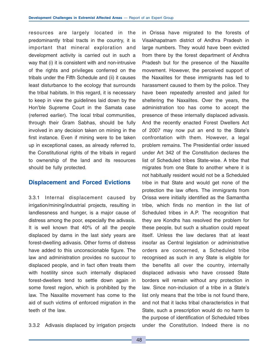resources are largely located in the predominantly tribal tracts in the country, it is important that mineral exploration and development activity is carried out in such a way that (i) it is consistent with and non-intrusive of the rights and privileges conferred on the tribals under the Fifth Schedule and (ii) it causes least disturbance to the ecology that surrounds the tribal habitats. In this regard, it is necessary to keep in view the guidelines laid down by the Hon'ble Supreme Court in the Samata case (referred earlier). The local tribal communities, through their Gram Sabhas, should be fully involved in any decision taken on mining in the first instance. Even if mining were to be taken up in exceptional cases, as already referred to, the Constitutional rights of the tribals in regard to ownership of the land and its resources should be fully protected.

#### **Displacement and Forced Evictions**

3.3.1 Internal displacement caused by irrigation/mining/industrial projects, resulting in landlessness and hunger, is a major cause of distress among the poor, especially the adivasis. It is well known that 40% of all the people displaced by dams in the last sixty years are forest-dwelling adivasis. Other forms of distress have added to this unconscionable figure. The law and administration provides no succour to displaced people, and in fact often treats them with hostility since such internally displaced forest-dwellers tend to settle down again in some forest region, which is prohibited by the law. The Naxalite movement has come to the aid of such victims of enforced migration in the teeth of the law.

3.3.2 Adivasis displaced by irrigation projects

in Orissa have migrated to the forests of Visakhapatnam district of Andhra Pradesh in large numbers. They would have been evicted from there by the forest department of Andhra Pradesh but for the presence of the Naxalite movement. However, the perceived support of the Naxalites for these immigrants has led to harassment caused to them by the police. They have been repeatedly arrested and jailed for sheltering the Naxalites. Over the years, the administration too has come to accept the presence of these internally displaced adivasis. And the recently enacted Forest Dwellers Act of 2007 may now put an end to the State's confrontation with them. However, a legal problem remains. The Presidential order issued under Art 342 of the Constitution declares the list of Scheduled tribes State-wise. A tribe that migrates from one State to another where it is not habitually resident would not be a Scheduled tribe in that State and would get none of the protection the law offers. The immigrants from Orissa were initially identified as the Samantha tribe, which finds no mention in the list of Scheduled tribes in A.P. The recognition that they are Kondhs has resolved the problem for these people, but such a situation could repeat itself. Unless the law declares that at least insofar as Central legislation or administrative orders are concerned, a Scheduled tribe recognised as such in any State is eligible for the benefits all over the country, internally displaced adivasis who have crossed State borders will remain without any protection in law. Since non-inclusion of a tribe in a State's list only means that the tribe is not found there, and not that it lacks tribal characteristics in that State, such a prescription would do no harm to the purpose of identification of Scheduled tribes under the Constitution. Indeed there is no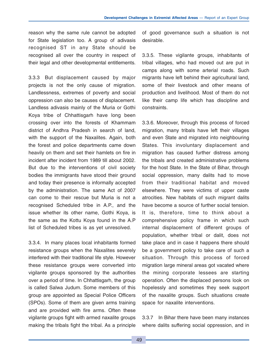reason why the same rule cannot be adopted for State legislation too. A group of adivasis recognised ST in any State should be recognised all over the country in respect of their legal and other developmental entitlements.

3.3.3 But displacement caused by major projects is not the only cause of migration. Landlessness, extremes of poverty and social oppression can also be causes of displacement. Landless adivasis mainly of the Muria or Gothi Koya tribe of Chhattisgarh have long been crossing over into the forests of Khammam district of Andhra Pradesh in search of land, with the support of the Naxalites. Again, both the forest and police departments came down heavily on them and set their hamlets on fire in incident after incident from 1989 till about 2002. But due to the interventions of civil society bodies the immigrants have stood their ground and today their presence is informally accepted by the administration. The same Act of 2007 can come to their rescue but Muria is not a recognised Scheduled tribe in A.P., and the issue whether its other name, Gothi Koya, is the same as the Kottu Koya found in the A.P list of Scheduled tribes is as yet unresolved.

3.3.4. In many places local inhabitants formed resistance groups when the Naxalites severely interfered with their traditional life style. However these resistance groups were converted into vigilante groups sponsored by the authorities over a period of time. In Chhattisgarh, the group is called Salwa Judum. Some members of this group are appointed as Special Police Officers (SPOs). Some of them are given arms training and are provided with fire arms. Often these vigilante groups fight with armed naxalite groups making the tribals fight the tribal. As a principle of good governance such a situation is not desirable.

3.3.5. These vigilante groups, inhabitants of tribal villages, who had moved out are put in camps along with some arterial roads. Such migrants have left behind their agricultural land, some of their livestock and other means of production and livelihood. Most of them do not like their camp life which has discipline and constraints.

3.3.6. Moreover, through this process of forced migration, many tribals have left their villages and even State and migrated into neighbouring States. This involuntary displacement and migration has caused further distress among the tribals and created administrative problems for the host State. In the State of Bihar, through social oppression, many dalits had to move from their traditional habitat and moved elsewhere. They were victims of upper caste atrocities. New habitats of such migrant dalits have become a source of further social tension. It is, therefore, time to think about a comprehensive policy frame in which such internal displacement of different groups of population, whether tribal or dalit, does not take place and in case it happens there should be a government policy to take care of such a situation. Through this process of forced migration large mineral areas got vacated where the mining corporate lessees are starting operation. Often the displaced persons look on hopelessly and sometimes they seek support of the naxalite groups. Such situations create space for naxalite interventions.

3.3.7 In Bihar there have been many instances where dalits suffering social oppression, and in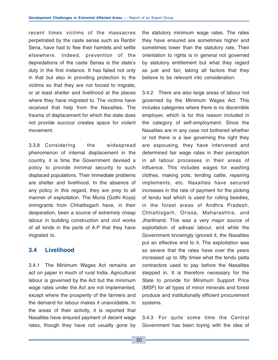recent times victims of the massacres perpetrated by the caste senas such as Ranbir Sena, have had to flee their hamlets and settle elsewhere. Indeed, prevention of the depredations of the caste Senas is the state's duty in the first instance. It has failed not only in that but also in providing protection to the victims so that they are not forced to migrate, or at least shelter and livelihood at the places where they have migrated to. The victims have received that help from the Naxalites. The trauma of displacement for which the state does not provide succour creates space for violent movement.

3.3.8 Considering the widespread phenomenon of internal displacement in the country, it is time the Government devised a policy to provide minimal security to such displaced populations. Their immediate problems are shelter and livelihood. In the absence of any policy in this regard, they are prey to all manner of exploitation. The Muria (Gothi Koya) immigrants from Chhattisgarh have, in their desperation, been a source of extremely cheap labour in building construction and civil works of all kinds in the parts of A.P that they have migrated to.

# **3.4 Livelihood**

3.4.1 The Minimum Wages Act remains an act on paper in much of rural India. Agricultural labour is governed by the Act but the minimum wage rates under the Act are not implemented, except where the prosperity of the farmers and the demand for labour makes it unavoidable. In the areas of their activity, it is reported that Naxalites have ensured payment of decent wage rates, though they have not usually gone by the statutory minimum wage rates. The rates they have ensured are sometimes higher and sometimes lower than the statutory rate. Their orientation to rights is in general not governed by statutory entitlement but what they regard as just and fair, taking all factors that they believe to be relevant into consideration.

3.4.2 There are also large areas of labour not governed by the Minimum Wages Act. This includes categories where there is no discernible employer, which is for this reason included in the category of self-employment. Since the Naxalites are in any case not bothered whether or not there is a law governing the right they are espousing, they have intervened and determined fair wage rates in their perception in all labour processes in their areas of influence. This includes wages for washing clothes, making pots, tending cattle, repairing implements, etc. Naxalites have secured increases in the rate of payment for the picking of tendu leaf which is used for rolling beedies, in the forest areas of Andhra Pradesh, Chhattisgarh, Orissa, Maharashtra, and Jharkhand. This was a very major source of exploitation of adivasi labour, and while the Government knowingly ignored it, the Naxalites put an effective end to it. The exploitation was so severe that the rates have over the years increased up to fifty times what the tendu patta contractors used to pay before the Naxalites stepped in. It is therefore necessary for the State to provide for Minimum Support Price (MSP) for all types of minor minerals and forest produce and institutionally efficient procurement systems.

3.4.3 For quite some time the Central Government has been toying with the idea of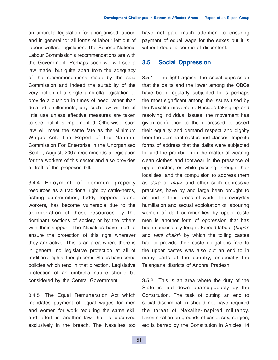an umbrella legislation for unorganised labour, and in general for all forms of labour left out of labour welfare legislation. The Second National Labour Commission's recommendations are with the Government. Perhaps soon we will see a law made, but quite apart from the adequacy of the recommendations made by the said Commission and indeed the suitability of the very notion of a single umbrella legislation to provide a cushion in times of need rather than detailed entitlements, any such law will be of little use unless effective measures are taken to see that it is implemented. Otherwise, such law will meet the same fate as the Minimum Wages Act. The Report of the National Commission For Enterprise in the Unorganised Sector, August, 2007 recommends a legislation for the workers of this sector and also provides a draft of the proposed bill.

3.4.4 Enjoyment of common property resources as a traditional right by cattle-herds, fishing communities, toddy toppers, stone workers, has become vulnerable due to the appropriation of these resources by the dominant sections of society or by the others with their support. The Naxalites have tried to ensure the protection of this right wherever they are active. This is an area where there is in general no legislative protection at all of traditional rights, though some States have some policies which tend in that direction. Legislative protection of an umbrella nature should be considered by the Central Government.

3.4.5 The Equal Remuneration Act which mandates payment of equal wages for men and women for work requiring the same skill and effort is another law that is observed exclusively in the breach. The Naxalites too have not paid much attention to ensuring payment of equal wage for the sexes but it is without doubt a source of discontent.

### **3.5 Social Oppression**

3.5.1 The fight against the social oppression that the dalits and the lower among the OBCs have been regularly subjected to is perhaps the most significant among the issues used by the Naxalite movement. Besides taking up and resolving individual issues, the movement has given confidence to the oppressed to assert their equality and demand respect and dignity from the dominant castes and classes. Impolite forms of address that the dalits were subjected to, and the prohibition in the matter of wearing clean clothes and footwear in the presence of upper castes, or while passing through their localities, and the compulsion to address them as *dora* or *malik* and other such oppressive practices, have by and large been brought to an end in their areas of work. The everyday humiliation and sexual exploitation of labouring women of dalit communities by upper caste men is another form of oppression that has been successfully fought. Forced labour (begari and vetti chakri) by which the toiling castes had to provide their caste obligations free to the upper castes was also put an end to in many parts of the country, especially the Telangana districts of Andhra Pradesh.

3.5.2 This is an area where the duty of the State is laid down unambiguously by the Constitution. The task of putting an end to social discrimination should not have required the threat of Naxalite-inspired militancy. Discrimination on grounds of caste, sex, religion, etc is barred by the Constitution in Articles 14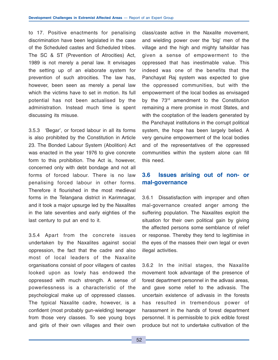to 17. Positive enactments for penalising discrimination have been legislated in the case of the Scheduled castes and Scheduled tribes. The SC & ST (Prevention of Atrocities) Act, 1989 is not merely a penal law. It envisages the setting up of an elaborate system for prevention of such atrocities. The law has, however, been seen as merely a penal law which the victims have to set in motion. Its full potential has not been actualised by the administration. Instead much time is spent discussing its misuse.

3.5.3 'Begar', or forced labour in all its forms is also prohibited by the Constitution in Article 23. The Bonded Labour System (Abolition) Act was enacted in the year 1976 to give concrete form to this prohibition. The Act is, however, concerned only with debt bondage and not all forms of forced labour. There is no law penalising forced labour in other forms. Therefore it flourished in the most medieval forms in the Telangana district in Karimnagar, and it took a major upsurge led by the Naxalites in the late seventies and early eighties of the last century to put an end to it.

3.5.4 Apart from the concrete issues undertaken by the Naxalites against social oppression, the fact that the cadre and also most of local leaders of the Naxalite organisations consist of poor villagers of castes looked upon as lowly has endowed the oppressed with much strength. A sense of powerlessness is a characteristic of the psychological make up of oppressed classes. The typical Naxalite cadre, however, is a confident (most probably gun-wielding) teenager from those very classes. To see young boys and girls of their own villages and their own class/caste active in the Naxalite movement, and wielding power over the 'big' men of the village and the high and mighty tahsildar has given a sense of empowerment to the oppressed that has inestimable value. This indeed was one of the benefits that the Panchayat Raj system was expected to give the oppressed communities, but with the empowerment of the local bodies as envisaged by the 73<sup>rd</sup> amendment to the Constitution remaining a mere promise in most States, and with the cooptation of the leaders generated by the Panchayat institutions in the corrupt political system, the hope has been largely belied. A very genuine empowerment of the local bodies and of the representatives of the oppressed communities within the system alone can fill this need.

# **3.6 Issues arising out of non- or mal-governance**

3.6.1 Dissatisfaction with improper and often mal-governance created anger among the suffering population. The Naxalites exploit the situation for their own political gain by giving the affected persons some semblance of relief or response. Thereby they tend to legitimise in the eyes of the masses their own legal or even illegal activities.

3.6.2 In the initial stages, the Naxalite movement took advantage of the presence of forest department personnel in the adivasi areas, and gave some relief to the adivasis. The uncertain existence of adivasis in the forests has resulted in tremendous power of harassment in the hands of forest department personnel. It is permissible to pick edible forest produce but not to undertake cultivation of the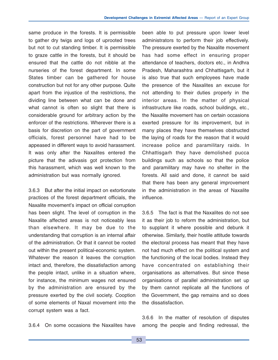same produce in the forests. It is permissible to gather dry twigs and logs of uprooted trees but not to cut standing timber. It is permissible to graze cattle in the forests, but it should be ensured that the cattle do not nibble at the nurseries of the forest department. In some States timber can be gathered for house construction but not for any other purpose. Quite apart from the injustice of the restrictions, the dividing line between what can be done and what cannot is often so slight that there is considerable ground for arbitrary action by the enforcer of the restrictions. Wherever there is a basis for discretion on the part of government officials, forest personnel have had to be appeased in different ways to avoid harassment. It was only after the Naxalites entered the picture that the adivasis got protection from this harassment, which was well known to the administration but was normally ignored.

3.6.3 But after the initial impact on extortionate practices of the forest department officials, the Naxalite movement's impact on official corruption has been slight. The level of corruption in the Naxalite affected areas is not noticeably less than elsewhere. It may be due to the understanding that corruption is an internal affair of the administration. Or that it cannot be rooted out within the present political-economic system. Whatever the reason it leaves the corruption intact and, therefore, the dissatisfaction among the people intact, unlike in a situation where, for instance, the minimum wages not ensured by the administration are ensured by the pressure exerted by the civil society. Cooption of some elements of Naxal movement into the corrupt system was a fact.

3.6.4 On some occasions the Naxalites have

been able to put pressure upon lower level administrators to perform their job effectively. The pressure exerted by the Naxalite movement has had some effect in ensuring proper attendance of teachers, doctors etc., in Andhra Pradesh, Maharashtra and Chhattisgarh, but it is also true that such employees have made the presence of the Naxalites an excuse for not attending to their duties properly in the interior areas. In the matter of physical infrastructure like roads, school buildings, etc., the Naxalite movement has on certain occasions exerted pressure for its improvement, but in many places they have themselves obstructed the laying of roads for the reason that it would increase police and paramilitary raids. In Chhattisgarh they have demolished pucca buildings such as schools so that the police and paramilitary may have no shelter in the forests. All said and done, it cannot be said that there has been any general improvement in the administration in the areas of Naxalite influence.

3.6.5 The fact is that the Naxalites do not see it as their job to reform the administration, but to supplant it where possible and debunk it otherwise. Similarly, their hostile attitude towards the electoral process has meant that they have not had much effect on the political system and the functioning of the local bodies. Instead they have concentrated on establishing their organisations as alternatives. But since these organisations of parallel administration set up by them cannot replicate all the functions of the Government, the gap remains and so does the dissatisfaction.

3.6.6 In the matter of resolution of disputes among the people and finding redressal, the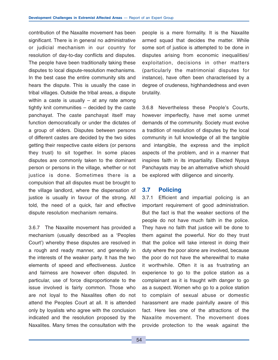contribution of the Naxalite movement has been significant. There is in general no administrative or judicial mechanism in our country for resolution of day-to-day conflicts and disputes. The people have been traditionally taking these disputes to local dispute-resolution mechanisms. In the best case the entire community sits and hears the dispute. This is usually the case in tribal villages. Outside the tribal areas, a dispute within a caste is usually  $-$  at any rate among tightly knit communities – decided by the caste panchayat. The caste panchayat itself may function democratically or under the dictates of a group of elders. Disputes between persons of different castes are decided by the two sides getting their respective caste elders (or persons they trust) to sit together. In some places disputes are commonly taken to the dominant person or persons in the village, whether or not justice is done. Sometimes there is a compulsion that all disputes must be brought to the village landlord, where the dispensation of justice is usually in favour of the strong. All told, the need of a quick, fair and effective dispute resolution mechanism remains.

3.6.7 The Naxalite movement has provided a mechanism (usually described as a 'Peoples Court') whereby these disputes are resolved in a rough and ready manner, and generally in the interests of the weaker party. It has the two elements of speed and effectiveness. Justice and fairness are however often disputed. In particular, use of force disproportionate to the issue involved is fairly common. Those who are not loyal to the Naxalites often do not attend the Peoples Court at all. It is attended only by loyalists who agree with the conclusion indicated and the resolution proposed by the Naxalites. Many times the consultation with the

people is a mere formality. It is the Naxalite armed squad that decides the matter. While some sort of justice is attempted to be done in disputes arising from economic inequalities/ exploitation, decisions in other matters (particularly the matrimonial disputes for instance), have often been characterised by a degree of crudeness, highhandedness and even brutality.

3.6.8 Nevertheless these People's Courts, however imperfectly, have met some unmet demands of the community. Society must evolve a tradition of resolution of disputes by the local community in full knowledge of all the tangible and intangible, the express and the implicit aspects of the problem, and in a manner that inspires faith in its impartiality. Elected Nyaya Panchayats may be an alternative which should be explored with diligence and sincerity.

# **3.7 Policing**

3.7.1 Efficient and impartial policing is an important requirement of good administration. But the fact is that the weaker sections of the people do not have much faith in the police. They have no faith that justice will be done to them against the powerful. Nor do they trust that the police will take interest in doing their duty where the poor alone are involved, because the poor do not have the wherewithal to make it worthwhile. Often it is as frustrating an experience to go to the police station as a complainant as it is fraught with danger to go as a suspect. Women who go to a police station to complain of sexual abuse or domestic harassment are made painfully aware of this fact. Here lies one of the attractions of the Naxalite movement. The movement does provide protection to the weak against the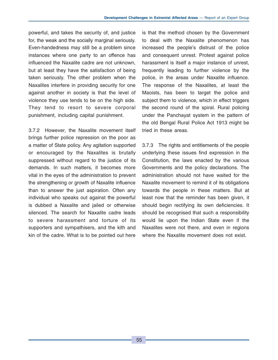powerful, and takes the security of, and justice for, the weak and the socially marginal seriously. Even-handedness may still be a problem since instances where one party to an offence has influenced the Naxalite cadre are not unknown, but at least they have the satisfaction of being taken seriously. The other problem when the Naxalites interfere in providing security for one against another in society is that the level of violence they use tends to be on the high side. They tend to resort to severe corporal punishment, including capital punishment.

3.7.2 However, the Naxalite movement itself brings further police repression on the poor as a matter of State policy. Any agitation supported or encouraged by the Naxalites is brutally suppressed without regard to the justice of its demands. In such matters, it becomes more vital in the eyes of the administration to prevent the strengthening or growth of Naxalite influence than to answer the just aspiration. Often any individual who speaks out against the powerful is dubbed a Naxalite and jailed or otherwise silenced. The search for Naxalite cadre leads to severe harassment and torture of its supporters and sympathisers, and the kith and kin of the cadre. What is to be pointed out here

is that the method chosen by the Government to deal with the Naxalite phenomenon has increased the people's distrust of the police and consequent unrest. Protest against police harassment is itself a major instance of unrest, frequently leading to further violence by the police, in the areas under Naxalite influence. The response of the Naxalites, at least the Maoists, has been to target the police and subject them to violence, which in effect triggers the second round of the spiral. Rural policing under the Panchayat system in the pattern of the old Bengal Rural Police Act 1913 might be tried in these areas.

3.7.3 The rights and entitlements of the people underlying these issues find expression in the Constitution, the laws enacted by the various Governments and the policy declarations. The administration should not have waited for the Naxalite movement to remind it of its obligations towards the people in these matters. But at least now that the reminder has been given, it should begin rectifying its own deficiencies. It should be recognised that such a responsibility would lie upon the Indian State even if the Naxalites were not there, and even in regions where the Naxalite movement does not exist.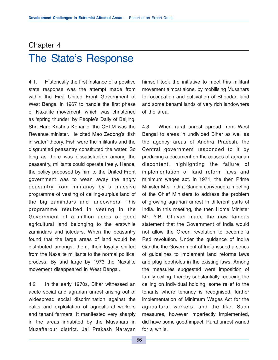# Chapter 4 The State's Response

4.1. Historically the first instance of a positive state response was the attempt made from within the First United Front Government of West Bengal in 1967 to handle the first phase of Naxalite movement, which was christened as 'spring thunder' by People's Daily of Beijing. Shri Hare Krishna Konar of the CPI-M was the Revenue minister. He cited Mao Zedong's ;fish in water' theory. Fish were the militants and the disgruntled peasantry constituted the water. So long as there was dissatisfaction among the peasantry, militants could operate freely. Hence, the policy proposed by him to the United Front government was to wean away the angry peasantry from militancy by a massive programme of vesting of ceiling-surplus land of the big zamindars and landowners. This programme resulted in vesting in the Government of a million acres of good agricultural land belonging to the erstwhile zamindars and jotedars. When the peasantry found that the large areas of land would be distributed amongst them, their loyalty shifted from the Naxalite militants to the normal political process. By and large by 1973 the Naxalite movement disappeared in West Bengal.

4.2 In the early 1970s, Bihar witnessed an acute social and agrarian unrest arising out of widespread social discrimination against the dalits and exploitation of agricultural workers and tenant farmers. It manifested very sharply in the areas inhabited by the Musahars in Muzaffarpur district. Jai Prakash Narayan

himself took the initiative to meet this militant movement almost alone, by mobilising Musahars for occupation and cultivation of Bhoodan land and some benami lands of very rich landowners of the area.

4.3 When rural unrest spread from West Bengal to areas in undivided Bihar as well as the agency areas of Andhra Pradesh, the Central government responded to it by producing a document on the causes of agrarian discontent, highlighting the failure of implementation of land reform laws and minimum wages act. In 1971, the then Prime Minister Mrs. Indira Gandhi convened a meeting of the Chief Ministers to address the problem of growing agrarian unrest in different parts of India. In this meeting, the then Home Minister Mr. Y.B. Chavan made the now famous statement that the Government of India would not allow the Green revolution to become a Red revolution. Under the guidance of Indira Gandhi, the Government of India issued a series of guidelines to implement land reforms laws and plug loopholes in the existing laws. Among the measures suggested were imposition of family ceiling, thereby substantially reducing the ceiling on individual holding, some relief to the tenants where tenancy is recognised, further implementation of Minimum Wages Act for the agricultural workers, and the like. Such measures, however imperfectly implemented, did have some good impact. Rural unrest waned for a while.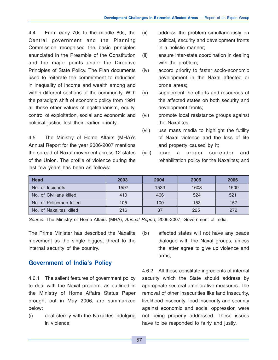4.4 From early 70s to the middle 80s, the Central government and the Planning Commission recognised the basic principles enunciated in the Preamble of the Constitution and the major points under the Directive Principles of State Policy. The Plan documents used to reiterate the commitment to reduction in inequality of income and wealth among and within different sections of the community. With the paradigm shift of economic policy from 1991 all these other values of egalitarianism, equity, control of exploitation, social and economic and political justice lost their earlier priority.

4.5 The Ministry of Home Affairs (MHA)'s Annual Report for the year 2006-2007 mentions the spread of Naxal movement across 12 states of the Union. The profile of violence during the last few years has been as follows:

- (ii) address the problem simultaneously on political, security and development fronts in a holistic manner;
- (ii) ensure inter-state coordination in dealing with the problem;
- (iv) accord priority to faster socio-economic development in the Naxal affected or prone areas;
- (v) supplement the efforts and resources of the affected states on both security and development fronts;
- (vi) promote local resistance groups against the Naxalites;
- (vii) use mass media to highlight the futility of Naxal violence and the loss of life and property caused by it;
- (viii) have a proper surrender and rehabilitation policy for the Naxalites; and

| <b>Head</b>             | 2003 | 2004 | 2005 | 2006 |
|-------------------------|------|------|------|------|
| No. of Incidents        | 1597 | 1533 | 1608 | 1509 |
| No. of Civilians killed | 410  | 466  | 524  | 521  |
| No. of Policemen killed | 105  | 100  | 153  | 157  |
| No. of Naxalites killed | 216  | 87   | 225  | 272  |

Source: The Ministry of Home Affairs (MHA), Annual Report, 2006-2007, Government of India.

The Prime Minister has described the Naxalite movement as the single biggest threat to the internal security of the country.

# **Government of India's Policy**

4.6.1 The salient features of government policy to deal with the Naxal problem, as outlined in the Ministry of Home Affairs Status Paper brought out in May 2006, are summarized below:

(i) deal sternly with the Naxalites indulging in violence;

(ix) affected states will not have any peace dialogue with the Naxal groups, unless the latter agree to give up violence and arms;

4.6.2 All these constitute ingredients of internal security which the State should address by appropriate sectoral ameliorative measures. The removal of other insecurities like land insecurity, livelihood insecurity, food insecurity and security against economic and social oppression were not being properly addressed. These issues have to be responded to fairly and justly.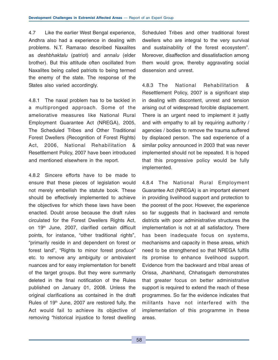4.7 Like the earlier West Bengal experience, Andhra also had a experience in dealing with problems. N.T. Ramarao described Naxalites as deshbhaktalu (patriot) and annalu (elder brother). But this attitude often oscillated from Naxalites being called patriots to being termed the enemy of the state. The response of the States also varied accordingly.

4.8.1 The naxal problem has to be tackled in a multipronged approach. Some of the ameliorative measures like National Rural Employment Guarantee Act (NREGA), 2005, The Scheduled Tribes and Other Traditional Forest Dwellers (Recognition of Forest Rights) Act, 2006, National Rehabilitation & Resettlement Policy, 2007 have been introduced and mentioned elsewhere in the report.

4.8.2 Sincere efforts have to be made to ensure that these pieces of legislation would not merely embellish the statute book. These should be effectively implemented to achieve the objectives for which these laws have been enacted. Doubt arose because the draft rules circulated for the Forest Dwellers Rights Act, on 19<sup>th</sup> June, 2007, clarified certain difficult points, for instance, "other traditional rights", "primarily reside in and dependent on forest or forest land", "Rights to minor forest produce" etc. to remove any ambiguity or ambivalent nuances and for easy implementation for benefit of the target groups. But they were summarily deleted in the final notification of the Rules published on January 01, 2008. Unless the original clarifications as contained in the draft Rules of 19<sup>th</sup> June, 2007 are restored fully, the Act would fail to achieve its objective of removing "historical injustice to forest dwelling Scheduled Tribes and other traditional forest dwellers who are integral to the very survival and sustainability of the forest ecosystem". Moreover, disaffection and dissatisfaction among them would grow, thereby aggravating social dissension and unrest.

4.8.3 The National Rehabilitation & Resettlement Policy, 2007 is a significant step in dealing with discontent, unrest and tension arising out of widespread forcible displacement. There is an urgent need to implement it justly and with empathy to all by requiring authority / agencies / bodies to remove the trauma suffered by displaced person. The sad experience of a similar policy announced in 2003 that was never implemented should not be repeated. It is hoped that this progressive policy would be fully implemented.

4.8.4 The National Rural Employment Guarantee Act (NREGA) is an important element in providing livelihood support and protection to the poorest of the poor. However, the experience so far suggests that in backward and remote districts with poor administrative structures the implementation is not at all satisfactory. There has been inadequate focus on systems, mechanisms and capacity in these areas, which need to be strengthened so that NREGA fulfils its promise to enhance livelihood support. Evidence from the backward and tribal areas of Orissa, Jharkhand, Chhatisgarh demonstrates that greater focus on better administrative support is required to extend the reach of these programmes. So far the evidence indicates that militants have not interfered with the implementation of this programme in these areas.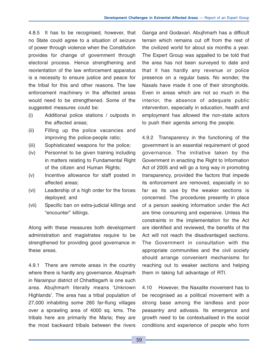4.8.5 It has to be recognised, however, that no State could agree to a situation of seizure of power through violence when the Constitution provides for change of government through electoral process. Hence strengthening and reorientation of the law enforcement apparatus is a necessity to ensure justice and peace for the tribal for this and other reasons. The law enforcement machinery in the affected areas would need to be strengthened. Some of the suggested measures could be:

- (i) Additional police stations / outposts in the affected areas;
- (ii) Filling up the police vacancies and improving the police-people ratio;
- (iii) Sophisticated weapons for the police;
- (iv) Personnel to be given training including in matters relating to Fundamental Right of the citizen and Human Rights;
- (v) Incentive allowance for staff posted in affected areas;
- (vi) Leadership of a high order for the forces deployed; and
- (vii) Specific ban on extra-judicial killings and "encounter" killings.

Along with these measures both development administration and magistrates require to be strengthened for providing good governance in these areas.

4.9.1 There are remote areas in the country where there is hardly any governance. Abujmarh in Narainpur district of Chhattisgarh is one such area. Abujhmarh literally means 'Unknown Highlands'. The area has a tribal population of 27,000 inhabiting some 260 far-flung villages over a sprawling area of 4000 sq. kms. The tribals here are primarily the Maria; they are the most backward tribals between the rivers

Ganga and Godavari. Abujhmarh has a difficult terrain which remains cut off from the rest of the civilized world for about six months a year. The Expert Group was appalled to be told that the area has not been surveyed to date and that it has hardly any revenue or police presence on a regular basis. No wonder, the Naxals have made it one of their strongholds. Even in areas which are not so much in the interior, the absence of adequate public intervention, especially in education, health and employment has allowed the non-state actors to push their agenda among the people.

4.9.2 Transparency in the functioning of the government is an essential requirement of good governance. The initiative taken by the Government in enacting the Right to Information Act of 2005 and will go a long way in promoting transparency, provided the factors that impede its enforcement are removed, especially in so far as its use by the weaker sections is concerned. The procedures presently in place of a person seeking information under the Act are time consuming and expensive. Unless the constraints in the implementation for the Act are identified and reviewed, the benefits of the Act will not reach the disadvantaged sections. The Government in consultation with the appropriate communities and the civil society should arrange convenient mechanisms for reaching out to weaker sections and helping them in taking full advantage of RTI.

4.10 However, the Naxalite movement has to be recognised as a political movement with a strong base among the landless and poor peasantry and adivasis. Its emergence and growth need to be contextualised in the social conditions and experience of people who form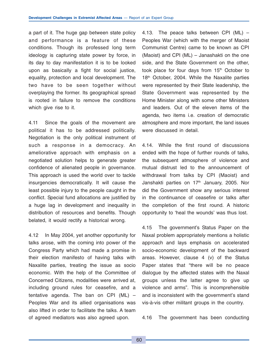a part of it. The huge gap between state policy and performance is a feature of these conditions. Though its professed long term ideology is capturing state power by force, in its day to day manifestation it is to be looked upon as basically a fight for social justice, equality, protection and local development. The two have to be seen together without overplaying the former. Its geographical spread is rooted in failure to remove the conditions which give rise to it.

4.11 Since the goals of the movement are political it has to be addressed politically. Negotiation is the only political instrument of such a response in a democracy. An ameliorative approach with emphasis on a negotiated solution helps to generate greater confidence of alienated people in governance. This approach is used the world over to tackle insurgencies democratically. It will cause the least possible injury to the people caught in the conflict. Special fund allocations are justified by a huge lag in development and inequality in distribution of resources and benefits. Though belated, it would rectify a historical wrong.

4.12 In May 2004, yet another opportunity for talks arose, with the coming into power of the Congress Party which had made a promise in their election manifesto of having talks with Naxalite parties, treating the issue as socio economic. With the help of the Committee of Concerned Citizens, modalities were arrived at, including ground rules for ceasefire, and a tentative agenda. The ban on CPI (ML) – Peoples War and its allied organisations was also lifted in order to facilitate the talks. A team of agreed mediators was also agreed upon.

4.13. The peace talks between CPI (ML) – Peoples War (which with the merger of Maoist Communist Centre) came to be known as CPI (Maoist) and CPI (ML) – Janashakti on the one side, and the State Government on the other, took place for four days from 15<sup>th</sup> October to 18<sup>th</sup> October, 2004. While the Naxalite parties were represented by their State leadership, the State Government was represented by the Home Minister along with some other Ministers and leaders. Out of the eleven items of the agenda, two items i.e. creation of democratic atmosphere and more important, the land issues were discussed in detail.

4.14. While the first round of discussions ended with the hope of further rounds of talks, the subsequent atmosphere of violence and mutual distrust led to the announcement of withdrawal from talks by CPI (Maoist) and Janshakti parties on 17<sup>th</sup> January, 2005. Nor did the Government show any serious interest in the continuance of ceasefire or talks after the completion of the first round. A historic opportunity to 'heal the wounds' was thus lost.

4.15 The government's Status Paper on the Naxal problem appropriately mentions a holistic approach and lays emphasis on accelerated socio-economic development of the backward areas. However, clause 4 (v) of the Status Paper states that "there will be no peace dialogue by the affected states with the Naxal groups unless the latter agree to give up violence and arms". This is incomprehensible and is inconsistent with the government's stand vis-à-vis other militant groups in the country.

4.16 The government has been conducting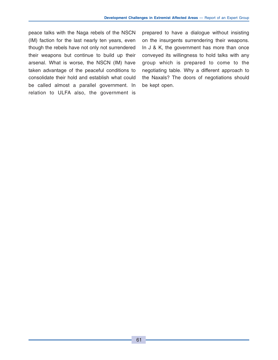peace talks with the Naga rebels of the NSCN (IM) faction for the last nearly ten years, even though the rebels have not only not surrendered their weapons but continue to build up their arsenal. What is worse, the NSCN (IM) have taken advantage of the peaceful conditions to consolidate their hold and establish what could be called almost a parallel government. In relation to ULFA also, the government is prepared to have a dialogue without insisting on the insurgents surrendering their weapons. In J & K, the government has more than once conveyed its willingness to hold talks with any group which is prepared to come to the negotiating table. Why a different approach to the Naxals? The doors of negotiations should be kept open.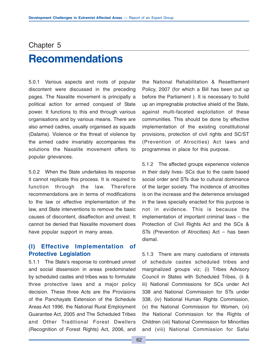# Chapter 5

# **Recommendations**

5.0.1 Various aspects and roots of popular discontent were discussed in the preceding pages. The Naxalite movement is principally a political action for armed conquest of State power. It functions to this end through various organisations and by various means. There are also armed cadres, usually organised as squads (Dalams). Violence or the threat of violence by the armed cadre invariably accompanies the solutions the Naxalite movement offers to popular grievances.

5.0.2 When the State undertakes its response it cannot replicate this process. It is required to function through the law. Therefore recommendations are in terms of modifications to the law or effective implementation of the law, and State interventions to remove the basic causes of discontent, disaffection and unrest. It cannot be denied that Naxalite movement does have popular support in many areas.

# **(I) Effective Implementation of Protective Legislation**

5.1.1 The State's response to continued unrest and social dissension in areas predominated by scheduled castes and tribes was to formulate three protective laws and a major policy decision. These three Acts are the Provisions of the Panchayats Extension of the Schedule Areas Act 1996, the National Rural Employment Guarantee Act, 2005 and The Scheduled Tribes and Other Traditional Forest Dwellers (Recognition of Forest Rights) Act, 2006, and the National Rehabilitation & Resettlement Policy, 2007 (for which a Bill has been put up before the Parliament ). It is necessary to build up an impregnable protective shield of the State, against multi-faceted exploitation of these communities. This should be done by effective implementation of the existing constitutional provisions, protection of civil rights and SC/ST (Prevention of Atrocities) Act laws and programmes in place for this purpose.

5.1.2 The affected groups experience violence in their daily lives- SCs due to the caste based social order and STs due to cultural dominance of the larger society. The incidence of atrocities is on the increase and the deterrence envisaged in the laws specially enacted for this purpose is not in evidence. This is because the implementation of important criminal laws – the Protection of Civil Rights Act and the SCs & STs (Prevention of Atrocities) Act – has been dismal.

5.1.3 There are many custodians of interests of schedule castes scheduled tribes and marginalized groups viz; (i) Tribes Advisory Council in States with Scheduled Tribes, (ii & iii) National Commissions for SCs under Act 338 and National Commission for STs under 338, (iv) National Human Rights Commission, (v) the National Commission for Women, (vi) the National Commission for the Rights of Children (vii) National Commission for Minorities and (viii) National Commission for Safai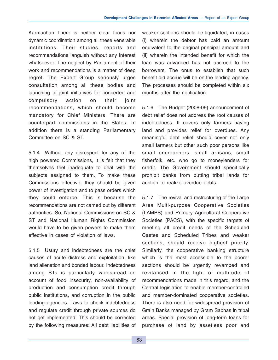Karmachari There is neither clear focus nor dynamic coordination among all these venerable institutions. Their studies, reports and recommendations languish without any interest whatsoever. The neglect by Parliament of their work and recommendations is a matter of deep regret. The Expert Group seriously urges consultation among all these bodies and launching of joint initiatives for concerted and compulsory action on their joint recommendations, which should become mandatory for Chief Ministers. There are counterpart commissions in the States. In addition there is a standing Parliamentary Committee on SC & ST.

5.1.4 Without any disrespect for any of the high powered Commissions, it is felt that they themselves feel inadequate to deal with the subjects assigned to them. To make these Commissions effective, they should be given power of investigation and to pass orders which they could enforce. This is because the recommendations are not carried out by different authorities. So, National Commissions on SC & ST and National Human Rights Commission would have to be given powers to make them effective in cases of violation of laws.

5.1.5 Usury and indebtedness are the chief causes of acute distress and exploitation, like land alienation and bonded labour. Indebtedness among STs is particularly widespread on account of food insecurity, non-availability of production and consumption credit through public institutions, and corruption in the public lending agencies. Laws to check indebtedness and regulate credit through private sources do not get implemented. This should be corrected by the following measures: All debt liabilities of

weaker sections should be liquidated, in cases (i) wherein the debtor has paid an amount equivalent to the original principal amount and (ii) wherein the intended benefit for which the loan was advanced has not accrued to the borrowers. The onus to establish that such benefit did accrue will be on the lending agency. The processes should be completed within six months after the notification.

5.1.6 The Budget (2008-09) announcement of debt relief does not address the root causes of indebtedness. It covers only farmers having land and provides relief for overdues. Any meaningful debt relief should cover not only small farmers but other such poor persons like small encroachers, small artisans, small fisherfolk, etc. who go to moneylenders for credit. The Government should specifically prohibit banks from putting tribal lands for auction to realize overdue debts.

5.1.7 The revival and restructuring of the Large Area Multi-purpose Cooperative Societies (LAMPS) and Primary Agricultural Cooperative Societies (PACS), with the specific targets of meeting all credit needs of the Scheduled Castes and Scheduled Tribes and weaker sections, should receive highest priority. Similarly, the cooperative banking structure which is the most accessible to the poorer sections should be urgently revamped and revitalised in the light of multitude of recommendations made in this regard, and the Central legislation to enable member-controlled and member-dominated cooperative societies. There is also need for widespread provision of Grain Banks managed by Gram Sabhas in tribal areas. Special provision of long-term loans for purchase of land by assetless poor and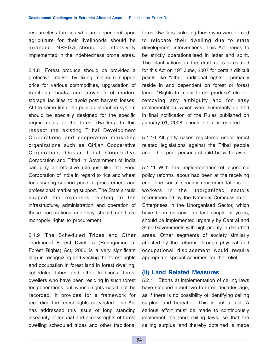resourceless families who are dependent upon agriculture for their livelihoods should be arranged. NREGA should be intensively implemented in the indebtedness prone areas.

5.1.8 Forest produce should be provided a protective market by fixing minimum support price for various commodities, upgradation of traditional haats, and provision of modern storage facilities to avoid post harvest losses. At the same time, the public distribution system should be specially designed for the specific requirements of the forest dwellers. In this respect the existing Tribal Development Corporations and cooperative marketing organizations such as Girijan Cooperative Corporation, Orissa Tribal Cooperative Corporation and Trifed in Government of India can play an effective role just like the Food Corporation of India in regard to rice and wheat for ensuring support price to procurement and professional marketing support. The State should support the expenses relating to the infrastructure, administration and operation of these corporations and they should not have monopoly rights to procurement.

5.1.9 The Scheduled Tribes and Other Traditional Forest Dwellers (Recognition of Forest Rights) Act, 2006 is a very significant step in recognizing and vesting the forest rights and occupation in forest land in forest dwelling, scheduled tribes and other traditional forest dwellers who have been residing in such forest for generations but whose rights could not be recorded. It provides for a framework for recording the forest rights so vested. The Act has addressed this issue of long standing insecurity of tenurial and access rights of forest dwelling scheduled tribes and other traditional

forest dwellers including those who were forced to relocate their dwelling due to state development interventions. This Act needs to be strictly operationalised in letter and spirit. The clarifications in the draft rules circulated for this Act on 19<sup>th</sup> June, 2007 for certain difficult points like "other traditional rights", "primarily reside in and dependent on forest or forest land", "Rights to minor forest produce" etc. for removing any ambiguity and for easy implementation, which were summarily deleted in final notification of the Rules published on January 01, 2008, should be fully restored.

5.1.10 All petty cases registered under forest related legislations against the Tribal people and other poor persons should be withdrawn.

5.1.11 With the implementation of economic policy reforms labour had been at the receiving end. The social security recommendations for workers in the unorganized sectors recommended by the National Commission for Enterprises in the Unorganised Sector, which have been on anvil for last couple of years, should be implemented urgently by Central and State Governments with high priority in disturbed areas. Other segments of society similarly affected by the reforms through physical and occupational displacement would require appropriate special schemes for the relief.

#### **(II) Land Related Measures**

5.2.1. Efforts at implementation of ceiling laws have stopped about two to three decades ago, as if there is no possibility of identifying ceiling surplus land hereafter. This is not a fact. A serious effort must be made to continuously implement the land ceiling laws, so that the ceiling surplus land thereby obtained is made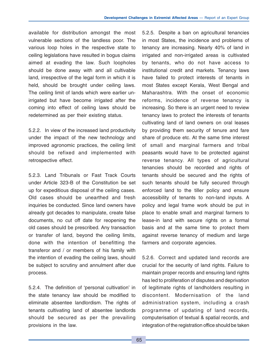available for distribution amongst the most vulnerable sections of the landless poor. The various loop holes in the respective state to ceiling legislations have resulted in bogus claims aimed at evading the law. Such loopholes should be done away with and all cultivable land, irrespective of the legal form in which it is held, should be brought under ceiling laws. The ceiling limit of lands which were earlier unirrigated but have become irrigated after the coming into effect of ceiling laws should be redetermined as per their existing status.

5.2.2. In view of the increased land productivity under the impact of the new technology and improved agronomic practices, the ceiling limit should be refixed and implemented with retrospective effect.

5.2.3. Land Tribunals or Fast Track Courts under Article 323-B of the Constitution be set up for expeditious disposal of the ceiling cases. Old cases should be unearthed and fresh inquiries be conducted. Since land owners have already got decades to manipulate, create false documents, no cut off date for reopening the old cases should be prescribed. Any transaction or transfer of land, beyond the ceiling limits, done with the intention of benefitting the transferor and / or members of his family with the intention of evading the ceiling laws, should be subject to scrutiny and annulment after due process.

5.2.4. The definition of 'personal cultivation' in the state tenancy law should be modified to eliminate absentee landlordism. The rights of tenants cultivating land of absentee landlords should be secured as per the prevailing provisions in the law.

5.2.5. Despite a ban on agricultural tenancies in most States, the incidence and problems of tenancy are increasing. Nearly 40% of land in irrigated and non-irrigated areas is cultivated by tenants, who do not have access to institutional credit and markets. Tenancy laws have failed to protect interests of tenants in most States except Kerala, West Bengal and Maharashtra. With the onset of economic reforms, incidence of reverse tenancy is increasing. So there is an urgent need to review tenancy laws to protect the interests of tenants cultivating land of land owners on oral leases by providing them security of tenure and fare share of produce etc. At the same time interest of small and marginal farmers and tribal peasants would have to be protected against reverse tenancy. All types of agricultural tenancies should be recorded and rights of tenants should be secured and the rights of such tenants should be fully secured through enforced land to the tiller policy and ensure accessibility of tenants to non-land inputs. A policy and legal frame work should be put in place to enable small and marginal farmers to lease-in land with secure rights on a formal basis and at the same time to protect them against reverse tenancy of medium and large farmers and corporate agencies.

5.2.6. Correct and updated land records are crucial for the security of land rights. Failure to maintain proper records and ensuring land rights has led to proliferation of disputes and deprivation of legitimate rights of landholders resulting in discontent. Modernisation of the land administration system, including a crash programme of updating of land records, computerisation of textual & spatial records, and integration of the registration office should be taken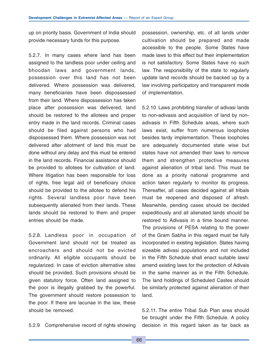up on priority basis. Government of India should provide necessary funds for this purpose.

5.2.7. In many cases where land has been assigned to the landless poor under ceiling and bhoodan laws and government lands, possession over this land has not been delivered. Where possession was delivered, many beneficiaries have been dispossessed from their land. Where dispossession has taken place after possession was delivered, land should be restored to the allotees and proper entry made in the land records. Criminal cases should be filed against persons who had dispossessed them. Where possession was not delivered after allotment of land this must be done without any delay and this must be entered in the land records. Financial assistance should be provided to allotees for cultivation of land. Where litigation has been responsible for loss of rights, free legal aid of beneficiary choice should be provided to the allotee to defend his rights. Several landless poor have been subsequently alienated from their lands. These lands should be restored to them and proper entries should be made.

5.2.8. Landless poor in occupation of Government land should not be treated as encroachers and should not be evicted ordinarily. All eligible occupants should be regularized. In case of eviction alternative sites should be provided. Such provisions should be given statutory force. Often land assigned to the poor is illegally grabbed by the powerful. The government should restore possession to the poor. If there are lacunae in the law, these should be removed.

5.2.9 Comprehensive record of rights showing

possession, ownership, etc. of all lands under cultivation should be prepared and made accessible to the people. Some States have made laws to this effect but their implementation is not satisfactory. Some States have no such law. The responsibility of the state to regularly update land records should be backed up by a law involving participatory and transparent mode of implementation.

5.2.10 Laws prohibiting transfer of adivasi lands to non-adivasis and acquisition of land by nonadivasis in Fifth Schedule areas, where such laws exist, suffer from numerous loopholes besides tardy implementation. These loopholes are adequately documented state wise but states have not amended their laws to remove them and strengthen protective measures against alienation of tribal land. This must be done as a priority national programme and action taken regularly to monitor its progress. Thereafter, all cases decided against all tribals must be reopened and disposed of afresh. Meanwhile, pending cases should be decided expeditiously and all alienated lands should be restored to Adivasis in a time bound manner. The provisions of PESA relating to the power of the Gram Sabha in this regard must be fully incorporated in existing legislation. States having sizeable adivasi populations and not included in the Fifth Schedule shall enact suitable laws/ amend existing laws for the protection of Adivais in the same manner as in the Fifth Schedule. The land holdings of Scheduled Castes should be similarly protected against alienation of their land.

5.2.11. The entire Tribal Sub Plan area should be brought under the Fifth Schedule. A policy decision in this regard taken as far back as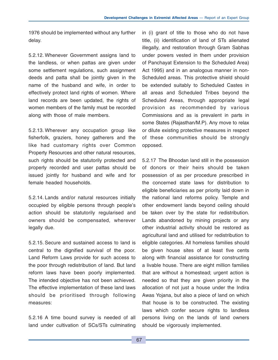1976 should be implemented without any further delay.

5.2.12. Whenever Government assigns land to the landless, or when pattas are given under some settlement regulations, such assignment deeds and patta shall be jointly given in the name of the husband and wife, in order to effectively protect land rights of women. Where land records are been updated, the rights of women members of the family must be recorded along with those of male members.

5.2.13. Wherever any occupation group like fisherfolk, graziers, honey gatherers and the like had customary rights over Common Property Resources and other natural resources, such rights should be statutorily protected and properly recorded and user pattas should be issued jointly for husband and wife and for female headed households.

5.2.14. Lands and/or natural resources initially occupied by eligible persons through people's action should be statutorily regularised and owners should be compensated, wherever legally due.

5.2.15. Secure and sustained access to land is central to the dignified survival of the poor. Land Reform Laws provide for such access to the poor through redistribution of land. But land reform laws have been poorly implemented. The intended objective has not been achieved. The effective implementation of these land laws should be prioritised through following measures:

5.2.16 A time bound survey is needed of all land under cultivation of SCs/STs culminating in (i) grant of title to those who do not have title, (ii) identification of land of STs alienated illegally, and restoration through Gram Sabhas under powers vested in them under provision of Panchayat Extension to the Scheduled Area) Act 1995) and in an analogous manner in non-Scheduled areas. This protective shield should be extended suitably to Scheduled Castes in all areas and Scheduled Tribes beyond the Scheduled Areas, through appropriate legal provision as recommended by various Commissions and as is prevalent in parts in some States (Rajasthan/M.P). Any move to relax or dilute existing protective measures in respect of these communities should be strongly opposed.

5.2.17 The Bhoodan land still in the possession of donors or their heirs should be taken possession of as per procedure prescribed in the concerned state laws for distribution to eligible beneficiaries as per priority laid down in the national land reforms policy. Temple and other endowment lands beyond ceiling should be taken over by the state for redistribution. Lands abandoned by mining projects or any other industrial activity should be restored as agricultural land and utilised for redistribution to eligible categories. All homeless families should be given house sites of at least five cents along with financial assistance for constructing a livable house. There are eight million families that are without a homestead; urgent action is needed so that they are given priority in the allocation of not just a house under the Indira Awas Yojana, but also a piece of land on which that house is to be constructed. The existing laws which confer secure rights to landless persons living on the lands of land owners should be vigorously implemented.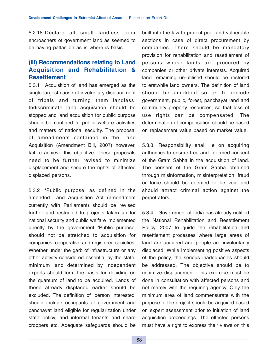5.2.18 Declare all small landless poor encroachers of government land as seemed to be having pattas on as is where is basis.

## **(III) Recommendations relating to Land Acquisition and Rehabilitation & Resettlement**

5.3.1 Acquisition of land has emerged as the single largest cause of involuntary displacement of tribals and turning them landless. Indiscriminate land acquisition should be stopped and land acquisition for public purpose should be confined to public welfare activities and matters of national security. The proposal of amendments contained in the Land Acquisition (Amendment Bill, 2007) however, fail to achieve this objective. These proposals need to be further revised to minimize displacement and secure the rights of affected displaced persons.

5.3.2 'Public purpose' as defined in the amended Land Acquisition Act (amendment currently with Parliament) should be revised further and restricted to projects taken up for national security and public welfare implemented directly by the government 'Public purpose' should not be stretched to acquisition for companies, cooperative and registered societies. Whether under the garb of infrastructure or any other activity considered essential by the state, minimum land determined by independent experts should form the basis for deciding on the quantum of land to be acquired. Lands of those already displaced earlier should be excluded. The definition of 'person interested' should include occupants of government and panchayat land eligible for regularization under state policy, and informal tenants and share croppers etc. Adequate safeguards should be

built into the law to protect poor and vulnerable sections in case of direct procurement by companies. There should be mandatory provision for rehabilitation and resettlement of persons whose lands are procured by companies or other private interests. Acquired land remaining un-utilised should be restored to erstwhile land owners. The definition of land should be amplified so as to include government, public, forest, panchayat land and community property resources, so that loss of use rights can be compensated. The determination of compensation should be based on replacement value based on market value.

5.3.3 Responsibility shall lie on acquiring authorities to ensure free and informed consent of the Gram Sabha in the acquisition of land. The consent of the Gram Sabha obtained through misinformation, misinterpretation, fraud or force should be deemed to be void and should attract criminal action against the perpetrators.

5.3.4 Government of India has already notified the National Rehabilitation and Resettlement Policy, 2007 to guide the rehabilitation and resettlement processes where large areas of land are acquired and people are involuntarily displaced. While implementing positive aspects of the policy, the serious inadequacies should be addressed. The objective should be to minimize displacement. This exercise must be done in consultation with affected persons and not merely with the requiring agency. Only the minimum area of land commensurate with the purpose of the project should be acquired based on expert assessment prior to initiation of land acquisition proceedings. The effected persons must have a right to express their views on this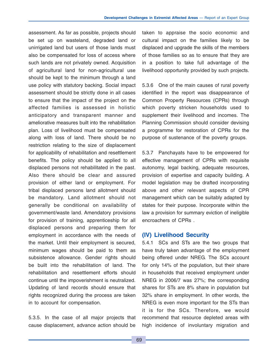assessment. As far as possible, projects should be set up on wasteland, degraded land or unirrigated land but users of those lands must also be compensated for loss of access where such lands are not privately owned. Acquisition of agricultural land for non-agricultural use should be kept to the minimum through a land use policy with statutory backing. Social impact assessment should be strictly done in all cases to ensure that the impact of the project on the affected families is assessed in holistic anticipatory and transparent manner and ameliorative measures built into the rehabilitation plan. Loss of livelihood must be compensated along with loss of land. There should be no restriction relating to the size of displacement for applicability of rehabilitation and resettlement benefits. The policy should be applied to all displaced persons not rehabilitated in the past. Also there should be clear and assured provision of either land or employment. For tribal displaced persons land allotment should be mandatory. Land allotment should not generally be conditional on availability of government/waste land. Amendatory provisions for provision of training, apprenticeship for all displaced persons and preparing them for employment in accordance with the needs of the market. Until their employment is secured, minimum wages should be paid to them as subsistence allowance. Gender rights should be built into the rehabilitation of land. The rehabilitation and resettlement efforts should continue until the impoverishment is neutralized. Updating of land records should ensure that rights recognized during the process are taken in to account for compensation.

5.3.5. In the case of all major projects that cause displacement, advance action should be taken to appraise the socio economic and cultural impact on the families likely to be displaced and upgrade the skills of the members of those families so as to ensure that they are in a position to take full advantage of the livelihood opportunity provided by such projects.

5.3.6 One of the main causes of rural poverty identified in the report was disappearance of Common Property Resources (CPRs) through which poverty stricken households used to supplement their livelihood and incomes. The Planning Commission should consider devising a programme for restoration of CPRs for the purpose of sustenance of the poverty groups.

5.3.7 Panchayats have to be empowered for effective management of CPRs with requisite autonomy, legal backing, adequate resources, provision of expertise and capacity building. A model legislation may be drafted incorporating above and other relevant aspects of CPR management which can be suitably adapted by states for their purpose. Incorporate within the law a provision for summary eviction of ineligible encroachers of CPRs .

#### **(IV) Livelihood Security**

5.4.1 SCs and STs are the two groups that have truly taken advantage of the employment being offered under NREG. The SCs account for only 14% of the population, but their share in households that received employment under NREG in 2006/7 was 27%; the corresponding shares for STs are 8% share in population but 32% share in employment. In other words, the NREG is even more important for the STs than it is for the SCs. Therefore, we would recommend that resource depleted areas with high incidence of involuntary migration and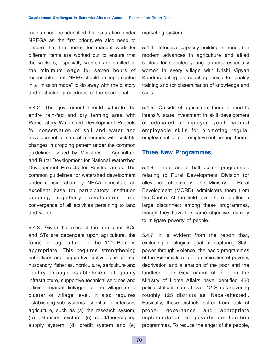malnutrition be identified for saturation under NREGA as the first priority.We also need to ensure that the norms for manual work for different items are worked out to ensure that the workers, especially women are entitled to the minimum wage for seven hours of reasonable effort. NREG should be implemented in a "mission mode" to do away with the dilatory and restrictive procedures of the secretariat.

5.4.2 The government should saturate the entire rain-fed and dry farming area with Participatory Watershed Development Projects for conservation of soil and water and development of natural resources with suitable changes in cropping pattern under the common guidelines issued by Ministries of Agriculture and Rural Development for National Watershed Development Projects for Rainfed areas. The common guidelines for watershed development under consideration by NRAA constitute an excellent base for participatory institution building, capability development and convergence of all activities pertaining to land and water.

5.4.3 Given that most of the rural poor, SCs and STs are dependent upon agriculture, the focus on agriculture in the 11<sup>th</sup> Plan is appropriate. This requires strengthening subsidiary and supportive activities in animal husbandry, fisheries, horticulture, sericulture and poultry through establishment of quality infrastructure, supportive technical services and efficient market linkages at the village or a cluster of village level. It also requires establishing sub-systems essential for intensive agriculture, such as (a) the research system, (b) extension system, (c) seed/feed/sapling supply system, (d) credit system and (e) marketing system.

5.4.4 Intensive capacity building is needed in modern advances in agriculture and allied sectors for selected young farmers, especially women in every village with Krishi Vigyan Kendras acting as nodal agencies for quality training and for dissemination of knowledge and skills.

5.4.5 Outside of agriculture, there is need to intensify state investment in skill development of educated unemployed youth without employable skills for promoting regular employment or self employment among them.

#### **Three New Programmes**

5.4.6 There are a half dozen programmes relating to Rural Development Division for alleviation of poverty. The Ministry of Rural Development (MORD) administers them from the Centre. At the field level there is often a large disconnect among these programmes, though they have the same objective, namely to mitigate poverty of people.

5.4.7 It is evident from the report that, excluding ideological goal of capturing State power through violence, the basic programmes of the Extremists relate to elimination of poverty, deprivation and alienation of the poor and the landless. The Government of India in the Ministry of Home Affairs have identified 460 police stations spread over 12 States covering roughly 125 districts as 'Naxal-affected'. Basically, these districts suffer from lack of proper governance and appropriate implementation of poverty amelioration programmes. To reduce the anger of the people,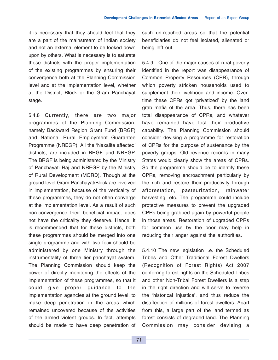it is necessary that they should feel that they are a part of the mainstream of Indian society and not an external element to be looked down upon by others. What is necessary is to saturate these districts with the proper implementation of the existing programmes by ensuring their convergence both at the Planning Commission level and at the implementation level, whether at the District, Block or the Gram Panchayat stage.

5.4.8 Currently, there are two major programmes of the Planning Commission, namely Backward Region Grant Fund (BRGF) and National Rural Employment Guarantee Programme (NREGP). All the 'Naxalite affected' districts, are included in BRGF and NREGP. The BRGF is being administered by the Ministry of Panchayati Raj and NREGP by the Ministry of Rural Development (MORD). Though at the ground level Gram Panchayat/Block are involved in implementation, because of the verticality of these programmes, they do not often converge at the implementation level. As a result of such non-convergence their beneficial impact does not have the criticality they deserve. Hence, it is recommended that for these districts, both these programmes should be merged into one single programme and with two focii should be administered by one Ministry through the instrumentality of three tier panchayat system. The Planning Commission should keep the power of directly monitoring the effects of the implementation of these programmes, so that it could give proper guidance to the implementation agencies at the ground level, to make deep penetration in the areas which remained uncovered because of the activities of the armed violent groups. In fact, attempts should be made to have deep penetration of

such un-reached areas so that the potential beneficiaries do not feel isolated, alienated or being left out.

5.4.9 One of the major causes of rural poverty identified in the report was disappearance of Common Property Resources (CPR), through which poverty stricken households used to supplement their livelihood and income. Overtime these CPRs got 'privatized' by the land grab mafia of the area. Thus, there has been total disappearance of CPRs, and whatever have remained have lost their productive capability. The Planning Commission should consider devising a programme for restoration of CPRs for the purpose of sustenance by the poverty groups. Old revenue records in many States would clearly show the areas of CPRs. So the programme should be to identify these CPRs, removing encroachment particularly by the rich and restore their productivity through afforestation, pasteurization, rainwater harvesting, etc. The programme could include protective measures to prevent the upgraded CPRs being grabbed again by powerful people in those areas. Restoration of upgraded CPRs for common use by the poor may help in reducing their anger against the authorities.

5.4.10 The new legislation i.e. the Scheduled Tribes and Other Traditional Forest Dwellers (Recognition of Forest Rights) Act 2007 conferring forest rights on the Scheduled Tribes and other Non-Tribal Forest Dwellers is a step in the right direction and will serve to reverse the 'historical injustice', and thus reduce the disaffection of millions of forest dwellers. Apart from this, a large part of the land termed as forest consists of degraded land. The Planning Commission may consider devising a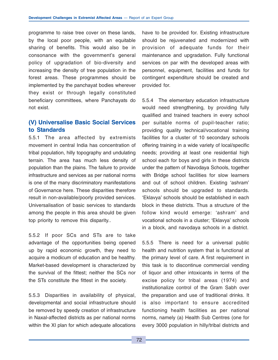programme to raise tree cover on these lands, by the local poor people, with an equitable sharing of benefits. This would also be in consonance with the government's general policy of upgradation of bio-diversity and increasing the density of tree population in the forest areas. These programmes should be implemented by the panchayat bodies wherever they exist or through legally constituted beneficiary committees, where Panchayats do not exist.

## **(V) Universalise Basic Social Services to Standards**

5.5.1 The area affected by extremists movement in central India has concentration of tribal population, hilly topography and undulating terrain. The area has much less density of population than the plains. The failure to provide infrastructure and services as per national norms is one of the many discriminatory manifestations of Governance here. These disparities therefore result in non-available/poorly provided services. Universalisation of basic services to standards among the people in this area should be given top priority to remove this disparity..

5.5.2 If poor SCs and STs are to take advantage of the opportunities being opened up by rapid economic growth, they need to acquire a modicum of education and be healthy. Market-based development is characterized by the survival of the fittest; neither the SCs nor the STs constitute the fittest in the society.

5.5.3 Disparities in availability of physical, developmental and social infrastructure should be removed by speedy creation of infrastructure in Naxal-affected districts as per national norms within the XI plan for which adequate allocations have to be provided for. Existing infrastructure should be rejuvenated and modernized with provision of adequate funds for their maintenance and upgradation. Fully functional services on par with the developed areas with personnel, equipment, facilities and funds for contingent expenditure should be created and provided for.

5.5.4 The elementary education infrastructure would need strengthening, by providing fully qualified and trained teachers in every school per suitable norms of pupil-teacher ratio; providing quality technical/vocational training facilities for a cluster of 10 secondary schools offering training in a wide variety of local/specific needs; providing at least one residential high school each for boys and girls in these districts under the pattern of Navodaya Schools, together with Bridge school facilities for slow learners and out of school children. Existing 'ashram' schools should be upgraded to standards. 'Eklavya' schools should be established in each block in these districts. Thus a structure of the follow kind would emerge: 'ashram' and vocational schools in a cluster; 'Eklavya' schools in a block, and navodaya schools in a district.

5.5.5 There is need for a universal public health and nutrition system that is functional at the primary level of care. A first requirement in this task is to discontinue commercial vending of liquor and other intoxicants in terms of the excise policy for tribal areas (1974) and institutionalize control of the Gram Sabh over the preparation and use of traditional drinks. It is also important to ensure accredited functioning health facilities as per national norms, namely (a) Health Sub Centres (one for every 3000 population in hilly/tribal districts and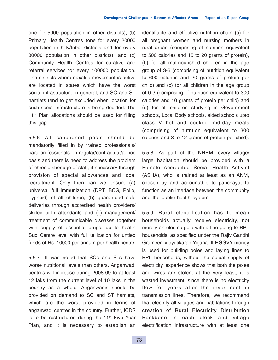one for 5000 population in other districts), (b) Primary Health Centres (one for every 20000 population in hilly/tribal districts and for every 30000 population in other districts), and (c) Community Health Centres for curative and referral services for every 100000 population. The districts where naxalite movement is active are located in states which have the worst social infrastructure in general, and SC and ST hamlets tend to get excluded when location for such social infrastructure is being decided. The  $11<sup>th</sup>$  Plan allocations should be used for filling this gap.

5.5.6 All sanctioned posts should be mandatorily filled in by trained professionals/ para professionals on regular/contractual/adhoc basis and there is need to address the problem of chronic shortage of staff, if necessary through provision of special allowances and local recruitment. Only then can we ensure (a) universal full immunization (DPT, BCG, Polio, Typhoid) of all children, (b) guaranteed safe deliveries through accredited health providers/ skilled birth attendants and (c) management/ treatment of communicable diseases together with supply of essential drugs, up to health Sub Centre level with full utilization for untied funds of Rs. 10000 per annum per health centre.

5.5.7 It was noted that SCs and STs have worse nutritional levels than others. Anganwadi centres will increase during 2008-09 to at least 12 laks from the current level of 10 laks in the country as a whole. Anganwadis should be provided on demand to SC and ST hamlets, which are the worst provided in terms of anganwadi centres in the country. Further, ICDS is to be restructured during the  $11<sup>th</sup>$  Five Year Plan, and it is necessary to establish an

identifiable and effective nutrition chain (a) for all pregnant women and nursing mothers in rural areas (comprising of nutrition equivalent to 500 calories and 15 to 20 grams of protein), (b) for all mal-nourished children in the age group of 3-6 (comprising of nutrition equivalent to 600 calories and 20 grams of protein per child) and (c) for all children in the age group of 0-3 (comprising of nutrition equivalent to 300 calories and 10 grams of protein per child) and (d) for all children studying in Government schools, Local Body schools, aided schools upto class V hot and cooked mid-day meals (comprising of nutrition equivalent to 300 calories and 8 to 12 grams of protein per child).

5.5.8 As part of the NHRM, every village/ large habitation should be provided with a Female Accredited Social Health Activist (ASHA), who is trained at least as an ANM, chosen by and accountable to panchayat to function as an interface between the community and the public health system.

5.5.9 Rural electrification has to mean households actually receive electricity, not merely an electric pole with a line going to BPL households, as specified under the Rajiv Gandhi Grameen Vidyutikaran Yojana. If RGGVY money is used for building poles and laying lines to BPL households, without the actual supply of electricity, experience shows that both the poles and wires are stolen; at the very least, it is wasted investment, since there is no electricity flow for years after the investment in transmission lines. Therefore, we recommend that electrify all villages and habitations through creation of Rural Electricity Distribution Backbone in each block and village electrification infrastructure with at least one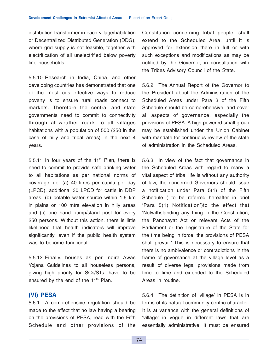distribution transformer in each village/habitation or Decentralized Distributed Generation (DDG), where grid supply is not feasible, together with electrification of all unelectrified below poverty line households.

5.5.10 Research in India, China, and other developing countries has demonstrated that one of the most cost-effective ways to reduce poverty is to ensure rural roads connect to markets. Therefore the central and state governments need to commit to connectivity through all-weather roads to all villages habitations with a population of 500 (250 in the case of hilly and tribal areas) in the next 4 years.

5.5.11 In four years of the  $11<sup>th</sup>$  Plan, there is need to commit to provide safe drinking water to all habitations as per national norms of coverage, i.e. (a) 40 litres per capita per day (LPCD), additional 30 LPCD for cattle in DDP areas, (b) potable water source within 1.6 km in plains or 100 mtrs elevation in hilly areas and (c) one hand pump/stand post for every 250 persons. Without this action, there is little likelihood that health indicators will improve significantly, even if the public health system was to become functional.

5.5.12 Finally, houses as per Indira Awas Yojana Guidelines to all houseless persons, giving high priority for SCs/STs, have to be ensured by the end of the 11<sup>th</sup> Plan.

#### **(VI) PESA**

5.6.1 A comprehensive regulation should be made to the effect that no law having a bearing on the provisions of PESA, read with the Fifth Schedule and other provisions of the Constitution concerning tribal people, shall extend to the Scheduled Area, until it is approved for extension there in full or with such exceptions and modifications as may be notified by the Governor, in consultation with the Tribes Advisory Council of the State.

5.6.2 The Annual Report of the Governor to the President about the Administration of the Scheduled Areas under Para 3 of the Fifth Schedule should be comprehensive, and cover all aspects of governance, especially the provisions of PESA. A high-powered small group may be established under the Union Cabinet with mandate for continuous review of the state of administration in the Scheduled Areas.

5.6.3 In view of the fact that governance in the Scheduled Areas with regard to many a vital aspect of tribal life is without any authority of law, the concerned Governors should issue a notification under Para 5(1) of the Fifth Schedule ( to be referred hereafter in brief 'Para 5(1) Notification')to the effect that 'Notwithstanding any thing in the Constitution, the Panchayat Act or relevant Acts of the Parliament or the Legislature of the State for the time being in force, the provisions of PESA shall prevail.' This is necessary to ensure that there is no ambivalence or contradictions in the frame of governance at the village level as a result of diverse legal provisions made from time to time and extended to the Scheduled Areas in routine.

5.6.4 The definition of 'village' in PESA is in terms of its natural community-centric character. It is at variance with the general definitions of 'village' in vogue in different laws that are essentially administrative. It must be ensured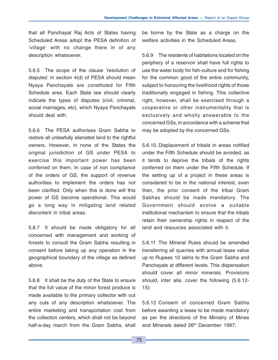that all Panchayat Raj Acts of States having Scheduled Areas adopt the PESA definition of 'village' with no change there in of any description whatsoever.

5.6.5 The scope of the clause 'resolution of disputes' in section 4(d) of PESA should mean Nyaya Panchayats are constituted for Fifth Schedule area. Each State law should clearly indicate the types of disputes (civil, criminal, social marriages, etc). which Nyaya Panchayats should deal with.

5.6.6 The PESA authorises Gram Sabha to restore all unlawfully alienated land to the rightful owners. However, in none of the States the original jurisdiction of GS under PESA to exercise this important power has been conferred on them. In case of non compliance of the orders of GS, the support of revenue authorities to implement the orders has not been clarified. Only when this is done will this power of GS become operational. This would go a long way in mitigating land related discontent in tribal areas.

5.6.7 It should be made obligatory for all concerned with management and working of forests to consult the Gram Sabha resulting in consent before taking up any operation in the geographical boundary of the village as defined above.

5.6.8 It shall be the duty of the State to ensure that the full value of the minor forest produce is made available to the primary collector with out any cuts of any description whatsoever. The entire marketing and transportation cost from the collection centers, which shall not be beyond half-a-day march from the Gram Sabha, shall be borne by the State as a charge on the welfare activities in the Scheduled Areas.

5.6.9 The residents of habitations located on the periphery of a reservoir shall have full rights to use the water body for fish-culture and for fishing for the common good of the entire community, subject to honouring the livelihood rights of those traditionally engaged in fishing. This collective right, however, shall be exercised through a cooperative or other instrumentality that is exclusively and wholly answerable to the concerned GSs, in accordance with a scheme that may be adopted by the concerned GSs.

5.6.10. Displacement of tribals in areas notified under the Fifth Schedule should be avoided, as it tends to deprive the tribals of the rights conferred on them under the Fifth Schedule. If the setting up of a project in these areas is considered to be in the national interest, even then, the prior consent of the tribal Gram Sabhas should be made mandatory. The Government should evolve a suitable institutional mechanism to ensure that the tribals retain their ownership rights in respect of the land and resources associated with it.

5.6.11 The Mineral Rules should be amended transferring all quarries with annual lease value up to Rupees 10 lakhs to the Gram Sabha and Panchayats at different levels. This dispensation should cover all minor minerals. Provisions should, inter alia, cover the following (5.6.12- 15):

5.6.12 Consent of concerned Gram Sabha before awarding a lease to be made mandatory as per the directions of the Ministry of Mines and Minerals dated 26<sup>th</sup> December 1997;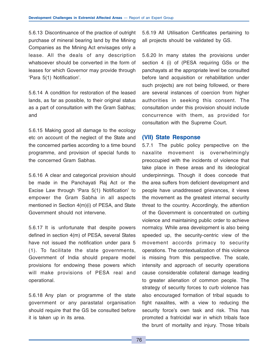5.6.13 Discontinuance of the practice of outright purchase of mineral bearing land by the Mining Companies as the Mining Act envisages only a lease. All the deals of any description whatsoever should be converted in the form of leases for which Governor may provide through 'Para 5(1) Notification'.

5.6.14 A condition for restoration of the leased lands, as far as possible, to their original status as a part of consultation with the Gram Sabhas; and

5.6.15 Making good all damage to the ecology etc on account of the neglect of the State and the concerned parties according to a time bound programme, and provision of special funds to the concerned Gram Sabhas.

5.6.16 A clear and categorical provision should be made in the Panchayati Raj Act or the Excise Law through 'Para 5(1) Notification' to empower the Gram Sabha in all aspects mentioned in Section 4(m)(i) of PESA, and State Government should not intervene.

5.6.17 It is unfortunate that despite powers defined in section 4(m) of PESA, several States have not issued the notification under para 5 (1). To facilitate the state governments, Government of India should prepare model provisions for endowing these powers which will make provisions of PESA real and operational.

5.6.18 Any plan or programme of the state government or any parastatal organisation should require that the GS be consulted before it is taken up in its area.

5.6.19 All Utilisation Certificates pertaining to all projects should be validated by GS.

5.6.20 In many states the provisions under section 4 (i) of (PESA requiring GSs or the panchayats at the appropriate level be consulted before land acquisition or rehabilitation under such projects) are not being followed, or there are several instances of coercion from higher authorities in seeking this consent. The consultation under this provision should include concurrence with them, as provided for consultation with the Supreme Court.

### **(VII) State Response**

5.7.1 The public policy perspective on the naxalite movement is overwhelmingly preoccupied with the incidents of violence that take place in these areas and its ideological underpinnings. Though it does concede that the area suffers from deficient development and people have unaddressed grievances, it views the movement as the greatest internal security threat to the country. Accordingly, the attention of the Government is concentrated on curbing violence and maintaining public order to achieve normalcy. While area development is also being speeded up, the security-centric view of the movement accords primacy to security operations. The contextualization of this violence is missing from this perspective. The scale, intensity and approach of security operations cause considerable collateral damage leading to greater alienation of common people. The strategy of security forces to curb violence has also encouraged formation of tribal squads to fight naxalites, with a view to reducing the security force's own task and risk. This has promoted a fratricidal war in which tribals face the brunt of mortality and injury. Those tribals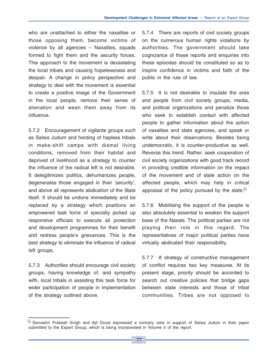who are unattached to either the naxalites or those opposing them, become victims of violence by all agencies – Naxalites, squads formed to fight them and the security forces. This approach to the movement is devastating the local tribals and causing hopelessness and despair. A change in policy perspective and strategy to deal with the movement is essential to create a positive image of the Government in the local people, remove their sense of alienation and wean them away from its influence.

5.7.2 Encouragement of vigilante groups such as Salwa Judum and herding of hapless tribals in make-shift camps with dismal living conditions, removed from their habitat and deprived of livelihood as a strategy to counter the influence of the radical left is not desirable. It delegitimizes politics, dehumanizes people, degenerates those engaged in their 'security', and above all represents abdication of the State itself. It should be undone immediately and be replaced by a strategy which positions an empowered task force of specially picked up responsive officials to execute all protection and development programmes for their benefit and redress people's grievances. This is the best strategy to eliminate the influence of radical left groups.

5.7.3 Authorities should encourage civil society groups, having knowledge of, and sympathy with, local tribals in assisting this task force for wider participation of people in implementation of the strategy outlined above.

5.7.4 There are reports of civil society groups on the numerous human rights violations by authorities. The government should take cognizance of these reports and enquiries into these episodes should be constituted so as to inspire confidence in victims and faith of the public in the rule of law.

5.7.5 It is not desirable to insulate the area and people from civil society groups, media, and political organizations and penalize those who seek to establish contact with affected people to gather information about the action of naxalites and state agencies, and speak or write about their observations. Besides being undemocratic, it is counter-productive as well. Reverse this trend. Rather, seek cooperation of civil society organizations with good track record in providing credible information on the impact of the movement and of state action on the affected people, which may help in critical appraisal of the policy pursued by the state.\*

5.7.6 Mobilising the support of the people is also absolutely essential to weaken the support base of the Naxals. The political parties are not playing their role in this regard. The representatives of major political parties have virtually abdicated their responsibility.

5.7.7 A strategy of constructive management of conflict requires two key measures. At its present stage, priority should be accorded to search out creative policies that bridge gaps between state interests and those of tribal communities. Tribes are not opposed to

<sup>\*</sup> Sarvashri Prakash Singh and Ajit Doval expressed a contrary view in support of Salwa Judum in their paper submitted to the Expert Group, which is being incorporated in Volume II of the report.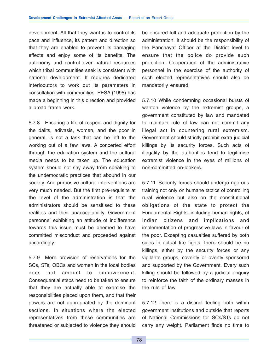development. All that they want is to control its pace and influence, its pattern and direction so that they are enabled to prevent its damaging effects and enjoy some of its benefits. The autonomy and control over natural resources which tribal communities seek is consistent with national development. It requires dedicated interlocutors to work out its parameters in consultation with communities. PESA (1995) has made a beginning in this direction and provided a broad frame work.

5.7.8 Ensuring a life of respect and dignity for the dalits, adivasis, women, and the poor in general, is not a task that can be left to the working out of a few laws. A concerted effort through the education system and the cultural media needs to be taken up. The education system should not shy away from speaking to the undemocratic practices that abound in our society. And purposive cultural interventions are very much needed. But the first pre-requisite at the level of the administration is that the administrators should be sensitised to these realities and their unacceptability. Government personnel exhibiting an attitude of indifference towards this issue must be deemed to have committed misconduct and proceeded against accordingly.

5.7.9 Mere provision of reservations for the SCs, STs, OBCs and women in the local bodies does not amount to empowerment. Consequential steps need to be taken to ensure that they are actually able to exercise the responsibilities placed upon them, and that their powers are not appropriated by the dominant sections. In situations where the elected representatives from these communities are threatened or subjected to violence they should

be ensured full and adequate protection by the administration. It should be the responsibility of the Panchayat Officer at the District level to ensure that the police do provide such protection. Cooperation of the administrative personnel in the exercise of the authority of such elected representatives should also be mandatorily ensured.

5.7.10 While condemning occasional bursts of wanton violence by the extremist groups, a government constituted by law and mandated to maintain rule of law can not commit any illegal act in countering rural extremism. Government should strictly prohibit extra judicial killings by its security forces. Such acts of illegality by the authorities tend to legitimise extremist violence in the eyes of millions of non-committed on-lookers.

5.7.11 Security forces should undergo rigorous training not only on humane tactics of controlling rural violence but also on the constitutional obligations of the state to protect the Fundamental Rights, including human rights, of Indian citizens and implications and implementation of progressive laws in favour of the poor. Excepting casualties suffered by both sides in actual fire fights, there should be no killings, either by the security forces or any vigilante groups, covertly or overtly sponsored and supported by the Government. Every such killing should be followed by a judicial enquiry to reinforce the faith of the ordinary masses in the rule of law.

5.7.12 There is a distinct feeling both within government institutions and outside that reports of National Commissions for SCs/STs do not carry any weight. Parliament finds no time to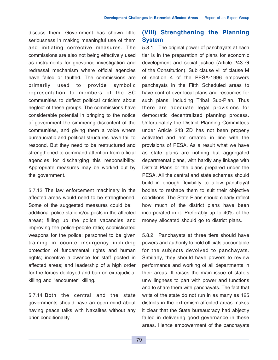discuss them. Government has shown little seriousness in making meaningful use of them and initiating corrective measures. The commissions are also not being effectively used as instruments for grievance investigation and redressal mechanism where official agencies have failed or faulted. The commissions are primarily used to provide symbolic representation to members of the SC communities to deflect political criticism about neglect of these groups. The commissions have considerable potential in bringing to the notice of government the simmering discontent of the communities, and giving them a voice where bureaucratic and political structures have fail to respond. But they need to be restructured and strengthened to command attention from official agencies for discharging this responsibility. Appropriate measures may be worked out by the government.

5.7.13 The law enforcement machinery in the affected areas would need to be strengthened. Some of the suggested measures could be: additional police stations/outposts in the affected areas; filling up the police vacancies and improving the police-people ratio; sophisticated weapons for the police; personnel to be given training in counter-insurgency including protection of fundamental rights and human rights; incentive allowance for staff posted in affected areas; and leadership of a high order for the forces deployed and ban on extrajudicial killing and "encounter" killing.

5.7.14 Both the central and the state governments should have an open mind about having peace talks with Naxalites without any prior conditionality.

## **(VIII) Strengthening the Planning System**

5.8.1 The original power of panchayats at each tier is in the preparation of plans for economic development and social justice (Article 243 G of the Constitution). Sub clause vii of clause M of section 4 of the PESA-1996 empowers panchayats in the Fifth Scheduled areas to have control over local plans and resources for such plans, including Tribal Sub-Plan. Thus there are adequate legal provisions for democratic decentralized planning process. Unfortunately the District Planning Committees under Article 243 ZD has not been properly activated and not created in line with the provisions of PESA. As a result what we have as state plans are nothing but aggregated departmental plans, with hardly any linkage with District Plans or the plans prepared under the PESA. All the central and state schemes should build in enough flexibility to allow panchayat bodies to reshape them to suit their objective conditions. The State Plans should clearly reflect how much of the district plans have been incorporated in it. Preferably up to 40% of the money allocated should go to district plans.

5.8.2 Panchayats at three tiers should have powers and authority to hold officials accountable for the subjects devolved to panchayats. Similarly, they should have powers to review performance and working of all departments in their areas. It raises the main issue of state's unwillingness to part with power and functions and to share them with panchayats. The fact that writs of the state do not run in as many as 125 districts in the extremism-affected areas makes it clear that the State bureaucracy had abjectly failed in delivering good governance in these areas. Hence empowerment of the panchayats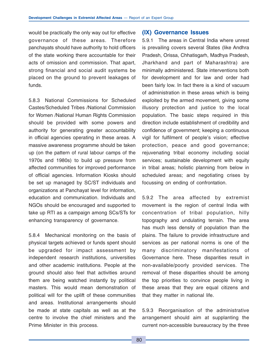would be practically the only way out for effective governance of these areas. Therefore panchayats should have authority to hold officers of the state working there accountable for their acts of omission and commission. That apart, strong financial and social audit systems be placed on the ground to prevent leakages of funds.

5.8.3 National Commissions for Scheduled Castes/Scheduled Tribes /National Commission for Women /National Human Rights Commission should be provided with some powers and authority for generating greater accountability in official agencies operating in these areas. A massive awareness programme should be taken up (on the pattern of rural labour camps of the 1970s and 1980s) to build up pressure from affected communities for improved performance of official agencies. Information Kiosks should be set up managed by SC/ST individuals and organizations at Panchayat level for information, education and communication. Individuals and NGOs should be encouraged and supported to take up RTI as a campaign among SCs/STs for enhancing transparency of governance.

5.8.4 Mechanical monitoring on the basis of physical targets achieved or funds spent should be upgraded for impact assessment by independent research institutions, universities and other academic institutions. People at the ground should also feel that activities around them are being watched instantly by political masters. This would mean demonstration of political will for the uplift of these communities and areas. Institutional arrangements should be made at state capitals as well as at the centre to involve the chief ministers and the Prime Minister in this process.

#### **(IX) Governance Issues**

5.9.1 The areas in Central India where unrest is prevailing covers several States (like Andhra Pradesh, Orissa, Chhatisgarh, Madhya Pradesh, Jharkhand and part of Maharashtra) are minimally administered. State interventions both for development and for law and order had been fairly low. In fact there is a kind of vacuum of administration in these areas which is being exploited by the armed movement, giving some illusory protection and justice to the local population. The basic steps required in this direction include establishment of credibility and confidence of government; keeping a continuous vigil for fulfilment of people's vision; effective protection, peace and good governance; rejuvenating tribal economy including social services; sustainable development with equity in tribal areas; holistic planning from below in scheduled areas; and negotiating crises by focussing on ending of confrontation.

5.9.2 The area affected by extremist movement is the region of central India with concentration of tribal population, hilly topography and undulating terrain. The area has much less density of population than the plains. The failure to provide infrastructure and services as per national norms is one of the many discriminatory manifestations of Governance here. These disparities result in non-available/poorly provided services. The removal of these disparities should be among the top priorities to convince people living in these areas that they are equal citizens and that they matter in national life.

5.9.3 Reorganisation of the administrative arrangement should aim at supplanting the current non-accessible bureaucracy by the three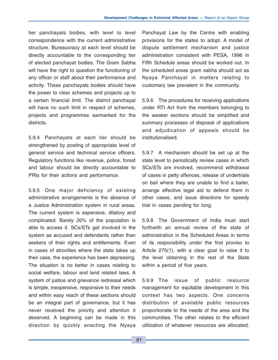tier panchayats bodies, with level to level correspondence with the current administrative structure. Bureaucracy at each level should be directly accountable to the corresponding tier of elected panchayat bodies. The Gram Sabha will have the right to question the functioning of any officer or staff about their performance and activity. These panchayats bodies should have the power to clear schemes and projects up to a certain financial limit. The district panchayat will have no such limit in respect of schemes, projects and programmes earmarked for the districts.

5.9.4 Panchayats at each tier should be strengthened by posting of appropriate level of general service and technical service officers. Regulatory functions like revenue, police, forest and labour should be directly accountable to PRIs for their actions and performance.

5.9.5 One major deficiency of existing administrative arrangements is the absence of a Justice Administration system in rural areas. The current system is expensive, dilatory and complicated. Barely 20% of the population is able to access it. SCs/STs get involved in the system as accused and defendants rather than seekers of their rights and entitlements. Even in cases of atrocities where the state takes up their case, the experience has been depressing. The situation is no better in cases relating to social welfare, labour and land related laws. A system of justice and grievance redressal which is simple, inexpensive, responsive to their needs and within easy reach of these sections should be an integral part of governance, but it has never received the priority and attention it deserved. A beginning can be made in this direction by quickly enacting the Nyaya Panchayat Law by the Centre with enabling provisions for the states to adopt. A model of dispute settlement mechanism and justice administration consistent with PESA, 1996 in Fifth Schedule areas should be worked out. In the scheduled areas gram sabha should act as Nyaya Panchayat in matters relating to customary law prevalent in the community.

5.9.6 The procedures for receiving applications under RTI Act from the members belonging to the weaker sections should be simplified and summary processes of disposal of applications and adjudication of appeals should be institutionalised.

5.9.7 A mechanism should be set up at the state level to periodically review cases in which SCs/STs are involved, recommend withdrawal of cases in petty offences, release of undertrials on bail where they are unable to find a bailer, arrange effective legal aid to defend them in other cases, and issue directions for speedy trial in cases pending for long.

5.9.8 The Government of India must start forthwith an annual review of the state of administration in the Scheduled Areas in terms of its responsibility under the first proviso to Article 275(1), with a clear goal to raise it to the level obtaining in the rest of the State within a period of five years.

5.9.9 The issue of public resource management for equitable development in this context has two aspects. One concerns distribution of available public resources proportionate to the needs of the area and the communities. The other relates to the efficient utilization of whatever resources are allocated.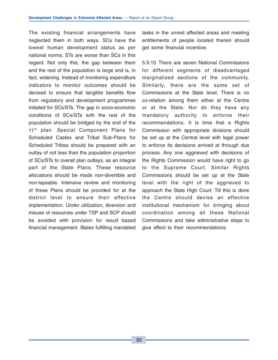The existing financial arrangements have neglected them in both ways. SCs have the lowest human development status as per national norms; STs are worse than SCs in this regard. Not only this, the gap between them and the rest of the population is large and is, in fact, widening. Instead of monitoring expenditure indicators to monitor outcomes should be devised to ensure that tangible benefits flow from regulatory and development programmes initiated for SCs/STs. The gap in socio-economic conditions of SCs/STs with the rest of the population should be bridged by the end of the 11<sup>th</sup> plan. Special Component Plans for Scheduled Castes and Tribal Sub-Plans for Scheduled Tribes should be prepared with an outlay of not less than the population proportion of SCs/STs to overall plan outlays, as an integral part of the State Plans. These resource allocations should be made non-divertible and non-lapsable. Intensive review and monitoring of these Plans should be provided for at the district level to ensure their effective implementation. Under utilization, diversion and misuse of resources under TSP and SCP should be avoided with provision for result based financial management. States fulfilling mandated

tasks in the unrest affected areas and meeting entitlements of people located therein should get some financial incentive.

5.9.10 There are seven National Commissions for different segments of disadvantaged marginalized sections of the community. Similarly, there are the same set of Commissions at the State level. There is no co-relation among them either at the Centre or at the State. Nor do they have any mandatory authority to enforce their recommendations. It is time that a Rights Commission with appropriate divisions should be set up at the Central level with legal power to enforce its decisions arrived at through due process. Any one aggrieved with decisions of the Rights Commission would have right to go to the Supreme Court. Similar Rights Commissions should be set up at the State level with the right of the aggrieved to approach the State High Court. Till this is done the Centre should devise an effective institutional mechanism for bringing about coordination among all these National Commissions and take administrative steps to give effect to their recommendations.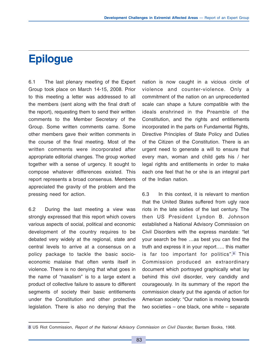# **Epilogue**

6.1 The last plenary meeting of the Expert Group took place on March 14-15, 2008. Prior to this meeting a letter was addressed to all the members (sent along with the final draft of the report), requesting them to send their written comments to the Member Secretary of the Group. Some written comments came. Some other members gave their written comments in the course of the final meeting. Most of the written comments were incorporated after appropriate editorial changes. The group worked together with a sense of urgency. It sought to compose whatever differences existed. This report represents a broad consensus. Members appreciated the gravity of the problem and the pressing need for action.

6.2 During the last meeting a view was strongly expressed that this report which covers various aspects of social, political and economic development of the country requires to be debated very widely at the regional, state and central levels to arrive at a consensus on a policy package to tackle the basic socioeconomic malaise that often vents itself in violence. There is no denying that what goes in the name of "naxalism" is to a large extent a product of collective failure to assure to different segments of society their basic entitlements under the Constitution and other protective legislation. There is also no denying that the

nation is now caught in a vicious circle of violence and counter-violence. Only a commitment of the nation on an unprecedented scale can shape a future compatible with the ideals enshrined in the Preamble of the Constitution, and the rights and entitlements incorporated in the parts on Fundamental Rights, Directive Principles of State Policy and Duties of the Citizen of the Constitution. There is an urgent need to generate a will to ensure that every man, woman and child gets his / her legal rights and entitlements in order to make each one feel that he or she is an integral part of the Indian nation.

6.3 In this context, it is relevant to mention that the United States suffered from ugly race riots in the late sixties of the last century. The then US President Lyndon B. Johnson established a National Advisory Commission on Civil Disorders with the express mandate: "let your search be free …as best you can find the truth and express it in your report….. this matter is far too important for politics". $8$  This Commission produced an extraordinary document which portrayed graphically what lay behind this civil disorder, very candidly and courageously. In its summary of the report the commission clearly put the agenda of action for American society: "Our nation is moving towards two societies – one black, one white – separate

<sup>8</sup> US Riot Commission, Report of the National Advisory Commission on Civil Disorder, Bantam Books, 1968.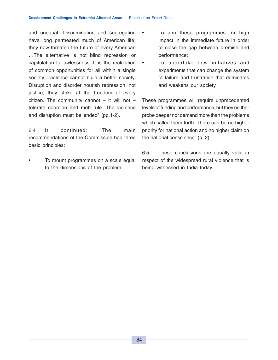and unequal…Discrimination and segregation have long permeated much of American life; they now threaten the future of every American …The alternative is not blind repression or capitulation to lawlessness. It is the realization of common opportunities for all within a single society…violence cannot build a better society. Disruption and disorder nourish repression, not justice, they strike at the freedom of every citizen. The community cannot  $-$  it will not  $$ tolerate coercion and mob rule. The violence and disruption must be ended" (pp.1-2).

6.4 It continued: "The main recommendations of the Commission had three basic principles:

To mount programmes on a scale equal to the dimensions of the problem;

- To aim these programmes for high impact in the immediate future in order to close the gap between promise and performance;
	- To undertake new initiatives and experiments that can change the system of failure and frustration that dominates and weakens our society.

These programmes will require unprecedented levels of funding and performance, but they neither probe deeper nor demand more than the problems which called them forth. There can be no higher priority for national action and no higher claim on the national conscience" (p. 2).

6.5 These conclusions are equally valid in respect of the widespread rural violence that is being witnessed in India today.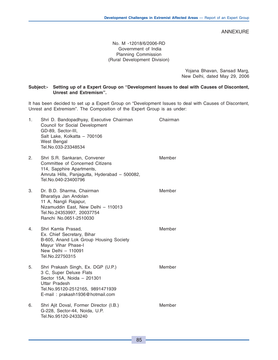ANNEXURE

No. M -12018/6/2006-RD Government of India Planning Commission (Rural Development Division)

> Yojana Bhavan, Sansad Marg, New Delhi, dated May 29, 2006

#### **Subject:- Setting up of a Expert Group on "Development Issues to deal with Causes of Discontent, Unrest and Extremism".**

It has been decided to set up a Expert Group on "Development Issues to deal with Causes of Discontent, Unrest and Extremism". The Composition of the Expert Group is as under:

| 1. | Shri D. Bandopadhyay, Executive Chairman<br>Council for Social Development<br>GD-89, Sector-III,<br>Salt Lake, Kolkatta - 700106<br>West Bengal<br>Tel.No.033-23348534                     | Chairman |
|----|--------------------------------------------------------------------------------------------------------------------------------------------------------------------------------------------|----------|
| 2. | Shri S.R. Sankaran, Convener<br>Committee of Concerned Citizens<br>114, Sapphire Apartments,<br>Amruta Hills, Panjagutta, Hyderabad - 500082,<br>Tel.No.040-23400796                       | Member   |
| 3. | Dr. B.D. Sharma, Chairman<br>Bharatiya Jan Andolan<br>11 A, Nangli Rajapur,<br>Nizamuddin East, New Delhi - 110013<br>Tel.No.24353997, 20037754<br>Ranchi No.0651-2510030                  | Member   |
| 4. | Shri Kamla Prasad,<br>Ex. Chief Secretary, Bihar<br>B-605, Anand Lok Group Housing Society<br>Mayur Vihar Phase-I<br>New Delhi - 110091<br>Tel.No.22750315                                 | Member   |
| 5. | Shri Prakash Singh, Ex. DGP (U.P.)<br>3 C, Super Deluxe Flats<br>Sector 15A, Noida - 201301<br><b>Uttar Pradesh</b><br>Tel.No.95120-2512165, 9891471939<br>E-mail: prakash1936@hotmail.com | Member   |
| 6. | Shri Ajit Doval, Former Director (I.B.)<br>G-228, Sector-44, Noida, U.P.<br>Tel.No.95120-2433240                                                                                           | Member   |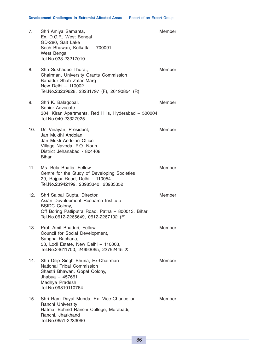| 7.  | Shri Amiya Samanta,<br>Ex. D.G.P., West Bengal<br>GD-280, Salt Lake<br>Sech Bhawan, Kolkatta - 700091<br>West Bengal<br>Tel.No.033-23217010                                                | Member |
|-----|--------------------------------------------------------------------------------------------------------------------------------------------------------------------------------------------|--------|
| 8.  | Shri Sukhadeo Thorat,<br>Chairman, University Grants Commission<br>Bahadur Shah Zafar Marg<br>New Delhi - 110002<br>Tel.No.23239628, 23231797 (F), 26190854 (R)                            | Member |
| 9.  | Shri K. Balagopal,<br>Senior Advocate<br>304, Kiran Apartments, Red Hills, Hyderabad - 500004<br>Tel.No.040-23327925                                                                       | Member |
| 10. | Dr. Vinayan, President,<br>Jan Mukthi Andolan<br>Jan Mukti Andolan Office<br>Village Navoda, P.O. Nouru<br>District Jehanabad - 804408<br><b>Bihar</b>                                     | Member |
| 11. | Ms. Bela Bhatia, Fellow<br>Centre for the Study of Developing Societies<br>29, Rajpur Road, Delhi - 110054<br>Tel.No.23942199, 23983340, 23983352                                          | Member |
| 12. | Shri Saibal Gupta, Director,<br>Asian Development Research Institute<br><b>BSIDC Colony,</b><br>Off Boring Patliputra Road, Patna - 800013, Bihar<br>Tel.No.0612-2265649, 0612-2267102 (F) | Member |
| 13. | Prof. Amit Bhaduri, Fellow<br>Council for Social Development,<br>Sangha Rachana,<br>53, Lodi Estate, New Delhi - 110003,<br>Tel.No.24611700, 24693065, 22752445 ®                          | Member |
| 14. | Shri Dilip Singh Bhuria, Ex-Chairman<br>National Tribal Commission<br>Shastri Bhawan, Gopal Colony,<br>Jhabua - 457661<br>Madhya Pradesh<br>Tel.No.09810110764                             | Member |
| 15. | Shri Ram Dayal Munda, Ex. Vice-Chancellor<br>Ranchi University<br>Hatma, Behind Ranchi College, Morabadi,<br>Ranchi, Jharkhand<br>Tel.No.0651-2233090                                      | Member |